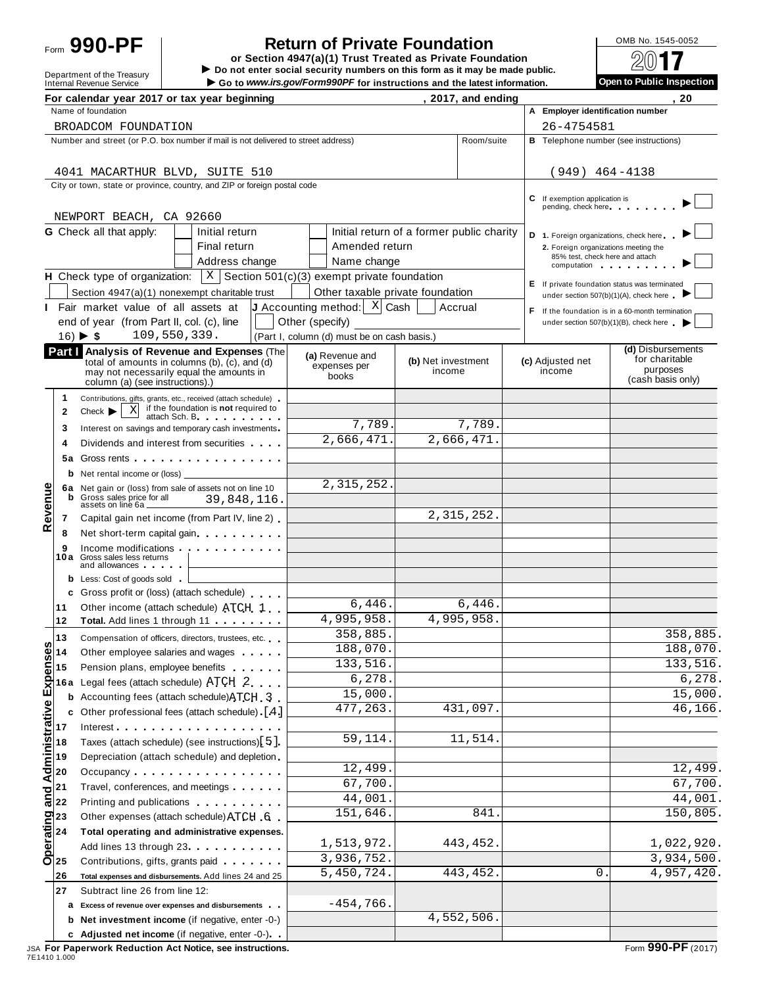# Form **990-PF**  $\begin{bmatrix} 1 & 0 \end{bmatrix}$  **Return of Private Foundation**  $\begin{bmatrix} 0 \end{bmatrix}$   $\begin{bmatrix} 0 \end{bmatrix}$   $\begin{bmatrix} 0 \end{bmatrix}$   $\begin{bmatrix} 0 \end{bmatrix}$   $\begin{bmatrix} 0 \end{bmatrix}$

**or Section 4947(a)(1) Trust Treated as Private Foundation** Form 990 - PF<br> **Do not enter social security numbers on this form as it may be made public.<br>
Do not enter social security numbers on this form as it may be made public.<br>
Do to the Treasury and the latest information.<br>
Do** 

Go to www.irs.gov/Form990PF for instructions and the latest information.

| Open to Public Inspection |  |
|---------------------------|--|
|                           |  |

| Name of foundation<br>A Employer identification number<br>26-4754581<br>BROADCOM FOUNDATION<br>Number and street (or P.O. box number if mail is not delivered to street address)<br>Room/suite<br><b>B</b> Telephone number (see instructions)<br>$(949)$ 464-4138<br>4041 MACARTHUR BLVD, SUITE 510<br>City or town, state or province, country, and ZIP or foreign postal code<br><b>C</b> If exemption application is<br>pending, check here<br>NEWPORT BEACH, CA 92660<br><b>G</b> Check all that apply:<br>Initial return of a former public charity<br>Initial return<br>D 1. Foreign organizations, check here<br>Final return<br>Amended return<br>2. Foreign organizations meeting the<br>85% test, check here and attach<br>Address change<br>Name change<br>computation and the computation<br>H Check type of organization: $\ X\ $ Section 501(c)(3) exempt private foundation<br>E If private foundation status was terminated<br>Other taxable private foundation<br>Section 4947(a)(1) nonexempt charitable trust<br>under section 507(b)(1)(A), check here<br><b>J</b> Accounting method: $\begin{bmatrix} X \end{bmatrix}$ Cash<br>Accrual<br>I Fair market value of all assets at<br>If the foundation is in a 60-month termination<br>Other (specify)<br>end of year (from Part II, col. (c), line<br>under section 507(b)(1)(B), check here<br>$16)$ $\blacktriangleright$ \$<br>109,550,339.<br>(Part I, column (d) must be on cash basis.)<br>(d) Disbursements<br>Part   Analysis of Revenue and Expenses (The<br>(a) Revenue and<br>for charitable<br>(b) Net investment<br>(c) Adjusted net<br>total of amounts in columns (b), (c), and (d)<br>expenses per<br>purposes<br>income<br>income<br>may not necessarily equal the amounts in<br>books<br>(cash basis only)<br>column (a) (see instructions).)<br>1<br>Contributions, gifts, grants, etc., received (attach schedule)<br>if the foundation is not required to<br>X<br>Check<br>2<br>attach Sch. B. Particular and The Parties<br>7,789.<br>7,789.<br>Interest on savings and temporary cash investments<br>3<br>2,666,471.<br>2,666,471.<br>Dividends and interest from securities<br>4<br>Gross rents<br>5а<br><b>b</b> Net rental income or (loss)<br>2, 315, 252.<br>Revenue<br>6a Net gain or (loss) from sale of assets not on line 10<br>Gross sales price for all<br>39,848,116.<br>assets on line 6a _<br>2, 315, 252.<br>Capital gain net income (from Part IV, line 2)<br>7<br>Net short-term capital gain<br>8<br>Income modifications <b>and the contract of the contract of the contract of the contract of the contract of the contract of the contract of the contract of the contract of the contract of the contract of the contract of the </b><br>9<br>10a Gross sales less returns<br>and allowances and the state of the state of the state of the state of the state of the state of the state of the state of the state of the state of the state of the state of the state of the state of the state of the stat<br><b>b</b> Less: Cost of goods sold<br>c Gross profit or (loss) (attach schedule)<br>6,446.<br>6,446.<br>Other income (attach schedule) ATCH 1<br>11<br>4,995,958.<br>4,995,958.<br>12<br>358,885.<br>13<br>Compensation of officers, directors, trustees, etc.<br><b>SC</b><br>188,070<br>188,070.<br><b>Expenses</b><br>Other employee salaries and wages<br>133,516.<br>133,516.<br>Pension plans, employee benefits<br>6,278.<br>6,278<br>Legal fees (attach schedule) ATCH 2<br>16 a<br>15,000<br>Accounting fees (attach schedule) ATCH 3<br>b<br>and Administrative<br>477,263.<br>431,097.<br>Other professional fees (attach schedule) [4]<br>c<br>Interest<br>17<br>59,114.<br>11,514.<br>Taxes (attach schedule) (see instructions)[5].<br>18<br>Depreciation (attach schedule) and depletion<br>19<br>12,499.<br>20<br>Occupancy<br>67,700<br>Travel, conferences, and meetings<br> 21<br>44,001<br>22<br>Printing and publications <b>Exercise 2.1 Fig. 1.1</b><br>151,646<br>841<br>$\begin{array}{c}\n\overline{\text{open}} \\ \overline{\text{rel}} \\ \overline{\text{open}} \\ \overline{\text{open}} \\ \overline{\text{open}} \\ \overline{\text{open}} \\ \overline{\text{open}} \\ \overline{\text{open}} \\ \overline{\text{open}} \\ \overline{\text{open}} \\ \overline{\text{open}} \\ \overline{\text{open}} \\ \overline{\text{open}} \\ \overline{\text{open}} \\ \overline{\text{open}} \\ \overline{\text{open}} \\ \overline{\text{open}} \\ \overline{\text{open}} \\ \overline{\text{open}} \\ \overline{\text{open}} \\ \overline{\text{open}} \\ \overline{\text{open}} \\ \overline{\text{open}} \\ \overline{\text$<br>Other expenses (attach schedule) ATCH 6<br>Total operating and administrative expenses.<br>1,513,972.<br>1,022,920.<br>443,452<br>Add lines 13 through 23 <b>Add lines</b> 13 through 23<br>3,936,752.<br>3,934,500.<br>Contributions, gifts, grants paid<br>4,957,420.<br>5,450,724.<br>443,452<br>0<br>26<br>Total expenses and disbursements. Add lines 24 and 25<br>27<br>Subtract line 26 from line 12:<br>$-454,766$<br>a Excess of revenue over expenses and disbursements<br>4,552,506<br><b>b</b> Net investment income (if negative, enter -0-) |  | For calendar year 2017 or tax year beginning   |  | , 2017, and ending | . 20     |
|--------------------------------------------------------------------------------------------------------------------------------------------------------------------------------------------------------------------------------------------------------------------------------------------------------------------------------------------------------------------------------------------------------------------------------------------------------------------------------------------------------------------------------------------------------------------------------------------------------------------------------------------------------------------------------------------------------------------------------------------------------------------------------------------------------------------------------------------------------------------------------------------------------------------------------------------------------------------------------------------------------------------------------------------------------------------------------------------------------------------------------------------------------------------------------------------------------------------------------------------------------------------------------------------------------------------------------------------------------------------------------------------------------------------------------------------------------------------------------------------------------------------------------------------------------------------------------------------------------------------------------------------------------------------------------------------------------------------------------------------------------------------------------------------------------------------------------------------------------------------------------------------------------------------------------------------------------------------------------------------------------------------------------------------------------------------------------------------------------------------------------------------------------------------------------------------------------------------------------------------------------------------------------------------------------------------------------------------------------------------------------------------------------------------------------------------------------------------------------------------------------------------------------------------------------------------------------------------------------------------------------------------------------------------------------------------------------------------------------------------------------------------------------------------------------------------------------------------------------------------------------------------------------------------------------------------------------------------------------------------------------------------------------------------------------------------------------------------------------------------------------------------------------------------------------------------------------------------------------------------------------------------------------------------------------------------------------------------------------------------------------------------------------------------------------------------------------------------------------------------------------------------------------------------------------------------------------------------------------------------------------------------------------------------------------------------------------------------------------------------------------------------------------------------------------------------------------------------------------------------------------------------------------------------------------------------------------------------------------------------------------------------------------------------------------------------------------------------------------------------------------------------------------------------------------------------------------------------------------------------------------------------------------------------------------------------------------------------------------------------------------------------------------------------------------------------------------------------------------------------------------------------------------------------------------------------------------------------------------------------------------------------------------------------------------------------------------------------------------------------------------------------------------------------------------------------------------------------------------------------------------------------------------------------------------------------------------------------------------------------------------------------------------------------------------------------------------------------------------------------------------------------------------------------------------------------------------------------------------------------------------|--|------------------------------------------------|--|--------------------|----------|
|                                                                                                                                                                                                                                                                                                                                                                                                                                                                                                                                                                                                                                                                                                                                                                                                                                                                                                                                                                                                                                                                                                                                                                                                                                                                                                                                                                                                                                                                                                                                                                                                                                                                                                                                                                                                                                                                                                                                                                                                                                                                                                                                                                                                                                                                                                                                                                                                                                                                                                                                                                                                                                                                                                                                                                                                                                                                                                                                                                                                                                                                                                                                                                                                                                                                                                                                                                                                                                                                                                                                                                                                                                                                                                                                                                                                                                                                                                                                                                                                                                                                                                                                                                                                                                                                                                                                                                                                                                                                                                                                                                                                                                                                                                                                                                                                                                                                                                                                                                                                                                                                                                                                                                                                                                                        |  |                                                |  |                    |          |
|                                                                                                                                                                                                                                                                                                                                                                                                                                                                                                                                                                                                                                                                                                                                                                                                                                                                                                                                                                                                                                                                                                                                                                                                                                                                                                                                                                                                                                                                                                                                                                                                                                                                                                                                                                                                                                                                                                                                                                                                                                                                                                                                                                                                                                                                                                                                                                                                                                                                                                                                                                                                                                                                                                                                                                                                                                                                                                                                                                                                                                                                                                                                                                                                                                                                                                                                                                                                                                                                                                                                                                                                                                                                                                                                                                                                                                                                                                                                                                                                                                                                                                                                                                                                                                                                                                                                                                                                                                                                                                                                                                                                                                                                                                                                                                                                                                                                                                                                                                                                                                                                                                                                                                                                                                                        |  |                                                |  |                    |          |
|                                                                                                                                                                                                                                                                                                                                                                                                                                                                                                                                                                                                                                                                                                                                                                                                                                                                                                                                                                                                                                                                                                                                                                                                                                                                                                                                                                                                                                                                                                                                                                                                                                                                                                                                                                                                                                                                                                                                                                                                                                                                                                                                                                                                                                                                                                                                                                                                                                                                                                                                                                                                                                                                                                                                                                                                                                                                                                                                                                                                                                                                                                                                                                                                                                                                                                                                                                                                                                                                                                                                                                                                                                                                                                                                                                                                                                                                                                                                                                                                                                                                                                                                                                                                                                                                                                                                                                                                                                                                                                                                                                                                                                                                                                                                                                                                                                                                                                                                                                                                                                                                                                                                                                                                                                                        |  |                                                |  |                    |          |
|                                                                                                                                                                                                                                                                                                                                                                                                                                                                                                                                                                                                                                                                                                                                                                                                                                                                                                                                                                                                                                                                                                                                                                                                                                                                                                                                                                                                                                                                                                                                                                                                                                                                                                                                                                                                                                                                                                                                                                                                                                                                                                                                                                                                                                                                                                                                                                                                                                                                                                                                                                                                                                                                                                                                                                                                                                                                                                                                                                                                                                                                                                                                                                                                                                                                                                                                                                                                                                                                                                                                                                                                                                                                                                                                                                                                                                                                                                                                                                                                                                                                                                                                                                                                                                                                                                                                                                                                                                                                                                                                                                                                                                                                                                                                                                                                                                                                                                                                                                                                                                                                                                                                                                                                                                                        |  |                                                |  |                    |          |
|                                                                                                                                                                                                                                                                                                                                                                                                                                                                                                                                                                                                                                                                                                                                                                                                                                                                                                                                                                                                                                                                                                                                                                                                                                                                                                                                                                                                                                                                                                                                                                                                                                                                                                                                                                                                                                                                                                                                                                                                                                                                                                                                                                                                                                                                                                                                                                                                                                                                                                                                                                                                                                                                                                                                                                                                                                                                                                                                                                                                                                                                                                                                                                                                                                                                                                                                                                                                                                                                                                                                                                                                                                                                                                                                                                                                                                                                                                                                                                                                                                                                                                                                                                                                                                                                                                                                                                                                                                                                                                                                                                                                                                                                                                                                                                                                                                                                                                                                                                                                                                                                                                                                                                                                                                                        |  |                                                |  |                    |          |
|                                                                                                                                                                                                                                                                                                                                                                                                                                                                                                                                                                                                                                                                                                                                                                                                                                                                                                                                                                                                                                                                                                                                                                                                                                                                                                                                                                                                                                                                                                                                                                                                                                                                                                                                                                                                                                                                                                                                                                                                                                                                                                                                                                                                                                                                                                                                                                                                                                                                                                                                                                                                                                                                                                                                                                                                                                                                                                                                                                                                                                                                                                                                                                                                                                                                                                                                                                                                                                                                                                                                                                                                                                                                                                                                                                                                                                                                                                                                                                                                                                                                                                                                                                                                                                                                                                                                                                                                                                                                                                                                                                                                                                                                                                                                                                                                                                                                                                                                                                                                                                                                                                                                                                                                                                                        |  |                                                |  |                    |          |
|                                                                                                                                                                                                                                                                                                                                                                                                                                                                                                                                                                                                                                                                                                                                                                                                                                                                                                                                                                                                                                                                                                                                                                                                                                                                                                                                                                                                                                                                                                                                                                                                                                                                                                                                                                                                                                                                                                                                                                                                                                                                                                                                                                                                                                                                                                                                                                                                                                                                                                                                                                                                                                                                                                                                                                                                                                                                                                                                                                                                                                                                                                                                                                                                                                                                                                                                                                                                                                                                                                                                                                                                                                                                                                                                                                                                                                                                                                                                                                                                                                                                                                                                                                                                                                                                                                                                                                                                                                                                                                                                                                                                                                                                                                                                                                                                                                                                                                                                                                                                                                                                                                                                                                                                                                                        |  |                                                |  |                    |          |
|                                                                                                                                                                                                                                                                                                                                                                                                                                                                                                                                                                                                                                                                                                                                                                                                                                                                                                                                                                                                                                                                                                                                                                                                                                                                                                                                                                                                                                                                                                                                                                                                                                                                                                                                                                                                                                                                                                                                                                                                                                                                                                                                                                                                                                                                                                                                                                                                                                                                                                                                                                                                                                                                                                                                                                                                                                                                                                                                                                                                                                                                                                                                                                                                                                                                                                                                                                                                                                                                                                                                                                                                                                                                                                                                                                                                                                                                                                                                                                                                                                                                                                                                                                                                                                                                                                                                                                                                                                                                                                                                                                                                                                                                                                                                                                                                                                                                                                                                                                                                                                                                                                                                                                                                                                                        |  |                                                |  |                    |          |
|                                                                                                                                                                                                                                                                                                                                                                                                                                                                                                                                                                                                                                                                                                                                                                                                                                                                                                                                                                                                                                                                                                                                                                                                                                                                                                                                                                                                                                                                                                                                                                                                                                                                                                                                                                                                                                                                                                                                                                                                                                                                                                                                                                                                                                                                                                                                                                                                                                                                                                                                                                                                                                                                                                                                                                                                                                                                                                                                                                                                                                                                                                                                                                                                                                                                                                                                                                                                                                                                                                                                                                                                                                                                                                                                                                                                                                                                                                                                                                                                                                                                                                                                                                                                                                                                                                                                                                                                                                                                                                                                                                                                                                                                                                                                                                                                                                                                                                                                                                                                                                                                                                                                                                                                                                                        |  |                                                |  |                    |          |
|                                                                                                                                                                                                                                                                                                                                                                                                                                                                                                                                                                                                                                                                                                                                                                                                                                                                                                                                                                                                                                                                                                                                                                                                                                                                                                                                                                                                                                                                                                                                                                                                                                                                                                                                                                                                                                                                                                                                                                                                                                                                                                                                                                                                                                                                                                                                                                                                                                                                                                                                                                                                                                                                                                                                                                                                                                                                                                                                                                                                                                                                                                                                                                                                                                                                                                                                                                                                                                                                                                                                                                                                                                                                                                                                                                                                                                                                                                                                                                                                                                                                                                                                                                                                                                                                                                                                                                                                                                                                                                                                                                                                                                                                                                                                                                                                                                                                                                                                                                                                                                                                                                                                                                                                                                                        |  |                                                |  |                    |          |
|                                                                                                                                                                                                                                                                                                                                                                                                                                                                                                                                                                                                                                                                                                                                                                                                                                                                                                                                                                                                                                                                                                                                                                                                                                                                                                                                                                                                                                                                                                                                                                                                                                                                                                                                                                                                                                                                                                                                                                                                                                                                                                                                                                                                                                                                                                                                                                                                                                                                                                                                                                                                                                                                                                                                                                                                                                                                                                                                                                                                                                                                                                                                                                                                                                                                                                                                                                                                                                                                                                                                                                                                                                                                                                                                                                                                                                                                                                                                                                                                                                                                                                                                                                                                                                                                                                                                                                                                                                                                                                                                                                                                                                                                                                                                                                                                                                                                                                                                                                                                                                                                                                                                                                                                                                                        |  |                                                |  |                    |          |
|                                                                                                                                                                                                                                                                                                                                                                                                                                                                                                                                                                                                                                                                                                                                                                                                                                                                                                                                                                                                                                                                                                                                                                                                                                                                                                                                                                                                                                                                                                                                                                                                                                                                                                                                                                                                                                                                                                                                                                                                                                                                                                                                                                                                                                                                                                                                                                                                                                                                                                                                                                                                                                                                                                                                                                                                                                                                                                                                                                                                                                                                                                                                                                                                                                                                                                                                                                                                                                                                                                                                                                                                                                                                                                                                                                                                                                                                                                                                                                                                                                                                                                                                                                                                                                                                                                                                                                                                                                                                                                                                                                                                                                                                                                                                                                                                                                                                                                                                                                                                                                                                                                                                                                                                                                                        |  |                                                |  |                    |          |
|                                                                                                                                                                                                                                                                                                                                                                                                                                                                                                                                                                                                                                                                                                                                                                                                                                                                                                                                                                                                                                                                                                                                                                                                                                                                                                                                                                                                                                                                                                                                                                                                                                                                                                                                                                                                                                                                                                                                                                                                                                                                                                                                                                                                                                                                                                                                                                                                                                                                                                                                                                                                                                                                                                                                                                                                                                                                                                                                                                                                                                                                                                                                                                                                                                                                                                                                                                                                                                                                                                                                                                                                                                                                                                                                                                                                                                                                                                                                                                                                                                                                                                                                                                                                                                                                                                                                                                                                                                                                                                                                                                                                                                                                                                                                                                                                                                                                                                                                                                                                                                                                                                                                                                                                                                                        |  |                                                |  |                    |          |
|                                                                                                                                                                                                                                                                                                                                                                                                                                                                                                                                                                                                                                                                                                                                                                                                                                                                                                                                                                                                                                                                                                                                                                                                                                                                                                                                                                                                                                                                                                                                                                                                                                                                                                                                                                                                                                                                                                                                                                                                                                                                                                                                                                                                                                                                                                                                                                                                                                                                                                                                                                                                                                                                                                                                                                                                                                                                                                                                                                                                                                                                                                                                                                                                                                                                                                                                                                                                                                                                                                                                                                                                                                                                                                                                                                                                                                                                                                                                                                                                                                                                                                                                                                                                                                                                                                                                                                                                                                                                                                                                                                                                                                                                                                                                                                                                                                                                                                                                                                                                                                                                                                                                                                                                                                                        |  |                                                |  |                    |          |
|                                                                                                                                                                                                                                                                                                                                                                                                                                                                                                                                                                                                                                                                                                                                                                                                                                                                                                                                                                                                                                                                                                                                                                                                                                                                                                                                                                                                                                                                                                                                                                                                                                                                                                                                                                                                                                                                                                                                                                                                                                                                                                                                                                                                                                                                                                                                                                                                                                                                                                                                                                                                                                                                                                                                                                                                                                                                                                                                                                                                                                                                                                                                                                                                                                                                                                                                                                                                                                                                                                                                                                                                                                                                                                                                                                                                                                                                                                                                                                                                                                                                                                                                                                                                                                                                                                                                                                                                                                                                                                                                                                                                                                                                                                                                                                                                                                                                                                                                                                                                                                                                                                                                                                                                                                                        |  |                                                |  |                    |          |
|                                                                                                                                                                                                                                                                                                                                                                                                                                                                                                                                                                                                                                                                                                                                                                                                                                                                                                                                                                                                                                                                                                                                                                                                                                                                                                                                                                                                                                                                                                                                                                                                                                                                                                                                                                                                                                                                                                                                                                                                                                                                                                                                                                                                                                                                                                                                                                                                                                                                                                                                                                                                                                                                                                                                                                                                                                                                                                                                                                                                                                                                                                                                                                                                                                                                                                                                                                                                                                                                                                                                                                                                                                                                                                                                                                                                                                                                                                                                                                                                                                                                                                                                                                                                                                                                                                                                                                                                                                                                                                                                                                                                                                                                                                                                                                                                                                                                                                                                                                                                                                                                                                                                                                                                                                                        |  |                                                |  |                    |          |
|                                                                                                                                                                                                                                                                                                                                                                                                                                                                                                                                                                                                                                                                                                                                                                                                                                                                                                                                                                                                                                                                                                                                                                                                                                                                                                                                                                                                                                                                                                                                                                                                                                                                                                                                                                                                                                                                                                                                                                                                                                                                                                                                                                                                                                                                                                                                                                                                                                                                                                                                                                                                                                                                                                                                                                                                                                                                                                                                                                                                                                                                                                                                                                                                                                                                                                                                                                                                                                                                                                                                                                                                                                                                                                                                                                                                                                                                                                                                                                                                                                                                                                                                                                                                                                                                                                                                                                                                                                                                                                                                                                                                                                                                                                                                                                                                                                                                                                                                                                                                                                                                                                                                                                                                                                                        |  |                                                |  |                    |          |
|                                                                                                                                                                                                                                                                                                                                                                                                                                                                                                                                                                                                                                                                                                                                                                                                                                                                                                                                                                                                                                                                                                                                                                                                                                                                                                                                                                                                                                                                                                                                                                                                                                                                                                                                                                                                                                                                                                                                                                                                                                                                                                                                                                                                                                                                                                                                                                                                                                                                                                                                                                                                                                                                                                                                                                                                                                                                                                                                                                                                                                                                                                                                                                                                                                                                                                                                                                                                                                                                                                                                                                                                                                                                                                                                                                                                                                                                                                                                                                                                                                                                                                                                                                                                                                                                                                                                                                                                                                                                                                                                                                                                                                                                                                                                                                                                                                                                                                                                                                                                                                                                                                                                                                                                                                                        |  |                                                |  |                    |          |
|                                                                                                                                                                                                                                                                                                                                                                                                                                                                                                                                                                                                                                                                                                                                                                                                                                                                                                                                                                                                                                                                                                                                                                                                                                                                                                                                                                                                                                                                                                                                                                                                                                                                                                                                                                                                                                                                                                                                                                                                                                                                                                                                                                                                                                                                                                                                                                                                                                                                                                                                                                                                                                                                                                                                                                                                                                                                                                                                                                                                                                                                                                                                                                                                                                                                                                                                                                                                                                                                                                                                                                                                                                                                                                                                                                                                                                                                                                                                                                                                                                                                                                                                                                                                                                                                                                                                                                                                                                                                                                                                                                                                                                                                                                                                                                                                                                                                                                                                                                                                                                                                                                                                                                                                                                                        |  |                                                |  |                    |          |
|                                                                                                                                                                                                                                                                                                                                                                                                                                                                                                                                                                                                                                                                                                                                                                                                                                                                                                                                                                                                                                                                                                                                                                                                                                                                                                                                                                                                                                                                                                                                                                                                                                                                                                                                                                                                                                                                                                                                                                                                                                                                                                                                                                                                                                                                                                                                                                                                                                                                                                                                                                                                                                                                                                                                                                                                                                                                                                                                                                                                                                                                                                                                                                                                                                                                                                                                                                                                                                                                                                                                                                                                                                                                                                                                                                                                                                                                                                                                                                                                                                                                                                                                                                                                                                                                                                                                                                                                                                                                                                                                                                                                                                                                                                                                                                                                                                                                                                                                                                                                                                                                                                                                                                                                                                                        |  |                                                |  |                    |          |
|                                                                                                                                                                                                                                                                                                                                                                                                                                                                                                                                                                                                                                                                                                                                                                                                                                                                                                                                                                                                                                                                                                                                                                                                                                                                                                                                                                                                                                                                                                                                                                                                                                                                                                                                                                                                                                                                                                                                                                                                                                                                                                                                                                                                                                                                                                                                                                                                                                                                                                                                                                                                                                                                                                                                                                                                                                                                                                                                                                                                                                                                                                                                                                                                                                                                                                                                                                                                                                                                                                                                                                                                                                                                                                                                                                                                                                                                                                                                                                                                                                                                                                                                                                                                                                                                                                                                                                                                                                                                                                                                                                                                                                                                                                                                                                                                                                                                                                                                                                                                                                                                                                                                                                                                                                                        |  |                                                |  |                    |          |
|                                                                                                                                                                                                                                                                                                                                                                                                                                                                                                                                                                                                                                                                                                                                                                                                                                                                                                                                                                                                                                                                                                                                                                                                                                                                                                                                                                                                                                                                                                                                                                                                                                                                                                                                                                                                                                                                                                                                                                                                                                                                                                                                                                                                                                                                                                                                                                                                                                                                                                                                                                                                                                                                                                                                                                                                                                                                                                                                                                                                                                                                                                                                                                                                                                                                                                                                                                                                                                                                                                                                                                                                                                                                                                                                                                                                                                                                                                                                                                                                                                                                                                                                                                                                                                                                                                                                                                                                                                                                                                                                                                                                                                                                                                                                                                                                                                                                                                                                                                                                                                                                                                                                                                                                                                                        |  |                                                |  |                    |          |
|                                                                                                                                                                                                                                                                                                                                                                                                                                                                                                                                                                                                                                                                                                                                                                                                                                                                                                                                                                                                                                                                                                                                                                                                                                                                                                                                                                                                                                                                                                                                                                                                                                                                                                                                                                                                                                                                                                                                                                                                                                                                                                                                                                                                                                                                                                                                                                                                                                                                                                                                                                                                                                                                                                                                                                                                                                                                                                                                                                                                                                                                                                                                                                                                                                                                                                                                                                                                                                                                                                                                                                                                                                                                                                                                                                                                                                                                                                                                                                                                                                                                                                                                                                                                                                                                                                                                                                                                                                                                                                                                                                                                                                                                                                                                                                                                                                                                                                                                                                                                                                                                                                                                                                                                                                                        |  |                                                |  |                    |          |
|                                                                                                                                                                                                                                                                                                                                                                                                                                                                                                                                                                                                                                                                                                                                                                                                                                                                                                                                                                                                                                                                                                                                                                                                                                                                                                                                                                                                                                                                                                                                                                                                                                                                                                                                                                                                                                                                                                                                                                                                                                                                                                                                                                                                                                                                                                                                                                                                                                                                                                                                                                                                                                                                                                                                                                                                                                                                                                                                                                                                                                                                                                                                                                                                                                                                                                                                                                                                                                                                                                                                                                                                                                                                                                                                                                                                                                                                                                                                                                                                                                                                                                                                                                                                                                                                                                                                                                                                                                                                                                                                                                                                                                                                                                                                                                                                                                                                                                                                                                                                                                                                                                                                                                                                                                                        |  |                                                |  |                    |          |
|                                                                                                                                                                                                                                                                                                                                                                                                                                                                                                                                                                                                                                                                                                                                                                                                                                                                                                                                                                                                                                                                                                                                                                                                                                                                                                                                                                                                                                                                                                                                                                                                                                                                                                                                                                                                                                                                                                                                                                                                                                                                                                                                                                                                                                                                                                                                                                                                                                                                                                                                                                                                                                                                                                                                                                                                                                                                                                                                                                                                                                                                                                                                                                                                                                                                                                                                                                                                                                                                                                                                                                                                                                                                                                                                                                                                                                                                                                                                                                                                                                                                                                                                                                                                                                                                                                                                                                                                                                                                                                                                                                                                                                                                                                                                                                                                                                                                                                                                                                                                                                                                                                                                                                                                                                                        |  |                                                |  |                    |          |
|                                                                                                                                                                                                                                                                                                                                                                                                                                                                                                                                                                                                                                                                                                                                                                                                                                                                                                                                                                                                                                                                                                                                                                                                                                                                                                                                                                                                                                                                                                                                                                                                                                                                                                                                                                                                                                                                                                                                                                                                                                                                                                                                                                                                                                                                                                                                                                                                                                                                                                                                                                                                                                                                                                                                                                                                                                                                                                                                                                                                                                                                                                                                                                                                                                                                                                                                                                                                                                                                                                                                                                                                                                                                                                                                                                                                                                                                                                                                                                                                                                                                                                                                                                                                                                                                                                                                                                                                                                                                                                                                                                                                                                                                                                                                                                                                                                                                                                                                                                                                                                                                                                                                                                                                                                                        |  |                                                |  |                    |          |
|                                                                                                                                                                                                                                                                                                                                                                                                                                                                                                                                                                                                                                                                                                                                                                                                                                                                                                                                                                                                                                                                                                                                                                                                                                                                                                                                                                                                                                                                                                                                                                                                                                                                                                                                                                                                                                                                                                                                                                                                                                                                                                                                                                                                                                                                                                                                                                                                                                                                                                                                                                                                                                                                                                                                                                                                                                                                                                                                                                                                                                                                                                                                                                                                                                                                                                                                                                                                                                                                                                                                                                                                                                                                                                                                                                                                                                                                                                                                                                                                                                                                                                                                                                                                                                                                                                                                                                                                                                                                                                                                                                                                                                                                                                                                                                                                                                                                                                                                                                                                                                                                                                                                                                                                                                                        |  |                                                |  |                    |          |
|                                                                                                                                                                                                                                                                                                                                                                                                                                                                                                                                                                                                                                                                                                                                                                                                                                                                                                                                                                                                                                                                                                                                                                                                                                                                                                                                                                                                                                                                                                                                                                                                                                                                                                                                                                                                                                                                                                                                                                                                                                                                                                                                                                                                                                                                                                                                                                                                                                                                                                                                                                                                                                                                                                                                                                                                                                                                                                                                                                                                                                                                                                                                                                                                                                                                                                                                                                                                                                                                                                                                                                                                                                                                                                                                                                                                                                                                                                                                                                                                                                                                                                                                                                                                                                                                                                                                                                                                                                                                                                                                                                                                                                                                                                                                                                                                                                                                                                                                                                                                                                                                                                                                                                                                                                                        |  |                                                |  |                    |          |
|                                                                                                                                                                                                                                                                                                                                                                                                                                                                                                                                                                                                                                                                                                                                                                                                                                                                                                                                                                                                                                                                                                                                                                                                                                                                                                                                                                                                                                                                                                                                                                                                                                                                                                                                                                                                                                                                                                                                                                                                                                                                                                                                                                                                                                                                                                                                                                                                                                                                                                                                                                                                                                                                                                                                                                                                                                                                                                                                                                                                                                                                                                                                                                                                                                                                                                                                                                                                                                                                                                                                                                                                                                                                                                                                                                                                                                                                                                                                                                                                                                                                                                                                                                                                                                                                                                                                                                                                                                                                                                                                                                                                                                                                                                                                                                                                                                                                                                                                                                                                                                                                                                                                                                                                                                                        |  |                                                |  |                    |          |
|                                                                                                                                                                                                                                                                                                                                                                                                                                                                                                                                                                                                                                                                                                                                                                                                                                                                                                                                                                                                                                                                                                                                                                                                                                                                                                                                                                                                                                                                                                                                                                                                                                                                                                                                                                                                                                                                                                                                                                                                                                                                                                                                                                                                                                                                                                                                                                                                                                                                                                                                                                                                                                                                                                                                                                                                                                                                                                                                                                                                                                                                                                                                                                                                                                                                                                                                                                                                                                                                                                                                                                                                                                                                                                                                                                                                                                                                                                                                                                                                                                                                                                                                                                                                                                                                                                                                                                                                                                                                                                                                                                                                                                                                                                                                                                                                                                                                                                                                                                                                                                                                                                                                                                                                                                                        |  |                                                |  |                    |          |
|                                                                                                                                                                                                                                                                                                                                                                                                                                                                                                                                                                                                                                                                                                                                                                                                                                                                                                                                                                                                                                                                                                                                                                                                                                                                                                                                                                                                                                                                                                                                                                                                                                                                                                                                                                                                                                                                                                                                                                                                                                                                                                                                                                                                                                                                                                                                                                                                                                                                                                                                                                                                                                                                                                                                                                                                                                                                                                                                                                                                                                                                                                                                                                                                                                                                                                                                                                                                                                                                                                                                                                                                                                                                                                                                                                                                                                                                                                                                                                                                                                                                                                                                                                                                                                                                                                                                                                                                                                                                                                                                                                                                                                                                                                                                                                                                                                                                                                                                                                                                                                                                                                                                                                                                                                                        |  |                                                |  |                    |          |
|                                                                                                                                                                                                                                                                                                                                                                                                                                                                                                                                                                                                                                                                                                                                                                                                                                                                                                                                                                                                                                                                                                                                                                                                                                                                                                                                                                                                                                                                                                                                                                                                                                                                                                                                                                                                                                                                                                                                                                                                                                                                                                                                                                                                                                                                                                                                                                                                                                                                                                                                                                                                                                                                                                                                                                                                                                                                                                                                                                                                                                                                                                                                                                                                                                                                                                                                                                                                                                                                                                                                                                                                                                                                                                                                                                                                                                                                                                                                                                                                                                                                                                                                                                                                                                                                                                                                                                                                                                                                                                                                                                                                                                                                                                                                                                                                                                                                                                                                                                                                                                                                                                                                                                                                                                                        |  |                                                |  |                    |          |
|                                                                                                                                                                                                                                                                                                                                                                                                                                                                                                                                                                                                                                                                                                                                                                                                                                                                                                                                                                                                                                                                                                                                                                                                                                                                                                                                                                                                                                                                                                                                                                                                                                                                                                                                                                                                                                                                                                                                                                                                                                                                                                                                                                                                                                                                                                                                                                                                                                                                                                                                                                                                                                                                                                                                                                                                                                                                                                                                                                                                                                                                                                                                                                                                                                                                                                                                                                                                                                                                                                                                                                                                                                                                                                                                                                                                                                                                                                                                                                                                                                                                                                                                                                                                                                                                                                                                                                                                                                                                                                                                                                                                                                                                                                                                                                                                                                                                                                                                                                                                                                                                                                                                                                                                                                                        |  |                                                |  |                    |          |
|                                                                                                                                                                                                                                                                                                                                                                                                                                                                                                                                                                                                                                                                                                                                                                                                                                                                                                                                                                                                                                                                                                                                                                                                                                                                                                                                                                                                                                                                                                                                                                                                                                                                                                                                                                                                                                                                                                                                                                                                                                                                                                                                                                                                                                                                                                                                                                                                                                                                                                                                                                                                                                                                                                                                                                                                                                                                                                                                                                                                                                                                                                                                                                                                                                                                                                                                                                                                                                                                                                                                                                                                                                                                                                                                                                                                                                                                                                                                                                                                                                                                                                                                                                                                                                                                                                                                                                                                                                                                                                                                                                                                                                                                                                                                                                                                                                                                                                                                                                                                                                                                                                                                                                                                                                                        |  |                                                |  |                    | 358,885. |
|                                                                                                                                                                                                                                                                                                                                                                                                                                                                                                                                                                                                                                                                                                                                                                                                                                                                                                                                                                                                                                                                                                                                                                                                                                                                                                                                                                                                                                                                                                                                                                                                                                                                                                                                                                                                                                                                                                                                                                                                                                                                                                                                                                                                                                                                                                                                                                                                                                                                                                                                                                                                                                                                                                                                                                                                                                                                                                                                                                                                                                                                                                                                                                                                                                                                                                                                                                                                                                                                                                                                                                                                                                                                                                                                                                                                                                                                                                                                                                                                                                                                                                                                                                                                                                                                                                                                                                                                                                                                                                                                                                                                                                                                                                                                                                                                                                                                                                                                                                                                                                                                                                                                                                                                                                                        |  |                                                |  |                    |          |
|                                                                                                                                                                                                                                                                                                                                                                                                                                                                                                                                                                                                                                                                                                                                                                                                                                                                                                                                                                                                                                                                                                                                                                                                                                                                                                                                                                                                                                                                                                                                                                                                                                                                                                                                                                                                                                                                                                                                                                                                                                                                                                                                                                                                                                                                                                                                                                                                                                                                                                                                                                                                                                                                                                                                                                                                                                                                                                                                                                                                                                                                                                                                                                                                                                                                                                                                                                                                                                                                                                                                                                                                                                                                                                                                                                                                                                                                                                                                                                                                                                                                                                                                                                                                                                                                                                                                                                                                                                                                                                                                                                                                                                                                                                                                                                                                                                                                                                                                                                                                                                                                                                                                                                                                                                                        |  |                                                |  |                    |          |
|                                                                                                                                                                                                                                                                                                                                                                                                                                                                                                                                                                                                                                                                                                                                                                                                                                                                                                                                                                                                                                                                                                                                                                                                                                                                                                                                                                                                                                                                                                                                                                                                                                                                                                                                                                                                                                                                                                                                                                                                                                                                                                                                                                                                                                                                                                                                                                                                                                                                                                                                                                                                                                                                                                                                                                                                                                                                                                                                                                                                                                                                                                                                                                                                                                                                                                                                                                                                                                                                                                                                                                                                                                                                                                                                                                                                                                                                                                                                                                                                                                                                                                                                                                                                                                                                                                                                                                                                                                                                                                                                                                                                                                                                                                                                                                                                                                                                                                                                                                                                                                                                                                                                                                                                                                                        |  |                                                |  |                    | 15,000.  |
|                                                                                                                                                                                                                                                                                                                                                                                                                                                                                                                                                                                                                                                                                                                                                                                                                                                                                                                                                                                                                                                                                                                                                                                                                                                                                                                                                                                                                                                                                                                                                                                                                                                                                                                                                                                                                                                                                                                                                                                                                                                                                                                                                                                                                                                                                                                                                                                                                                                                                                                                                                                                                                                                                                                                                                                                                                                                                                                                                                                                                                                                                                                                                                                                                                                                                                                                                                                                                                                                                                                                                                                                                                                                                                                                                                                                                                                                                                                                                                                                                                                                                                                                                                                                                                                                                                                                                                                                                                                                                                                                                                                                                                                                                                                                                                                                                                                                                                                                                                                                                                                                                                                                                                                                                                                        |  |                                                |  |                    | 46,166.  |
|                                                                                                                                                                                                                                                                                                                                                                                                                                                                                                                                                                                                                                                                                                                                                                                                                                                                                                                                                                                                                                                                                                                                                                                                                                                                                                                                                                                                                                                                                                                                                                                                                                                                                                                                                                                                                                                                                                                                                                                                                                                                                                                                                                                                                                                                                                                                                                                                                                                                                                                                                                                                                                                                                                                                                                                                                                                                                                                                                                                                                                                                                                                                                                                                                                                                                                                                                                                                                                                                                                                                                                                                                                                                                                                                                                                                                                                                                                                                                                                                                                                                                                                                                                                                                                                                                                                                                                                                                                                                                                                                                                                                                                                                                                                                                                                                                                                                                                                                                                                                                                                                                                                                                                                                                                                        |  |                                                |  |                    |          |
|                                                                                                                                                                                                                                                                                                                                                                                                                                                                                                                                                                                                                                                                                                                                                                                                                                                                                                                                                                                                                                                                                                                                                                                                                                                                                                                                                                                                                                                                                                                                                                                                                                                                                                                                                                                                                                                                                                                                                                                                                                                                                                                                                                                                                                                                                                                                                                                                                                                                                                                                                                                                                                                                                                                                                                                                                                                                                                                                                                                                                                                                                                                                                                                                                                                                                                                                                                                                                                                                                                                                                                                                                                                                                                                                                                                                                                                                                                                                                                                                                                                                                                                                                                                                                                                                                                                                                                                                                                                                                                                                                                                                                                                                                                                                                                                                                                                                                                                                                                                                                                                                                                                                                                                                                                                        |  |                                                |  |                    |          |
|                                                                                                                                                                                                                                                                                                                                                                                                                                                                                                                                                                                                                                                                                                                                                                                                                                                                                                                                                                                                                                                                                                                                                                                                                                                                                                                                                                                                                                                                                                                                                                                                                                                                                                                                                                                                                                                                                                                                                                                                                                                                                                                                                                                                                                                                                                                                                                                                                                                                                                                                                                                                                                                                                                                                                                                                                                                                                                                                                                                                                                                                                                                                                                                                                                                                                                                                                                                                                                                                                                                                                                                                                                                                                                                                                                                                                                                                                                                                                                                                                                                                                                                                                                                                                                                                                                                                                                                                                                                                                                                                                                                                                                                                                                                                                                                                                                                                                                                                                                                                                                                                                                                                                                                                                                                        |  |                                                |  |                    |          |
|                                                                                                                                                                                                                                                                                                                                                                                                                                                                                                                                                                                                                                                                                                                                                                                                                                                                                                                                                                                                                                                                                                                                                                                                                                                                                                                                                                                                                                                                                                                                                                                                                                                                                                                                                                                                                                                                                                                                                                                                                                                                                                                                                                                                                                                                                                                                                                                                                                                                                                                                                                                                                                                                                                                                                                                                                                                                                                                                                                                                                                                                                                                                                                                                                                                                                                                                                                                                                                                                                                                                                                                                                                                                                                                                                                                                                                                                                                                                                                                                                                                                                                                                                                                                                                                                                                                                                                                                                                                                                                                                                                                                                                                                                                                                                                                                                                                                                                                                                                                                                                                                                                                                                                                                                                                        |  |                                                |  |                    | 12,499.  |
|                                                                                                                                                                                                                                                                                                                                                                                                                                                                                                                                                                                                                                                                                                                                                                                                                                                                                                                                                                                                                                                                                                                                                                                                                                                                                                                                                                                                                                                                                                                                                                                                                                                                                                                                                                                                                                                                                                                                                                                                                                                                                                                                                                                                                                                                                                                                                                                                                                                                                                                                                                                                                                                                                                                                                                                                                                                                                                                                                                                                                                                                                                                                                                                                                                                                                                                                                                                                                                                                                                                                                                                                                                                                                                                                                                                                                                                                                                                                                                                                                                                                                                                                                                                                                                                                                                                                                                                                                                                                                                                                                                                                                                                                                                                                                                                                                                                                                                                                                                                                                                                                                                                                                                                                                                                        |  |                                                |  |                    | 67,700.  |
|                                                                                                                                                                                                                                                                                                                                                                                                                                                                                                                                                                                                                                                                                                                                                                                                                                                                                                                                                                                                                                                                                                                                                                                                                                                                                                                                                                                                                                                                                                                                                                                                                                                                                                                                                                                                                                                                                                                                                                                                                                                                                                                                                                                                                                                                                                                                                                                                                                                                                                                                                                                                                                                                                                                                                                                                                                                                                                                                                                                                                                                                                                                                                                                                                                                                                                                                                                                                                                                                                                                                                                                                                                                                                                                                                                                                                                                                                                                                                                                                                                                                                                                                                                                                                                                                                                                                                                                                                                                                                                                                                                                                                                                                                                                                                                                                                                                                                                                                                                                                                                                                                                                                                                                                                                                        |  |                                                |  |                    | 44,001.  |
|                                                                                                                                                                                                                                                                                                                                                                                                                                                                                                                                                                                                                                                                                                                                                                                                                                                                                                                                                                                                                                                                                                                                                                                                                                                                                                                                                                                                                                                                                                                                                                                                                                                                                                                                                                                                                                                                                                                                                                                                                                                                                                                                                                                                                                                                                                                                                                                                                                                                                                                                                                                                                                                                                                                                                                                                                                                                                                                                                                                                                                                                                                                                                                                                                                                                                                                                                                                                                                                                                                                                                                                                                                                                                                                                                                                                                                                                                                                                                                                                                                                                                                                                                                                                                                                                                                                                                                                                                                                                                                                                                                                                                                                                                                                                                                                                                                                                                                                                                                                                                                                                                                                                                                                                                                                        |  |                                                |  |                    | 150,805. |
|                                                                                                                                                                                                                                                                                                                                                                                                                                                                                                                                                                                                                                                                                                                                                                                                                                                                                                                                                                                                                                                                                                                                                                                                                                                                                                                                                                                                                                                                                                                                                                                                                                                                                                                                                                                                                                                                                                                                                                                                                                                                                                                                                                                                                                                                                                                                                                                                                                                                                                                                                                                                                                                                                                                                                                                                                                                                                                                                                                                                                                                                                                                                                                                                                                                                                                                                                                                                                                                                                                                                                                                                                                                                                                                                                                                                                                                                                                                                                                                                                                                                                                                                                                                                                                                                                                                                                                                                                                                                                                                                                                                                                                                                                                                                                                                                                                                                                                                                                                                                                                                                                                                                                                                                                                                        |  |                                                |  |                    |          |
|                                                                                                                                                                                                                                                                                                                                                                                                                                                                                                                                                                                                                                                                                                                                                                                                                                                                                                                                                                                                                                                                                                                                                                                                                                                                                                                                                                                                                                                                                                                                                                                                                                                                                                                                                                                                                                                                                                                                                                                                                                                                                                                                                                                                                                                                                                                                                                                                                                                                                                                                                                                                                                                                                                                                                                                                                                                                                                                                                                                                                                                                                                                                                                                                                                                                                                                                                                                                                                                                                                                                                                                                                                                                                                                                                                                                                                                                                                                                                                                                                                                                                                                                                                                                                                                                                                                                                                                                                                                                                                                                                                                                                                                                                                                                                                                                                                                                                                                                                                                                                                                                                                                                                                                                                                                        |  |                                                |  |                    |          |
|                                                                                                                                                                                                                                                                                                                                                                                                                                                                                                                                                                                                                                                                                                                                                                                                                                                                                                                                                                                                                                                                                                                                                                                                                                                                                                                                                                                                                                                                                                                                                                                                                                                                                                                                                                                                                                                                                                                                                                                                                                                                                                                                                                                                                                                                                                                                                                                                                                                                                                                                                                                                                                                                                                                                                                                                                                                                                                                                                                                                                                                                                                                                                                                                                                                                                                                                                                                                                                                                                                                                                                                                                                                                                                                                                                                                                                                                                                                                                                                                                                                                                                                                                                                                                                                                                                                                                                                                                                                                                                                                                                                                                                                                                                                                                                                                                                                                                                                                                                                                                                                                                                                                                                                                                                                        |  |                                                |  |                    |          |
|                                                                                                                                                                                                                                                                                                                                                                                                                                                                                                                                                                                                                                                                                                                                                                                                                                                                                                                                                                                                                                                                                                                                                                                                                                                                                                                                                                                                                                                                                                                                                                                                                                                                                                                                                                                                                                                                                                                                                                                                                                                                                                                                                                                                                                                                                                                                                                                                                                                                                                                                                                                                                                                                                                                                                                                                                                                                                                                                                                                                                                                                                                                                                                                                                                                                                                                                                                                                                                                                                                                                                                                                                                                                                                                                                                                                                                                                                                                                                                                                                                                                                                                                                                                                                                                                                                                                                                                                                                                                                                                                                                                                                                                                                                                                                                                                                                                                                                                                                                                                                                                                                                                                                                                                                                                        |  |                                                |  |                    |          |
|                                                                                                                                                                                                                                                                                                                                                                                                                                                                                                                                                                                                                                                                                                                                                                                                                                                                                                                                                                                                                                                                                                                                                                                                                                                                                                                                                                                                                                                                                                                                                                                                                                                                                                                                                                                                                                                                                                                                                                                                                                                                                                                                                                                                                                                                                                                                                                                                                                                                                                                                                                                                                                                                                                                                                                                                                                                                                                                                                                                                                                                                                                                                                                                                                                                                                                                                                                                                                                                                                                                                                                                                                                                                                                                                                                                                                                                                                                                                                                                                                                                                                                                                                                                                                                                                                                                                                                                                                                                                                                                                                                                                                                                                                                                                                                                                                                                                                                                                                                                                                                                                                                                                                                                                                                                        |  |                                                |  |                    |          |
|                                                                                                                                                                                                                                                                                                                                                                                                                                                                                                                                                                                                                                                                                                                                                                                                                                                                                                                                                                                                                                                                                                                                                                                                                                                                                                                                                                                                                                                                                                                                                                                                                                                                                                                                                                                                                                                                                                                                                                                                                                                                                                                                                                                                                                                                                                                                                                                                                                                                                                                                                                                                                                                                                                                                                                                                                                                                                                                                                                                                                                                                                                                                                                                                                                                                                                                                                                                                                                                                                                                                                                                                                                                                                                                                                                                                                                                                                                                                                                                                                                                                                                                                                                                                                                                                                                                                                                                                                                                                                                                                                                                                                                                                                                                                                                                                                                                                                                                                                                                                                                                                                                                                                                                                                                                        |  |                                                |  |                    |          |
|                                                                                                                                                                                                                                                                                                                                                                                                                                                                                                                                                                                                                                                                                                                                                                                                                                                                                                                                                                                                                                                                                                                                                                                                                                                                                                                                                                                                                                                                                                                                                                                                                                                                                                                                                                                                                                                                                                                                                                                                                                                                                                                                                                                                                                                                                                                                                                                                                                                                                                                                                                                                                                                                                                                                                                                                                                                                                                                                                                                                                                                                                                                                                                                                                                                                                                                                                                                                                                                                                                                                                                                                                                                                                                                                                                                                                                                                                                                                                                                                                                                                                                                                                                                                                                                                                                                                                                                                                                                                                                                                                                                                                                                                                                                                                                                                                                                                                                                                                                                                                                                                                                                                                                                                                                                        |  | c Adjusted net income (if negative, enter -0-) |  |                    |          |

JSA **For Paperwork Reduction Act Notice, see instructions.** Form **990-PF** (2017) 7E1410 1.000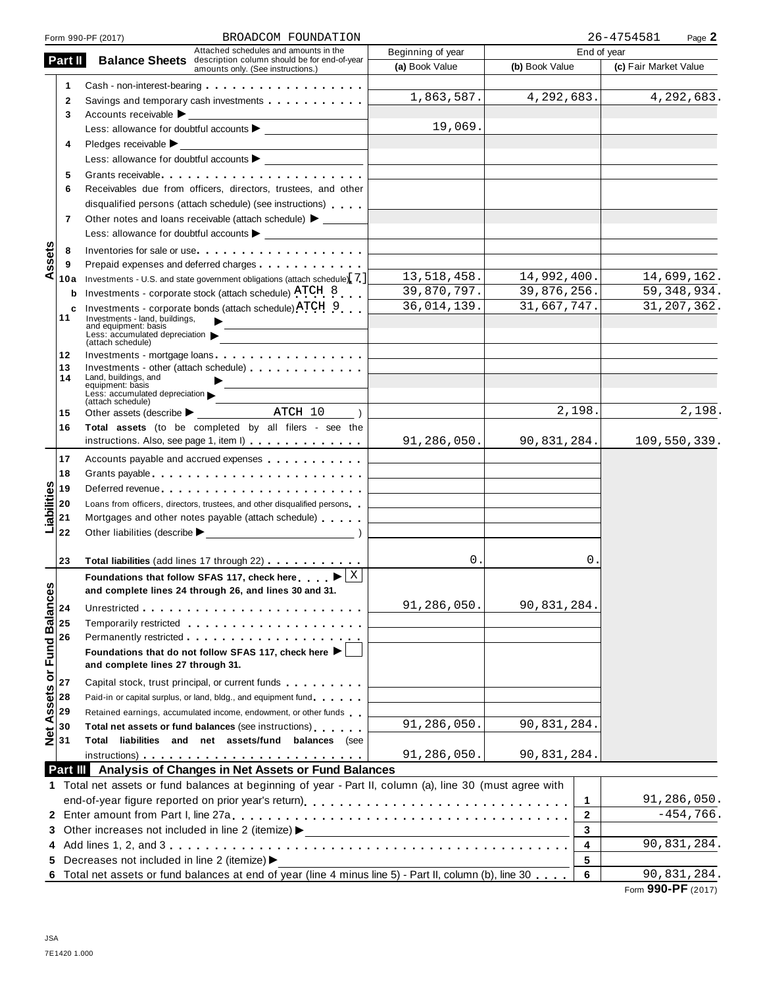|                            |         | BROADCOM FOUNDATION<br>Form 990-PF (2017)                                                                                                                                                                                      |                                                                            |                             | 26-4754581<br>Page 2       |
|----------------------------|---------|--------------------------------------------------------------------------------------------------------------------------------------------------------------------------------------------------------------------------------|----------------------------------------------------------------------------|-----------------------------|----------------------------|
|                            |         | Attached schedules and amounts in the                                                                                                                                                                                          | Beginning of year                                                          | End of year                 |                            |
|                            | Part II | <b>Balance Sheets</b> description column should be for end-of-year<br>amounts only. (See instructions.)                                                                                                                        | (a) Book Value                                                             | (b) Book Value              | (c) Fair Market Value      |
|                            | 1       | Cash - non-interest-bearing                                                                                                                                                                                                    |                                                                            |                             |                            |
|                            | 2       | Savings and temporary cash investments                                                                                                                                                                                         | 1,863,587.                                                                 | 4,292,683.                  | $\overline{4}$ , 292, 683. |
|                            | 3       | Accounts receivable $\blacktriangleright$                                                                                                                                                                                      |                                                                            |                             |                            |
|                            |         | Less: allowance for doubtful accounts $\blacktriangleright$                                                                                                                                                                    | 19,069.                                                                    |                             |                            |
|                            | 4       | Pledges receivable $\blacktriangleright$<br><u> 1980 - John Barn Barn, mars a</u>                                                                                                                                              |                                                                            |                             |                            |
|                            |         |                                                                                                                                                                                                                                |                                                                            |                             |                            |
|                            | 5       | Grants receivable                                                                                                                                                                                                              |                                                                            |                             |                            |
|                            | 6       | Receivables due from officers, directors, trustees, and other                                                                                                                                                                  |                                                                            |                             |                            |
|                            |         | disqualified persons (attach schedule) (see instructions)                                                                                                                                                                      |                                                                            |                             |                            |
|                            | 7       | Other notes and loans receivable (attach schedule) > ______                                                                                                                                                                    |                                                                            |                             |                            |
|                            |         |                                                                                                                                                                                                                                |                                                                            |                             |                            |
|                            | 8       | Inventories for sale or use                                                                                                                                                                                                    |                                                                            |                             |                            |
| ssets                      | 9       |                                                                                                                                                                                                                                |                                                                            |                             |                            |
| ⋖                          | 10a     | Investments - U.S. and state government obligations (attach schedule). 7.                                                                                                                                                      | 13,518,458.                                                                | 14,992,400.                 | 14,699,162.                |
|                            | b       | Investments - corporate stock (attach schedule) ATCH 8                                                                                                                                                                         | 39,870,797.                                                                | 39,876,256.                 | 59, 348, 934.              |
|                            | с       | Investments - corporate bonds (attach schedule) ATCH 9                                                                                                                                                                         | 36,014,139.                                                                | 31,667,747.                 | 31, 207, 362.              |
|                            | 11      | Investments - land, buildings.<br>and equipment: basis                                                                                                                                                                         |                                                                            |                             |                            |
|                            |         | Less: accumulated depreciation<br>(attach schedule)                                                                                                                                                                            |                                                                            |                             |                            |
|                            | 12      | Investments - mortgage loans                                                                                                                                                                                                   |                                                                            |                             |                            |
|                            | 13      | Investments - other (attach schedule)                                                                                                                                                                                          |                                                                            |                             |                            |
|                            | 14      | Land, buildings, and<br>equipment: basis                                                                                                                                                                                       |                                                                            |                             |                            |
|                            |         | Less: accumulated depreciation<br>(attach schedule)                                                                                                                                                                            |                                                                            |                             |                            |
|                            | 15      | Other assets (describe $\blacktriangleright$ _ ATCH 10                                                                                                                                                                         |                                                                            | 2,198.                      | 2,198.                     |
|                            | 16      | Total assets (to be completed by all filers - see the                                                                                                                                                                          |                                                                            |                             |                            |
|                            |         | instructions. Also, see page 1, item I)                                                                                                                                                                                        | 91,286,050.                                                                | 90,831,284.                 | 109,550,339.               |
|                            | 17      | Accounts payable and accrued expenses                                                                                                                                                                                          | the control of the control of the control of                               |                             |                            |
|                            | 18      |                                                                                                                                                                                                                                | the control of the control of the control of the control of                |                             |                            |
|                            | 19      |                                                                                                                                                                                                                                | the control of the control of the control of the control of the control of |                             |                            |
| Liabilities                | 20      | Loans from officers, directors, trustees, and other disqualified persons                                                                                                                                                       | the control of the control of the control of the control of the control of |                             |                            |
|                            | 21      | Mortgages and other notes payable (attach schedule)                                                                                                                                                                            | the control of the control of the control of the control of the control of |                             |                            |
|                            | 22      |                                                                                                                                                                                                                                |                                                                            |                             |                            |
|                            |         |                                                                                                                                                                                                                                |                                                                            |                             |                            |
|                            | 23      | Total liabilities (add lines 17 through 22)                                                                                                                                                                                    | 0.                                                                         | 0.                          |                            |
|                            |         | Foundations that follow SFAS 117, check here $\blacktriangleright \boxed{\mathbb{X}}$                                                                                                                                          |                                                                            |                             |                            |
| n                          |         | and complete lines 24 through 26, and lines 30 and 31                                                                                                                                                                          |                                                                            |                             |                            |
|                            | 24      |                                                                                                                                                                                                                                | 91,286,050.                                                                | 90,831,284.                 |                            |
|                            | 25      | Temporarily restricted entering the set of the set of the set of the set of the set of the set of the set of the set of the set of the set of the set of the set of the set of the set of the set of the set of the set of the |                                                                            |                             |                            |
|                            | 26      |                                                                                                                                                                                                                                |                                                                            |                             |                            |
|                            |         | Foundations that do not follow SFAS 117, check here ▶                                                                                                                                                                          |                                                                            |                             |                            |
| Net Assets or Fund Balance |         | and complete lines 27 through 31.                                                                                                                                                                                              |                                                                            |                             |                            |
|                            | 27      | Capital stock, trust principal, or current funds                                                                                                                                                                               |                                                                            |                             |                            |
|                            | 28      | Paid-in or capital surplus, or land, bldg., and equipment fund                                                                                                                                                                 |                                                                            |                             |                            |
|                            | 29      | Retained earnings, accumulated income, endowment, or other funds                                                                                                                                                               |                                                                            |                             |                            |
|                            | 30      | Total net assets or fund balances (see instructions)                                                                                                                                                                           | 91,286,050.                                                                | $\overline{90}$ , 831, 284. |                            |
|                            | 31      | Total liabilities and net assets/fund balances (see                                                                                                                                                                            |                                                                            |                             |                            |
|                            |         |                                                                                                                                                                                                                                | 91,286,050.                                                                | 90,831,284.                 |                            |
|                            |         | Part III Analysis of Changes in Net Assets or Fund Balances                                                                                                                                                                    |                                                                            |                             |                            |
|                            |         | 1 Total net assets or fund balances at beginning of year - Part II, column (a), line 30 (must agree with                                                                                                                       |                                                                            |                             |                            |
|                            |         |                                                                                                                                                                                                                                |                                                                            | 1                           | 91,286,050.                |
|                            |         |                                                                                                                                                                                                                                |                                                                            | 2                           | $-454,766.$                |
|                            |         |                                                                                                                                                                                                                                |                                                                            | 3                           |                            |
|                            |         |                                                                                                                                                                                                                                |                                                                            | 4                           | 90,831,284.                |
|                            |         | 5 Decreases not included in line 2 (itemize) >                                                                                                                                                                                 |                                                                            | 5                           |                            |
|                            |         | 6 Total net assets or fund balances at end of year (line 4 minus line 5) - Part II, column (b), line 30                                                                                                                        |                                                                            | 6                           | 90,831,284.                |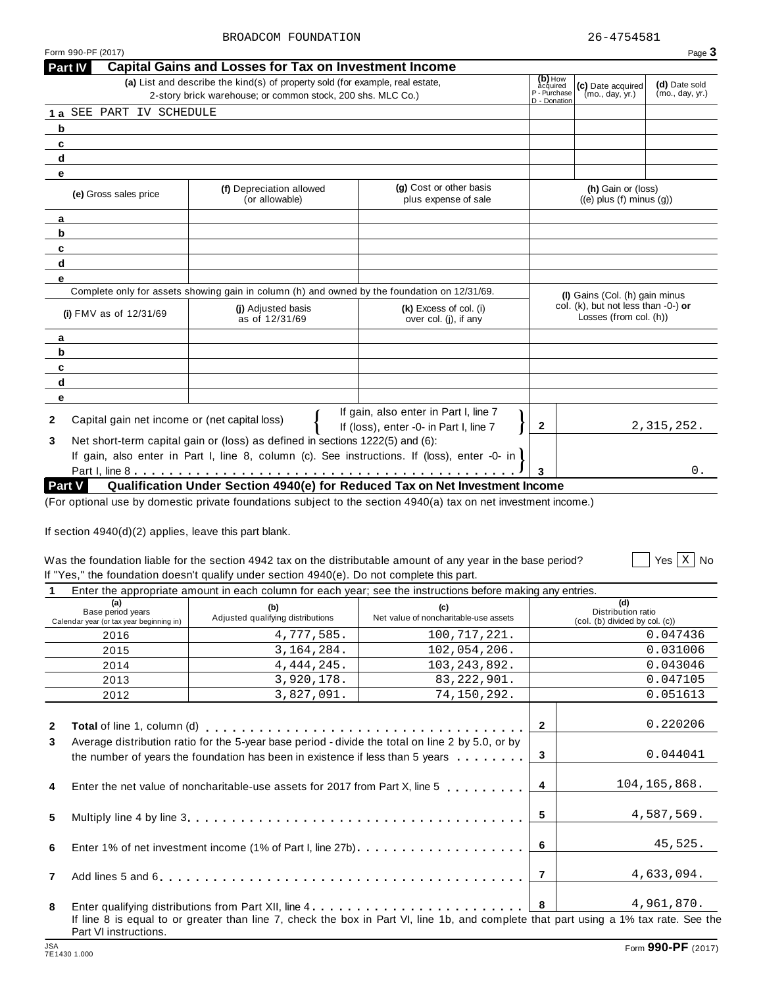$\sqrt{\frac{1}{1 + \sum_{i=1}^{n} x_i}}$  No

| <b>Part IV</b>                                     | <b>Capital Gains and Losses for Tax on Investment Income</b>                                 |                                                                                              |                                       |                                                               |                                  |
|----------------------------------------------------|----------------------------------------------------------------------------------------------|----------------------------------------------------------------------------------------------|---------------------------------------|---------------------------------------------------------------|----------------------------------|
|                                                    | (a) List and describe the kind(s) of property sold (for example, real estate,                |                                                                                              | $(b)$ How<br>acquired<br>P - Purchase | (c) Date acquired<br>(mo., day, yr.)                          | (d) Date sold<br>(mo., day, yr.) |
|                                                    | 2-story brick warehouse; or common stock, 200 shs. MLC Co.)                                  |                                                                                              | D - Donation                          |                                                               |                                  |
| 1 a SEE PART IV SCHEDULE                           |                                                                                              |                                                                                              |                                       |                                                               |                                  |
| b                                                  |                                                                                              |                                                                                              |                                       |                                                               |                                  |
| c                                                  |                                                                                              |                                                                                              |                                       |                                                               |                                  |
| d                                                  |                                                                                              |                                                                                              |                                       |                                                               |                                  |
| e                                                  |                                                                                              |                                                                                              |                                       |                                                               |                                  |
| (e) Gross sales price                              | (f) Depreciation allowed<br>(or allowable)                                                   | (g) Cost or other basis<br>plus expense of sale                                              |                                       | (h) Gain or (loss)<br>$((e)$ plus $(f)$ minus $(g)$ )         |                                  |
| a                                                  |                                                                                              |                                                                                              |                                       |                                                               |                                  |
| b                                                  |                                                                                              |                                                                                              |                                       |                                                               |                                  |
| c                                                  |                                                                                              |                                                                                              |                                       |                                                               |                                  |
| d                                                  |                                                                                              |                                                                                              |                                       |                                                               |                                  |
| e                                                  |                                                                                              |                                                                                              |                                       |                                                               |                                  |
|                                                    | Complete only for assets showing gain in column (h) and owned by the foundation on 12/31/69. |                                                                                              |                                       | (I) Gains (Col. (h) gain minus                                |                                  |
| (i) $FMV$ as of $12/31/69$                         | (i) Adjusted basis<br>as of 12/31/69                                                         | (k) Excess of col. (i)<br>over col. (j), if any                                              |                                       | col. (k), but not less than -0-) or<br>Losses (from col. (h)) |                                  |
| a                                                  |                                                                                              |                                                                                              |                                       |                                                               |                                  |
| b                                                  |                                                                                              |                                                                                              |                                       |                                                               |                                  |
| C                                                  |                                                                                              |                                                                                              |                                       |                                                               |                                  |
| d                                                  |                                                                                              |                                                                                              |                                       |                                                               |                                  |
| e                                                  |                                                                                              |                                                                                              |                                       |                                                               |                                  |
| Capital gain net income or (net capital loss)<br>2 |                                                                                              | If gain, also enter in Part I, line 7<br>If (loss), enter -0- in Part I, line 7              | $\mathbf{2}$                          |                                                               | 2,315,252.                       |
| 3                                                  | Net short-term capital gain or (loss) as defined in sections 1222(5) and (6):                |                                                                                              |                                       |                                                               |                                  |
|                                                    |                                                                                              | If gain, also enter in Part I, line 8, column (c). See instructions. If (loss), enter -0- in |                                       |                                                               |                                  |
|                                                    |                                                                                              |                                                                                              | $\overline{3}$                        |                                                               | 0.                               |
|                                                    |                                                                                              | Qualification Under Section 4940(e) for Reduced Tax on Net Investment Income                 |                                       |                                                               |                                  |

If section 4940(d)(2) applies, leave this part blank.

#### Was the foundation liable for the section 4942 tax on the distributable amount of any year in the base period? If "Yes," the foundation doesn't qualify under section 4940(e). Do not complete this part. Yes No

|                                                                                                            |  | $\mathbf{1}$ , $\mathbf{1}$ , $\mathbf{1}$ , $\mathbf{1}$ , $\mathbf{1}$ , $\mathbf{1}$ , $\mathbf{1}$ , $\mathbf{1}$ , $\mathbf{1}$ |  |  |  |
|------------------------------------------------------------------------------------------------------------|--|--------------------------------------------------------------------------------------------------------------------------------------|--|--|--|
| Enter the appropriate amount in each column for each year; see the instructions before making any entries. |  |                                                                                                                                      |  |  |  |
|                                                                                                            |  |                                                                                                                                      |  |  |  |

| (a)<br>Base period years<br>Calendar year (or tax year beginning in) | (b)<br>Adjusted qualifying distributions                                                                                                                                          | (c)<br>Net value of noncharitable-use assets |                | (d)<br>Distribution ratio<br>(col. (b) divided by col. (c)) |  |  |
|----------------------------------------------------------------------|-----------------------------------------------------------------------------------------------------------------------------------------------------------------------------------|----------------------------------------------|----------------|-------------------------------------------------------------|--|--|
| 2016                                                                 | 4,777,585.                                                                                                                                                                        | 100,717,221.                                 |                | 0.047436                                                    |  |  |
| 2015                                                                 | 3, 164, 284.                                                                                                                                                                      | 102,054,206.                                 |                | 0.031006                                                    |  |  |
| 2014                                                                 | 4, 444, 245.                                                                                                                                                                      | 103, 243, 892.                               |                | 0.043046                                                    |  |  |
| 2013                                                                 | 3,920,178.                                                                                                                                                                        | 83, 222, 901.                                |                | 0.047105                                                    |  |  |
| 2012                                                                 | 3,827,091.                                                                                                                                                                        | 74,150,292.                                  |                | 0.051613                                                    |  |  |
| $\mathbf{2}$                                                         |                                                                                                                                                                                   |                                              | $\mathbf{2}$   | 0.220206                                                    |  |  |
| 3                                                                    | Average distribution ratio for the 5-year base period - divide the total on line 2 by 5.0, or by<br>the number of years the foundation has been in existence if less than 5 years |                                              |                |                                                             |  |  |
| 4                                                                    | Enter the net value of noncharitable-use assets for 2017 from Part X, line 5                                                                                                      |                                              | $\overline{4}$ | 104,165,868.                                                |  |  |
| 5                                                                    |                                                                                                                                                                                   |                                              | 5              | 4,587,569.                                                  |  |  |
| 6                                                                    |                                                                                                                                                                                   |                                              | - 6            | 45,525.                                                     |  |  |
| $\overline{7}$                                                       |                                                                                                                                                                                   |                                              | $\overline{7}$ | 4,633,094.                                                  |  |  |
| 8                                                                    |                                                                                                                                                                                   |                                              | 8              | 4,961,870.                                                  |  |  |
| Part VI instructions.                                                | If line 8 is equal to or greater than line 7, check the box in Part VI, line 1b, and complete that part using a 1% tax rate. See the                                              |                                              |                |                                                             |  |  |

Form 990-PF (2017) Page  $3$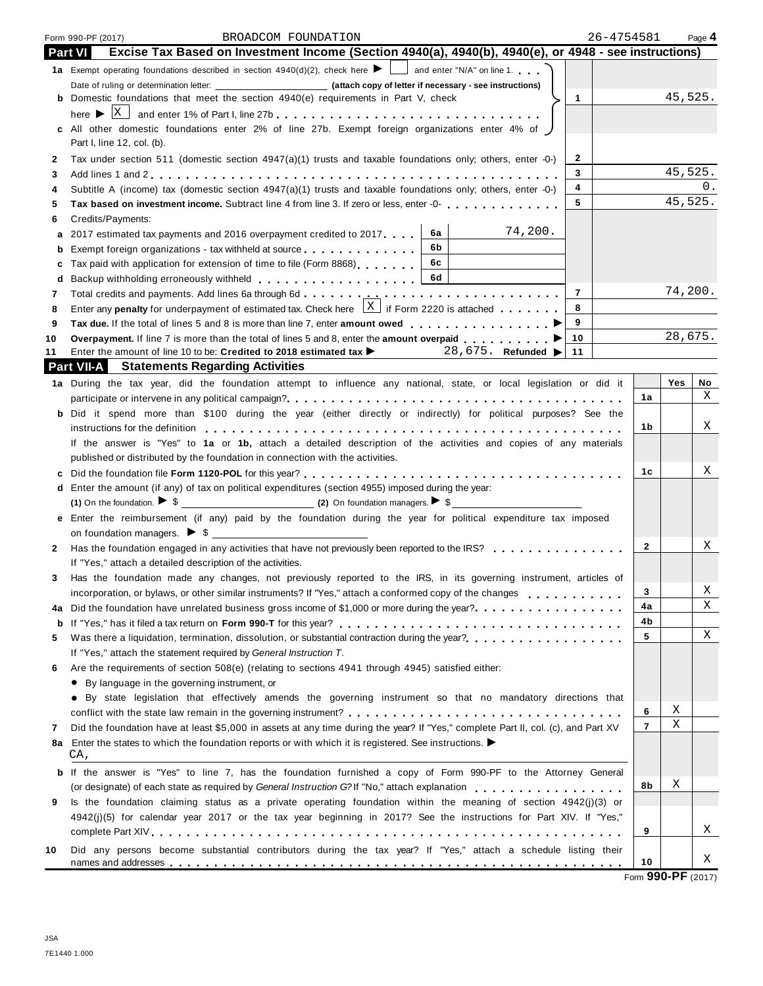|    | 26-4754581<br>BROADCOM FOUNDATION<br>Form 990-PF (2017)                                                                                                                                                                                 |                |         | Page 4  |
|----|-----------------------------------------------------------------------------------------------------------------------------------------------------------------------------------------------------------------------------------------|----------------|---------|---------|
|    | Excise Tax Based on Investment Income (Section 4940(a), 4940(b), 4940(e), or 4948 - see instructions)<br><b>Part VI</b>                                                                                                                 |                |         |         |
|    | <b>1a</b> Exempt operating foundations described in section $4940(d)(2)$ , check here $\bullet$ and enter "N/A" on line 1.                                                                                                              |                |         |         |
|    |                                                                                                                                                                                                                                         |                |         |         |
|    | <b>b</b> Domestic foundations that meet the section 4940(e) requirements in Part V, check<br>$\mathbf{1}$                                                                                                                               |                | 45,525. |         |
|    |                                                                                                                                                                                                                                         |                |         |         |
|    | c All other domestic foundations enter 2% of line 27b. Exempt foreign organizations enter 4% of                                                                                                                                         |                |         |         |
|    | Part I, line 12, col. (b).                                                                                                                                                                                                              |                |         |         |
| 2  | 2<br>Tax under section 511 (domestic section $4947(a)(1)$ trusts and taxable foundations only; others, enter -0-)                                                                                                                       |                |         |         |
| 3  | 3                                                                                                                                                                                                                                       |                | 45,525. |         |
| 4  | 4<br>Subtitle A (income) tax (domestic section $4947(a)(1)$ trusts and taxable foundations only; others, enter -0-)                                                                                                                     |                |         | 0.      |
| 5  | 5<br>Tax based on investment income. Subtract line 4 from line 3. If zero or less, enter -0-                                                                                                                                            |                | 45,525. |         |
| 6  | Credits/Payments:                                                                                                                                                                                                                       |                |         |         |
| а  | 74,200.<br>6а<br>2017 estimated tax payments and 2016 overpayment credited to 2017.                                                                                                                                                     |                |         |         |
| b  | 6b.<br>Exempt foreign organizations - tax withheld at source                                                                                                                                                                            |                |         |         |
| c  | 6c<br>Tax paid with application for extension of time to file (Form 8868)                                                                                                                                                               |                |         |         |
| d  | 6d                                                                                                                                                                                                                                      |                |         |         |
| 7  | $\overline{7}$                                                                                                                                                                                                                          |                | 74,200. |         |
| 8  | Enter any penalty for underpayment of estimated tax. Check here $\frac{X}{X}$ if Form 2220 is attached<br>8                                                                                                                             |                |         |         |
| 9  | 9                                                                                                                                                                                                                                       |                |         |         |
| 10 | 10<br>Overpayment. If line 7 is more than the total of lines 5 and 8, enter the amount overpaid ▶                                                                                                                                       |                | 28,675. |         |
| 11 | Enter the amount of line 10 to be: Credited to 2018 estimated tax ><br>11<br>28,675. Refunded ▶<br><b>Part VII-A</b> Statements Regarding Activities                                                                                    |                |         |         |
|    |                                                                                                                                                                                                                                         |                |         |         |
|    | 1a During the tax year, did the foundation attempt to influence any national, state, or local legislation or did it                                                                                                                     | 1a             | Yes     | No<br>X |
|    |                                                                                                                                                                                                                                         |                |         |         |
|    | b Did it spend more than \$100 during the year (either directly or indirectly) for political purposes? See the                                                                                                                          | 1b             |         | Χ       |
|    | instructions for the definition enterpretation of the state of the state of the state of the state of the definition<br>If the answer is "Yes" to 1a or 1b, attach a detailed description of the activities and copies of any materials |                |         |         |
|    |                                                                                                                                                                                                                                         |                |         |         |
|    | published or distributed by the foundation in connection with the activities.                                                                                                                                                           | 1c             |         | Χ       |
|    | d Enter the amount (if any) of tax on political expenditures (section 4955) imposed during the year:                                                                                                                                    |                |         |         |
|    |                                                                                                                                                                                                                                         |                |         |         |
|    | e Enter the reimbursement (if any) paid by the foundation during the year for political expenditure tax imposed                                                                                                                         |                |         |         |
|    |                                                                                                                                                                                                                                         |                |         |         |
| 2  | Has the foundation engaged in any activities that have not previously been reported to the IRS?                                                                                                                                         | $\mathbf{2}$   |         | Χ       |
|    | If "Yes," attach a detailed description of the activities.                                                                                                                                                                              |                |         |         |
| 3. | Has the foundation made any changes, not previously reported to the IRS, in its governing instrument, articles of                                                                                                                       |                |         |         |
|    | incorporation, or bylaws, or other similar instruments? If "Yes," attach a conformed copy of the changes                                                                                                                                | 3              |         | X       |
| 4a |                                                                                                                                                                                                                                         | 4a             |         | Χ       |
| b  |                                                                                                                                                                                                                                         | 4b             |         |         |
| 5  |                                                                                                                                                                                                                                         | 5              |         | Χ       |
|    | If "Yes," attach the statement required by General Instruction T.                                                                                                                                                                       |                |         |         |
| 6  | Are the requirements of section 508(e) (relating to sections 4941 through 4945) satisfied either:                                                                                                                                       |                |         |         |
|    | • By language in the governing instrument, or                                                                                                                                                                                           |                |         |         |
|    | • By state legislation that effectively amends the governing instrument so that no mandatory directions that                                                                                                                            |                |         |         |
|    |                                                                                                                                                                                                                                         | 6              | X       |         |
| 7  | Did the foundation have at least \$5,000 in assets at any time during the year? If "Yes," complete Part II, col. (c), and Part XV                                                                                                       | $\overline{7}$ | Χ       |         |
| 8a | Enter the states to which the foundation reports or with which it is registered. See instructions. $\blacktriangleright$                                                                                                                |                |         |         |
|    | CA,                                                                                                                                                                                                                                     |                |         |         |
| b  | If the answer is "Yes" to line 7, has the foundation furnished a copy of Form 990-PF to the Attorney General                                                                                                                            |                |         |         |
|    | (or designate) of each state as required by General Instruction G?If "No," attach explanation                                                                                                                                           | 8b             | Χ       |         |
| 9  | Is the foundation claiming status as a private operating foundation within the meaning of section 4942(j)(3) or                                                                                                                         |                |         |         |
|    | 4942(j)(5) for calendar year 2017 or the tax year beginning in 2017? See the instructions for Part XIV. If "Yes,"                                                                                                                       |                |         |         |
|    |                                                                                                                                                                                                                                         | 9              |         | Χ       |
| 10 | Did any persons become substantial contributors during the tax year? If "Yes," attach a schedule listing their                                                                                                                          |                |         |         |
|    |                                                                                                                                                                                                                                         | 10             |         | Χ       |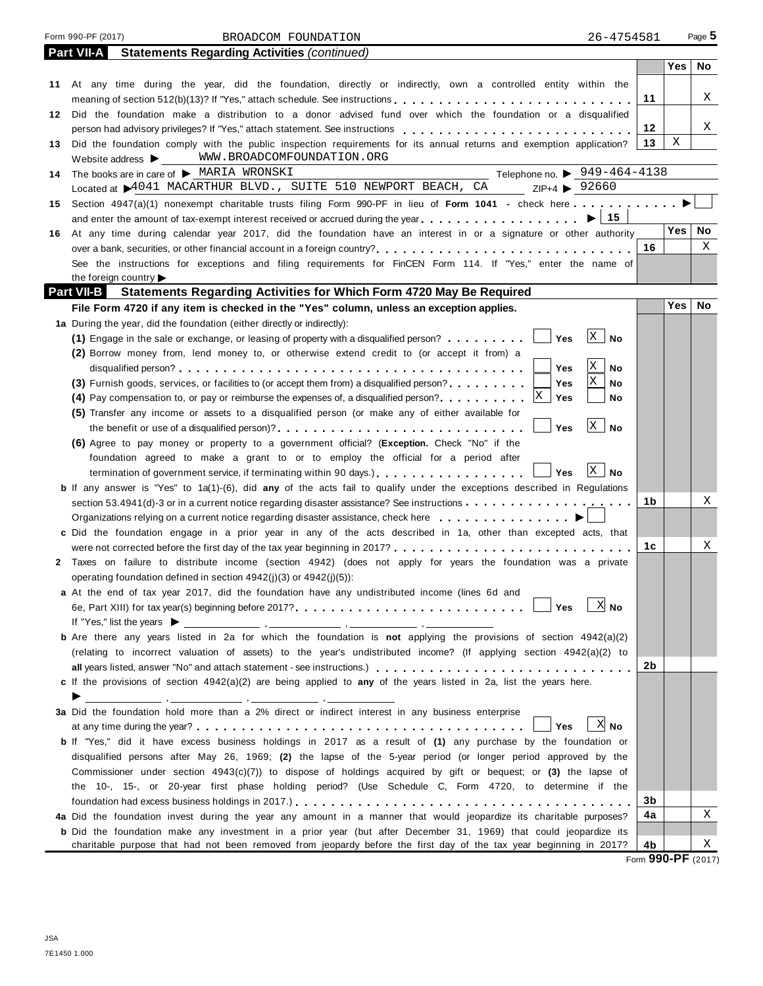|    | Form 990-PF (2017)<br>26-4754581<br>BROADCOM FOUNDATION                                                                                                                                               |    |            | Page 5 |
|----|-------------------------------------------------------------------------------------------------------------------------------------------------------------------------------------------------------|----|------------|--------|
|    | Part VII-A<br><b>Statements Regarding Activities (continued)</b>                                                                                                                                      |    |            |        |
|    |                                                                                                                                                                                                       |    | Yes        | No     |
|    | 11 At any time during the year, did the foundation, directly or indirectly, own a controlled entity within the                                                                                        |    |            |        |
|    |                                                                                                                                                                                                       | 11 |            | X      |
| 12 | Did the foundation make a distribution to a donor advised fund over which the foundation or a disqualified                                                                                            |    |            |        |
|    | person had advisory privileges? If "Yes," attach statement. See instructions                                                                                                                          | 12 |            | X      |
| 13 | Did the foundation comply with the public inspection requirements for its annual returns and exemption application?                                                                                   | 13 | Χ          |        |
|    | WWW.BROADCOMFOUNDATION.ORG<br>Website address $\blacktriangleright$ __                                                                                                                                |    |            |        |
| 14 | Telephone no. $\triangleright$ 949-464-4138<br>The books are in care of > MARIA WRONSKI                                                                                                               |    |            |        |
|    | Located at 4041 MACARTHUR BLVD., SUITE 510 NEWPORT BEACH, CA ZIP+4 > 92660                                                                                                                            |    |            |        |
| 15 | Section 4947(a)(1) nonexempt charitable trusts filing Form 990-PF in lieu of Form 1041 - check here                                                                                                   |    |            |        |
|    | and enter the amount of tax-exempt interest received or accrued during the year $\dots \dots \dots \dots \dots \dots \longrightarrow 15$                                                              |    |            |        |
| 16 | At any time during calendar year 2017, did the foundation have an interest in or a signature or other authority                                                                                       |    | Yes        | No     |
|    |                                                                                                                                                                                                       | 16 |            | X      |
|    | See the instructions for exceptions and filing requirements for FinCEN Form 114. If "Yes," enter the name of                                                                                          |    |            |        |
|    | the foreign country                                                                                                                                                                                   |    |            |        |
|    | Part VII-B Statements Regarding Activities for Which Form 4720 May Be Required                                                                                                                        |    |            |        |
|    | File Form 4720 if any item is checked in the "Yes" column, unless an exception applies.                                                                                                               |    | <b>Yes</b> | No     |
|    | 1a During the year, did the foundation (either directly or indirectly):                                                                                                                               |    |            |        |
|    | X <br>(1) Engage in the sale or exchange, or leasing of property with a disqualified person? $\Box$<br>Yes<br><b>No</b>                                                                               |    |            |        |
|    | (2) Borrow money from, lend money to, or otherwise extend credit to (or accept it from) a                                                                                                             |    |            |        |
|    | X<br>Yes<br>No<br>X                                                                                                                                                                                   |    |            |        |
|    | (3) Furnish goods, services, or facilities to (or accept them from) a disqualified person?<br>Yes<br>No                                                                                               |    |            |        |
|    | X<br>Yes<br>(4) Pay compensation to, or pay or reimburse the expenses of, a disqualified person?<br>No                                                                                                |    |            |        |
|    | (5) Transfer any income or assets to a disqualified person (or make any of either available for<br>$\mathbf{x}$                                                                                       |    |            |        |
|    | <b>Yes</b><br>No                                                                                                                                                                                      |    |            |        |
|    | (6) Agree to pay money or property to a government official? (Exception. Check "No" if the                                                                                                            |    |            |        |
|    | foundation agreed to make a grant to or to employ the official for a period after<br>$\mathbf{X}$<br><b>No</b>                                                                                        |    |            |        |
|    | termination of government service, if terminating within 90 days.<br>Yes                                                                                                                              |    |            |        |
|    | b If any answer is "Yes" to 1a(1)-(6), did any of the acts fail to qualify under the exceptions described in Regulations                                                                              | 1b |            | Χ      |
|    |                                                                                                                                                                                                       |    |            |        |
|    | Organizations relying on a current notice regarding disaster assistance, check here<br>c Did the foundation engage in a prior year in any of the acts described in 1a, other than excepted acts, that |    |            |        |
|    |                                                                                                                                                                                                       | 1c |            | Χ      |
| 2  | Taxes on failure to distribute income (section 4942) (does not apply for years the foundation was a private                                                                                           |    |            |        |
|    | operating foundation defined in section 4942(j)(3) or 4942(j)(5)):                                                                                                                                    |    |            |        |
|    | a At the end of tax year 2017, did the foundation have any undistributed income (lines 6d and                                                                                                         |    |            |        |
|    | $X$ No<br>Yes                                                                                                                                                                                         |    |            |        |
|    |                                                                                                                                                                                                       |    |            |        |
|    | b Are there any years listed in 2a for which the foundation is not applying the provisions of section 4942(a)(2)                                                                                      |    |            |        |
|    | (relating to incorrect valuation of assets) to the year's undistributed income? (If applying section 4942(a)(2) to                                                                                    |    |            |        |
|    |                                                                                                                                                                                                       | 2b |            |        |
|    | c If the provisions of section 4942(a)(2) are being applied to any of the years listed in 2a, list the years here.                                                                                    |    |            |        |
|    | $\blacktriangleright \underbrace{\hspace{2.5cm}}$                                                                                                                                                     |    |            |        |
|    | 3a Did the foundation hold more than a 2% direct or indirect interest in any business enterprise                                                                                                      |    |            |        |
|    | $X$ No<br>Yes                                                                                                                                                                                         |    |            |        |
|    | <b>b</b> If "Yes," did it have excess business holdings in 2017 as a result of (1) any purchase by the foundation or                                                                                  |    |            |        |
|    | disqualified persons after May 26, 1969; (2) the lapse of the 5-year period (or longer period approved by the                                                                                         |    |            |        |
|    | Commissioner under section $4943(c)(7)$ to dispose of holdings acquired by gift or bequest; or (3) the lapse of                                                                                       |    |            |        |
|    | the 10-, 15-, or 20-year first phase holding period? (Use Schedule C, Form 4720, to determine if the                                                                                                  |    |            |        |
|    |                                                                                                                                                                                                       | 3b |            |        |
|    | 4a Did the foundation invest during the year any amount in a manner that would jeopardize its charitable purposes?                                                                                    | 4a |            | Χ      |
|    | <b>b</b> Did the foundation make any investment in a prior year (but after December 31, 1969) that could jeopardize its                                                                               |    |            |        |
|    | charitable purpose that had not been removed from jeopardy before the first day of the tax year beginning in 2017?                                                                                    | 4b |            | X      |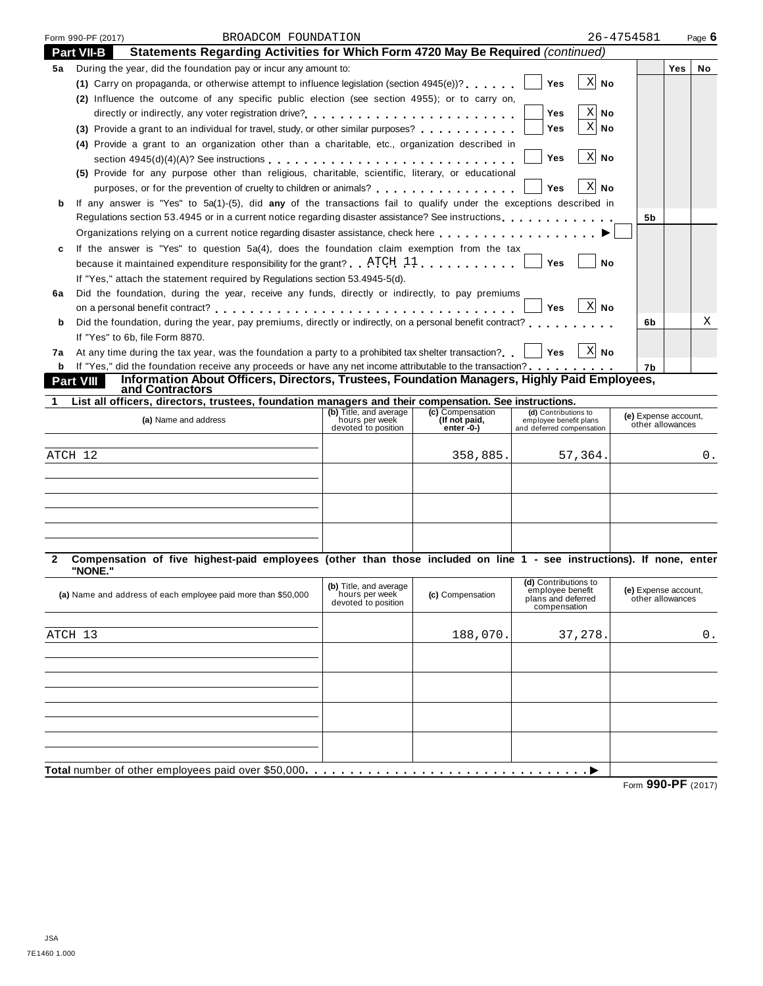|              | Form 990-PF (2017) | BROADCOM FOUNDATION                                                                                                  |                                       |                  |                                        | 26-4754581                               | Page 6    |
|--------------|--------------------|----------------------------------------------------------------------------------------------------------------------|---------------------------------------|------------------|----------------------------------------|------------------------------------------|-----------|
|              | <b>Part VII-B</b>  | Statements Regarding Activities for Which Form 4720 May Be Required (continued)                                      |                                       |                  |                                        |                                          |           |
| 5а           |                    | During the year, did the foundation pay or incur any amount to:                                                      |                                       |                  |                                        |                                          | Yes<br>No |
|              |                    | (1) Carry on propaganda, or otherwise attempt to influence legislation (section $4945(e)$ )?                         |                                       |                  | $X$ No<br>Yes                          |                                          |           |
|              |                    | (2) Influence the outcome of any specific public election (see section 4955); or to carry on,                        |                                       |                  |                                        |                                          |           |
|              |                    |                                                                                                                      |                                       |                  | $X \mid N$ o<br>Yes                    |                                          |           |
|              |                    | (3) Provide a grant to an individual for travel, study, or other similar purposes?                                   |                                       |                  | $\mathbf{X}$<br>Yes<br>No              |                                          |           |
|              |                    | (4) Provide a grant to an organization other than a charitable, etc., organization described in                      |                                       |                  |                                        |                                          |           |
|              |                    | section $4945(d)(4)(A)?$ See instructions $\ldots \ldots \ldots \ldots \ldots \ldots \ldots \ldots \ldots \ldots$    |                                       |                  | $X$ No<br>Yes                          |                                          |           |
|              |                    | (5) Provide for any purpose other than religious, charitable, scientific, literary, or educational                   |                                       |                  |                                        |                                          |           |
|              |                    | purposes, or for the prevention of cruelty to children or animals?                                                   |                                       |                  | $X$ No<br>Yes                          |                                          |           |
| b            |                    | If any answer is "Yes" to 5a(1)-(5), did any of the transactions fail to qualify under the exceptions described in   |                                       |                  |                                        |                                          |           |
|              |                    | Regulations section 53.4945 or in a current notice regarding disaster assistance? See instructions                   |                                       |                  |                                        | 5b                                       |           |
|              |                    | Organizations relying on a current notice regarding disaster assistance, check here                                  |                                       |                  |                                        |                                          |           |
| c            |                    | If the answer is "Yes" to question 5a(4), does the foundation claim exemption from the tax                           |                                       |                  |                                        |                                          |           |
|              |                    | because it maintained expenditure responsibility for the grant? $ATCH$ 11                                            |                                       |                  | Yes<br>No                              |                                          |           |
|              |                    | If "Yes," attach the statement required by Regulations section 53.4945-5(d).                                         |                                       |                  |                                        |                                          |           |
| 6a           |                    | Did the foundation, during the year, receive any funds, directly or indirectly, to pay premiums                      |                                       |                  |                                        |                                          |           |
|              |                    |                                                                                                                      |                                       |                  | $X$ No<br>Yes                          |                                          |           |
| b            |                    | Did the foundation, during the year, pay premiums, directly or indirectly, on a personal benefit contract?           |                                       |                  |                                        | 6b                                       | Χ         |
|              |                    | If "Yes" to 6b, file Form 8870.                                                                                      |                                       |                  |                                        |                                          |           |
| 7а           |                    | At any time during the tax year, was the foundation a party to a prohibited tax shelter transaction?                 |                                       |                  | $ X $ No<br>∣ Yes                      |                                          |           |
| b            |                    | If "Yes," did the foundation receive any proceeds or have any net income attributable to the transaction?            |                                       |                  |                                        | 7b                                       |           |
|              | <b>Part VIII</b>   | Information About Officers, Directors, Trustees, Foundation Managers, Highly Paid Employees,                         |                                       |                  |                                        |                                          |           |
|              |                    | and Contractors                                                                                                      |                                       |                  |                                        |                                          |           |
|              |                    | List all officers, directors, trustees, foundation managers and their compensation. See instructions.                | (b) Title, and average                | (c) Compensation | (d) Contributions to                   |                                          |           |
|              |                    | (a) Name and address                                                                                                 | hours per week<br>devoted to position | (If not paid,    | employee benefit plans                 | (e) Expense account,<br>other allowances |           |
|              |                    |                                                                                                                      |                                       | enter -0-)       | and deferred compensation              |                                          |           |
| ATCH 12      |                    |                                                                                                                      |                                       |                  |                                        |                                          |           |
|              |                    |                                                                                                                      |                                       |                  |                                        |                                          |           |
|              |                    |                                                                                                                      |                                       | 358,885.         | 57,364.                                |                                          | 0.        |
|              |                    |                                                                                                                      |                                       |                  |                                        |                                          |           |
|              |                    |                                                                                                                      |                                       |                  |                                        |                                          |           |
|              |                    |                                                                                                                      |                                       |                  |                                        |                                          |           |
|              |                    |                                                                                                                      |                                       |                  |                                        |                                          |           |
|              |                    |                                                                                                                      |                                       |                  |                                        |                                          |           |
|              |                    |                                                                                                                      |                                       |                  |                                        |                                          |           |
|              | "NONE."            | Compensation of five highest-paid employees (other than those included on line 1 - see instructions). If none, enter |                                       |                  |                                        |                                          |           |
|              |                    |                                                                                                                      | (b) Title, and average                |                  | (d) Contributions to                   |                                          |           |
|              |                    | (a) Name and address of each employee paid more than \$50,000                                                        | hours per week<br>devoted to position | (c) Compensation | employee benefit<br>plans and deferred | (e) Expense account,<br>other allowances |           |
|              |                    |                                                                                                                      |                                       |                  | compensation                           |                                          |           |
|              |                    |                                                                                                                      |                                       |                  |                                        |                                          |           |
|              |                    |                                                                                                                      |                                       | 188,070.         | 37,278.                                |                                          | 0.        |
|              |                    |                                                                                                                      |                                       |                  |                                        |                                          |           |
|              |                    |                                                                                                                      |                                       |                  |                                        |                                          |           |
|              |                    |                                                                                                                      |                                       |                  |                                        |                                          |           |
|              |                    |                                                                                                                      |                                       |                  |                                        |                                          |           |
| 2<br>ATCH 13 |                    |                                                                                                                      |                                       |                  |                                        |                                          |           |
|              |                    |                                                                                                                      |                                       |                  |                                        |                                          |           |
|              |                    |                                                                                                                      |                                       |                  |                                        |                                          |           |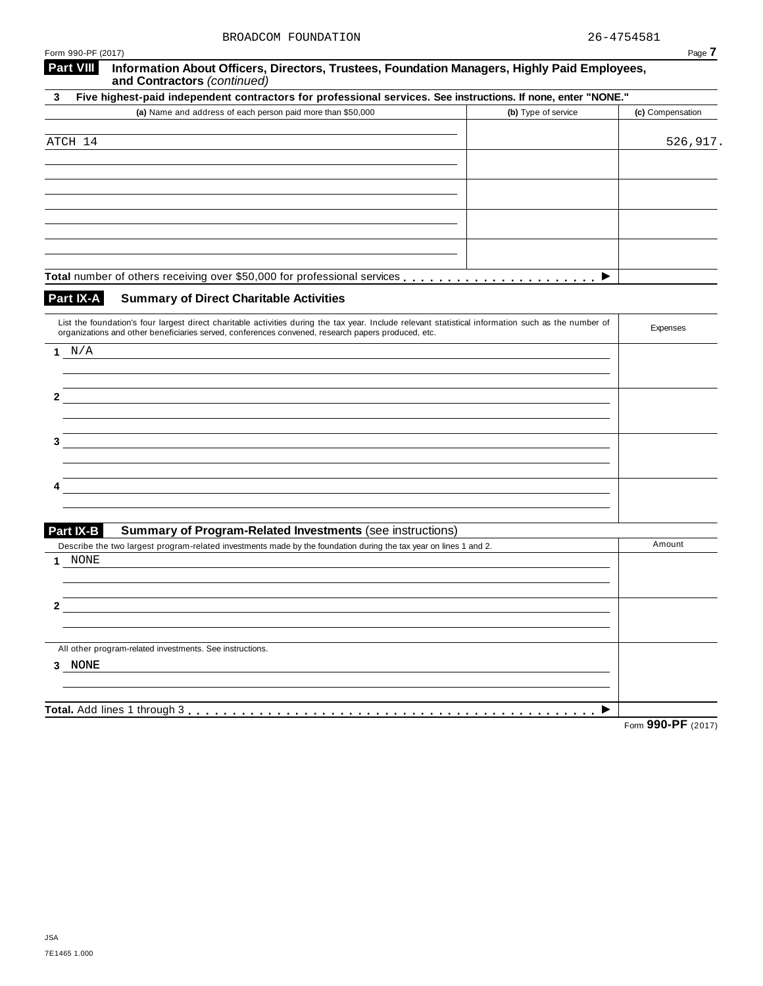| Form 990-PF (2017)                                                                                                                                                                                                                                        |                     | Page 7           |
|-----------------------------------------------------------------------------------------------------------------------------------------------------------------------------------------------------------------------------------------------------------|---------------------|------------------|
| <b>Part VIII</b><br>Information About Officers, Directors, Trustees, Foundation Managers, Highly Paid Employees,<br>and Contractors (continued)                                                                                                           |                     |                  |
| Five highest-paid independent contractors for professional services. See instructions. If none, enter "NONE."<br>3                                                                                                                                        |                     |                  |
| (a) Name and address of each person paid more than \$50,000                                                                                                                                                                                               | (b) Type of service | (c) Compensation |
| ATCH 14                                                                                                                                                                                                                                                   |                     | 526,917.         |
|                                                                                                                                                                                                                                                           |                     |                  |
|                                                                                                                                                                                                                                                           |                     |                  |
|                                                                                                                                                                                                                                                           |                     |                  |
|                                                                                                                                                                                                                                                           |                     |                  |
|                                                                                                                                                                                                                                                           |                     |                  |
|                                                                                                                                                                                                                                                           | ▶                   |                  |
| Part IX-A<br><b>Summary of Direct Charitable Activities</b>                                                                                                                                                                                               |                     |                  |
| List the foundation's four largest direct charitable activities during the tax year. Include relevant statistical information such as the number of<br>organizations and other beneficiaries served, conferences convened, research papers produced, etc. |                     | Expenses         |
| 1 $N/A$                                                                                                                                                                                                                                                   |                     |                  |
|                                                                                                                                                                                                                                                           |                     |                  |
| 2                                                                                                                                                                                                                                                         |                     |                  |
|                                                                                                                                                                                                                                                           |                     |                  |
| 3                                                                                                                                                                                                                                                         |                     |                  |
|                                                                                                                                                                                                                                                           |                     |                  |
|                                                                                                                                                                                                                                                           |                     |                  |
|                                                                                                                                                                                                                                                           |                     |                  |
| Part IX-B<br><b>Summary of Program-Related Investments (see instructions)</b>                                                                                                                                                                             |                     |                  |
| Describe the two largest program-related investments made by the foundation during the tax year on lines 1 and 2.<br>NONE<br>1                                                                                                                            |                     | Amount           |
|                                                                                                                                                                                                                                                           |                     |                  |
| 2                                                                                                                                                                                                                                                         |                     |                  |
|                                                                                                                                                                                                                                                           |                     |                  |
| All other program-related investments. See instructions.                                                                                                                                                                                                  |                     |                  |
| 3 NONE                                                                                                                                                                                                                                                    |                     |                  |
|                                                                                                                                                                                                                                                           |                     |                  |
|                                                                                                                                                                                                                                                           |                     | 00000            |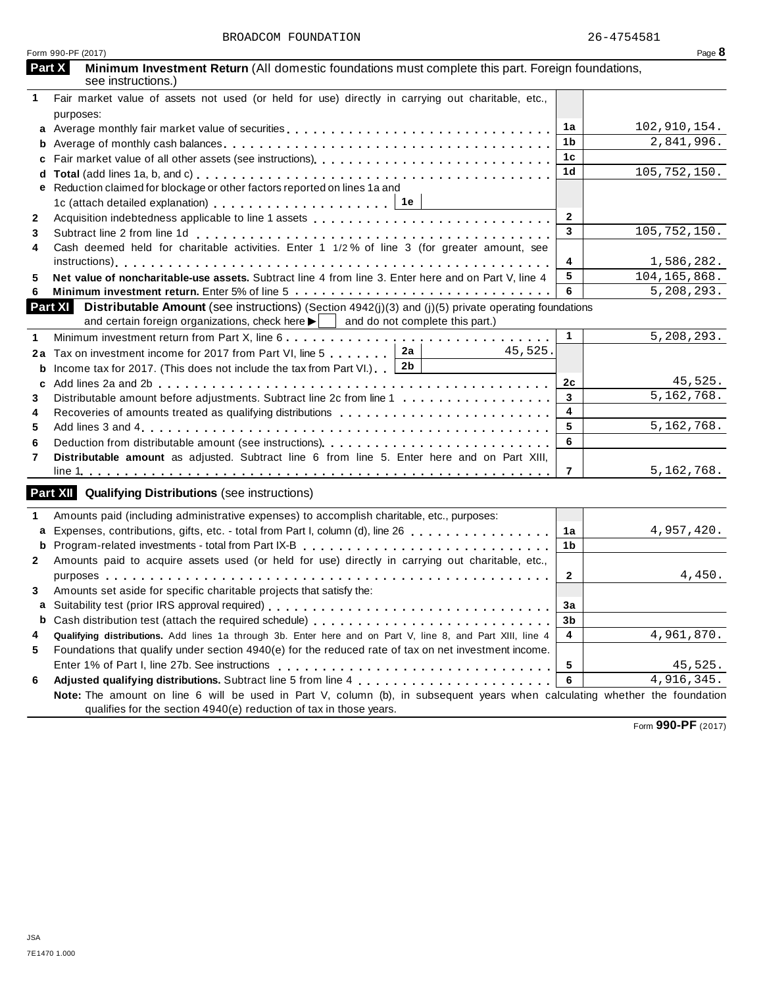|              | Form 990-PF (2017)                                                                                                                |                | Page 8         |
|--------------|-----------------------------------------------------------------------------------------------------------------------------------|----------------|----------------|
|              | Part X<br>Minimum Investment Return (All domestic foundations must complete this part. Foreign foundations,<br>see instructions.) |                |                |
| 1            | Fair market value of assets not used (or held for use) directly in carrying out charitable, etc.,                                 |                |                |
|              | purposes:                                                                                                                         |                |                |
|              |                                                                                                                                   | 1a             | 102,910,154.   |
| b            |                                                                                                                                   | 1 <sub>b</sub> | 2,841,996.     |
| c            |                                                                                                                                   | 1c             |                |
| d            |                                                                                                                                   | 1 <sub>d</sub> | 105,752,150.   |
| е            | Reduction claimed for blockage or other factors reported on lines 1a and                                                          |                |                |
|              | 1c (attach detailed explanation) $\ldots \ldots \ldots \ldots \ldots \ldots$   1e                                                 |                |                |
| $\mathbf{2}$ |                                                                                                                                   | $\overline{2}$ |                |
| 3            |                                                                                                                                   | 3              | 105,752,150.   |
| 4            | Cash deemed held for charitable activities. Enter 1 1/2% of line 3 (for greater amount, see                                       |                |                |
|              |                                                                                                                                   | 4              | 1,586,282.     |
| 5            | Net value of noncharitable-use assets. Subtract line 4 from line 3. Enter here and on Part V, line 4                              | 5              | 104, 165, 868. |
| 6            |                                                                                                                                   | 6              | 5,208,293.     |
|              | Part XI Distributable Amount (see instructions) (Section 4942(j)(3) and (j)(5) private operating foundations                      |                |                |
|              | and certain foreign organizations, check here $\blacktriangleright$ $\parallel$ and do not complete this part.)                   |                |                |
| 1            |                                                                                                                                   | $\mathbf{1}$   | 5,208,293.     |
| 2a           | 2a<br>45,525.<br>Tax on investment income for 2017 from Part VI, line 5                                                           |                |                |
| b            | 2b<br>Income tax for 2017. (This does not include the tax from Part VI.).                                                         |                |                |
| c            |                                                                                                                                   | 2c             | 45,525.        |
| 3            | Distributable amount before adjustments. Subtract line 2c from line 1                                                             | $\mathbf{3}$   | 5, 162, 768.   |
| 4            | Recoveries of amounts treated as qualifying distributions                                                                         | 4              |                |
| 5            |                                                                                                                                   | 5              | 5, 162, 768.   |
| 6            | Deduction from distributable amount (see instructions)                                                                            | 6              |                |
| 7            | Distributable amount as adjusted. Subtract line 6 from line 5. Enter here and on Part XIII,                                       |                |                |
|              |                                                                                                                                   | $\overline{7}$ | 5, 162, 768.   |
|              |                                                                                                                                   |                |                |
|              | Part XII Qualifying Distributions (see instructions)                                                                              |                |                |
| 1            | Amounts paid (including administrative expenses) to accomplish charitable, etc., purposes:                                        |                |                |
| a            | Expenses, contributions, gifts, etc. - total from Part I, column (d), line 26                                                     | 1a             | 4,957,420.     |
| b            |                                                                                                                                   | 1b             |                |
| $\mathbf{2}$ | Amounts paid to acquire assets used (or held for use) directly in carrying out charitable, etc.,                                  |                |                |
|              |                                                                                                                                   | $\mathbf{2}$   | 4,450.         |
| 3            | Amounts set aside for specific charitable projects that satisfy the:                                                              |                |                |
|              |                                                                                                                                   | 3a             |                |
| b            |                                                                                                                                   | 3b             |                |
| 4            | Qualifying distributions. Add lines 1a through 3b. Enter here and on Part V, line 8, and Part XIII, line 4                        | 4              | 4,961,870.     |
| 5            | Foundations that qualify under section 4940(e) for the reduced rate of tax on net investment income.                              |                |                |
|              |                                                                                                                                   | 5              | 45,525.        |
| 6            |                                                                                                                                   | 6              | 4,916,345.     |
|              | Note: The amount on line 6 will be used in Part V, column (b), in subsequent years when calculating whether the foundation        |                |                |
|              | qualifies for the section 4940(e) reduction of tax in those years.                                                                |                |                |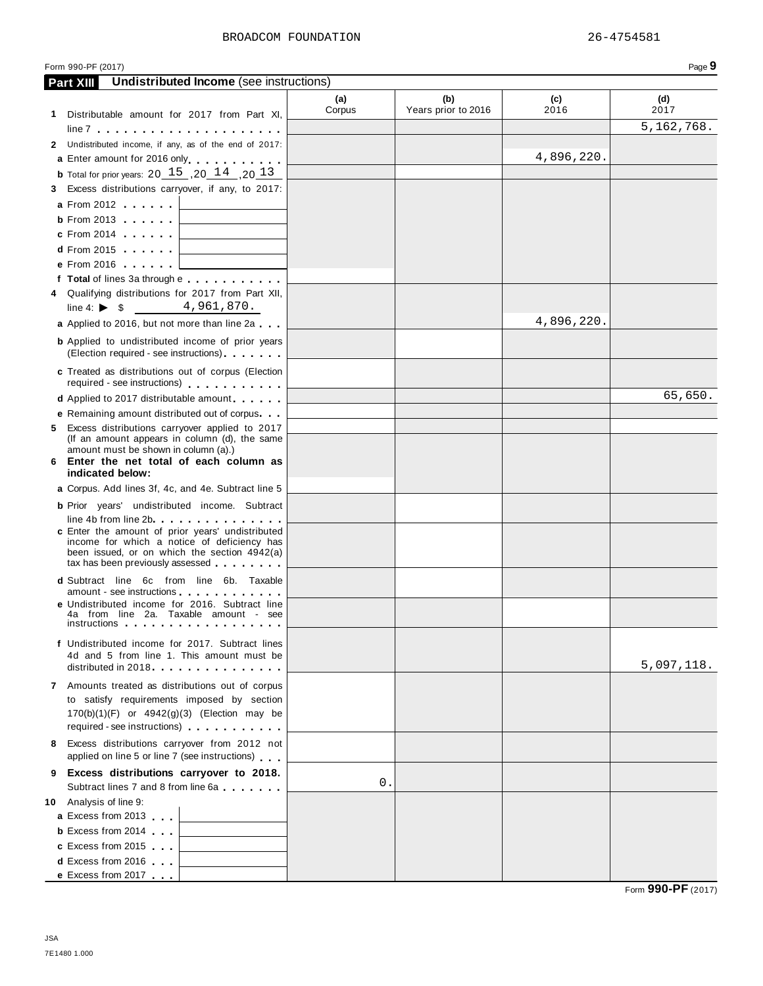|   | Form 990-PF (2017)                                                                                                                                                                  |               |                            |             | Page 9       |
|---|-------------------------------------------------------------------------------------------------------------------------------------------------------------------------------------|---------------|----------------------------|-------------|--------------|
|   | <b>Undistributed Income</b> (see instructions)<br><b>Part XIII</b>                                                                                                                  |               |                            |             |              |
|   | 1 Distributable amount for 2017 from Part XI,                                                                                                                                       | (a)<br>Corpus | (b)<br>Years prior to 2016 | (c)<br>2016 | (d)<br>2017  |
|   |                                                                                                                                                                                     |               |                            |             | 5, 162, 768. |
|   | 2 Undistributed income, if any, as of the end of 2017:                                                                                                                              |               |                            |             |              |
|   | a Enter amount for 2016 only enter a material of                                                                                                                                    |               |                            | 4,896,220.  |              |
|   | <b>b</b> Total for prior years: $20 \quad 15 \quad ,20 \quad 14 \quad ,20 \quad 13$                                                                                                 |               |                            |             |              |
|   | 3 Excess distributions carryover, if any, to 2017:                                                                                                                                  |               |                            |             |              |
|   | <b>a</b> From 2012                                                                                                                                                                  |               |                            |             |              |
|   | <b>b</b> From 2013<br><u> 1990 - Johann Barbara, martxa a</u>                                                                                                                       |               |                            |             |              |
|   | c From 2014    <br><u> 1980 - John Stein, mars and de Branch and de Branch and de Branch and de Branch and de Branch and de Branch an</u>                                           |               |                            |             |              |
|   | $d$ From 2015<br>the control of the control of the control of                                                                                                                       |               |                            |             |              |
|   | e From 2016                                                                                                                                                                         |               |                            |             |              |
|   | f Total of lines 3a through e                                                                                                                                                       |               |                            |             |              |
|   | 4 Qualifying distributions for 2017 from Part XII,<br>line 4: $\triangleright$ \$ 4,961,870.                                                                                        |               |                            |             |              |
|   |                                                                                                                                                                                     |               |                            | 4,896,220.  |              |
|   | a Applied to 2016, but not more than line 2a                                                                                                                                        |               |                            |             |              |
|   | <b>b</b> Applied to undistributed income of prior years<br>(Election required - see instructions)                                                                                   |               |                            |             |              |
|   | c Treated as distributions out of corpus (Election<br>required - see instructions)                                                                                                  |               |                            |             |              |
|   | <b>d</b> Applied to 2017 distributable amount                                                                                                                                       |               |                            |             | 65,650.      |
|   | <b>e</b> Remaining amount distributed out of corpus                                                                                                                                 |               |                            |             |              |
|   | 5 Excess distributions carryover applied to 2017<br>(If an amount appears in column (d), the same                                                                                   |               |                            |             |              |
|   | amount must be shown in column (a).)<br>6 Enter the net total of each column as<br>indicated below:                                                                                 |               |                            |             |              |
|   | a Corpus. Add lines 3f, 4c, and 4e. Subtract line 5                                                                                                                                 |               |                            |             |              |
|   | <b>b</b> Prior years' undistributed income. Subtract                                                                                                                                |               |                            |             |              |
|   | line 4b from line 2b and the state of the state of the state of the state of the state of the state of the state                                                                    |               |                            |             |              |
|   | c Enter the amount of prior years' undistributed<br>income for which a notice of deficiency has<br>been issued, or on which the section 4942(a)<br>tax has been previously assessed |               |                            |             |              |
|   | <b>d</b> Subtract line 6c from line 6b. Taxable                                                                                                                                     |               |                            |             |              |
|   | amount - see instructions<br>e Undistributed income for 2016. Subtract line<br>4a from line 2a. Taxable amount - see<br>instructions                                                |               |                            |             |              |
|   | f Undistributed income for 2017. Subtract lines<br>4d and 5 from line 1. This amount must be<br>distributed in 2018                                                                 |               |                            |             | 5,097,118.   |
|   | 7 Amounts treated as distributions out of corpus                                                                                                                                    |               |                            |             |              |
|   | to satisfy requirements imposed by section<br>170(b)(1)(F) or 4942(g)(3) (Election may be<br>required - see instructions)                                                           |               |                            |             |              |
|   | 8 Excess distributions carryover from 2012 not<br>applied on line 5 or line 7 (see instructions)                                                                                    |               |                            |             |              |
| 9 | Excess distributions carryover to 2018.                                                                                                                                             |               |                            |             |              |
|   | Subtract lines 7 and 8 from line 6a                                                                                                                                                 | 0.            |                            |             |              |
|   | 10 Analysis of line 9:                                                                                                                                                              |               |                            |             |              |
|   | a Excess from 2013<br><u> 1989 - Johann Barnett, fransk politiker (</u>                                                                                                             |               |                            |             |              |
|   | <b>b</b> Excess from 2014<br>the control of the control of the control of                                                                                                           |               |                            |             |              |
|   | c Excess from 2015<br>the control of the control of the control of                                                                                                                  |               |                            |             |              |
|   | <b>d</b> Excess from 2016<br>the control of the control of the control of                                                                                                           |               |                            |             |              |
|   | e Excess from 2017                                                                                                                                                                  |               |                            |             |              |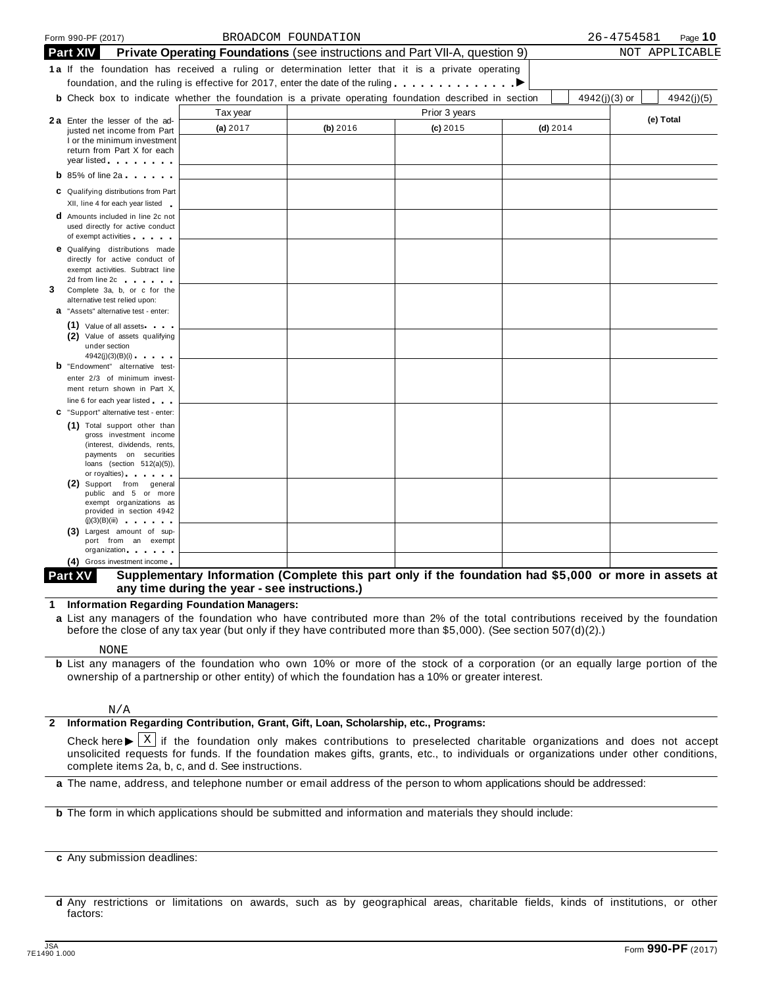|   | Form 990-PF (2017)                                                                                                                                                                                                                   |                                                                             | BROADCOM FOUNDATION |               |            |                 | 26-4754581 | Page $10$      |
|---|--------------------------------------------------------------------------------------------------------------------------------------------------------------------------------------------------------------------------------------|-----------------------------------------------------------------------------|---------------------|---------------|------------|-----------------|------------|----------------|
|   | <b>Part XIV</b>                                                                                                                                                                                                                      | Private Operating Foundations (see instructions and Part VII-A, question 9) |                     |               |            |                 |            | NOT APPLICABLE |
|   | 1a If the foundation has received a ruling or determination letter that it is a private operating                                                                                                                                    |                                                                             |                     |               |            |                 |            |                |
|   | foundation, and the ruling is effective for 2017, enter the date of the ruling $\ldots \ldots \ldots \ldots$                                                                                                                         |                                                                             |                     |               |            |                 |            |                |
|   | <b>b</b> Check box to indicate whether the foundation is a private operating foundation described in section                                                                                                                         |                                                                             |                     |               |            | $4942(j)(3)$ or |            | 4942(j)(5)     |
|   |                                                                                                                                                                                                                                      | Tax year                                                                    |                     | Prior 3 years |            |                 |            |                |
|   | <b>2a</b> Enter the lesser of the ad-<br>justed net income from Part                                                                                                                                                                 | (a) 2017                                                                    | (b) 2016            | $(c)$ 2015    | $(d)$ 2014 |                 |            | (e) Total      |
|   | I or the minimum investment                                                                                                                                                                                                          |                                                                             |                     |               |            |                 |            |                |
|   | return from Part X for each                                                                                                                                                                                                          |                                                                             |                     |               |            |                 |            |                |
|   | year listed <b>with the set of the set of the set of the set of the set of the set of the set of the set of the set of the set of the set of the set of the set of the set of the set of the set of the set of the set of the se</b> |                                                                             |                     |               |            |                 |            |                |
|   | $\mathbf b$ 85% of line 2a                                                                                                                                                                                                           |                                                                             |                     |               |            |                 |            |                |
|   | C Qualifying distributions from Part                                                                                                                                                                                                 |                                                                             |                     |               |            |                 |            |                |
|   | XII, line 4 for each year listed<br><b>d</b> Amounts included in line 2c not                                                                                                                                                         |                                                                             |                     |               |            |                 |            |                |
|   | used directly for active conduct                                                                                                                                                                                                     |                                                                             |                     |               |            |                 |            |                |
|   | of exempt activities and the state of                                                                                                                                                                                                |                                                                             |                     |               |            |                 |            |                |
|   | <b>e</b> Qualifying distributions made                                                                                                                                                                                               |                                                                             |                     |               |            |                 |            |                |
|   | directly for active conduct of<br>exempt activities. Subtract line                                                                                                                                                                   |                                                                             |                     |               |            |                 |            |                |
|   | 2d from line 2c contract to the set of the set of the set of the set of the set of the set of the set of the set of the set of the set of the set of the set of the set of the set of the set of the set of the set of the set       |                                                                             |                     |               |            |                 |            |                |
| 3 | Complete 3a, b, or c for the                                                                                                                                                                                                         |                                                                             |                     |               |            |                 |            |                |
|   | alternative test relied upon:<br>a "Assets" alternative test - enter:                                                                                                                                                                |                                                                             |                     |               |            |                 |            |                |
|   | $(1)$ Value of all assets $\cdots$                                                                                                                                                                                                   |                                                                             |                     |               |            |                 |            |                |
|   | (2) Value of assets qualifying                                                                                                                                                                                                       |                                                                             |                     |               |            |                 |            |                |
|   | under section                                                                                                                                                                                                                        |                                                                             |                     |               |            |                 |            |                |
|   | 4942(j)(3)(B)(i)<br><b>b</b> "Endowment" alternative test-                                                                                                                                                                           |                                                                             |                     |               |            |                 |            |                |
|   | enter 2/3 of minimum invest-                                                                                                                                                                                                         |                                                                             |                     |               |            |                 |            |                |
|   | ment return shown in Part X,                                                                                                                                                                                                         |                                                                             |                     |               |            |                 |            |                |
|   | line 6 for each year listed                                                                                                                                                                                                          |                                                                             |                     |               |            |                 |            |                |
|   | C "Support" alternative test - enter:                                                                                                                                                                                                |                                                                             |                     |               |            |                 |            |                |
|   | (1) Total support other than<br>gross investment income                                                                                                                                                                              |                                                                             |                     |               |            |                 |            |                |
|   | (interest, dividends, rents,                                                                                                                                                                                                         |                                                                             |                     |               |            |                 |            |                |
|   | payments on securities<br>loans (section $512(a)(5)$ ),                                                                                                                                                                              |                                                                             |                     |               |            |                 |            |                |
|   | or royalties) and the control of the control of                                                                                                                                                                                      |                                                                             |                     |               |            |                 |            |                |
|   | (2) Support from general                                                                                                                                                                                                             |                                                                             |                     |               |            |                 |            |                |
|   | public and 5 or more<br>exempt organizations as                                                                                                                                                                                      |                                                                             |                     |               |            |                 |            |                |
|   | provided in section 4942                                                                                                                                                                                                             |                                                                             |                     |               |            |                 |            |                |
|   | (j)(3)(B)(iii)<br>(3) Largest amount of sup-                                                                                                                                                                                         |                                                                             |                     |               |            |                 |            |                |
|   | port from an exempt                                                                                                                                                                                                                  |                                                                             |                     |               |            |                 |            |                |
|   | organization and the control of<br>Orange to research                                                                                                                                                                                |                                                                             |                     |               |            |                 |            |                |

#### Supplementary Information (Complete this part only if the foundation had \$5,000 or more in assets at **any time during the year - see instructions.) Part XV**

**1 Information Regarding Foundation Managers:**

**a** List any managers of the foundation who have contributed more than 2% of the total contributions received by the foundation before the close of any tax year (but only if they have contributed more than \$5,000). (See section 507(d)(2).)

#### NONE

**b** List any managers of the foundation who own 10% or more of the stock of a corporation (or an equally large portion of the ownership of a partnership or other entity) of which the foundation has a 10% or greater interest.

#### N/A

#### **2 Information Regarding Contribution, Grant, Gift, Loan, Scholarship, etc., Programs:**

Check here  $\blacktriangleright \overline{X}$  if the foundation only makes contributions to preselected charitable organizations and does not accept unsolicited requests for funds if the foundation makes gifts graphs at the individuals or org unsolicited requests for funds. If the foundation makes gifts, grants, etc., to individuals or organizations under other conditions, complete items 2a, b, c, and d. See instructions.

**a** The name, address, and telephone number or email address of the person to whom applications should be addressed:

**b** The form in which applications should be submitted and information and materials they should include:

**c** Any submission deadlines:

**d** Any restrictions or limitations on awards, such as by geographical areas, charitable fields, kinds of institutions, or other factors: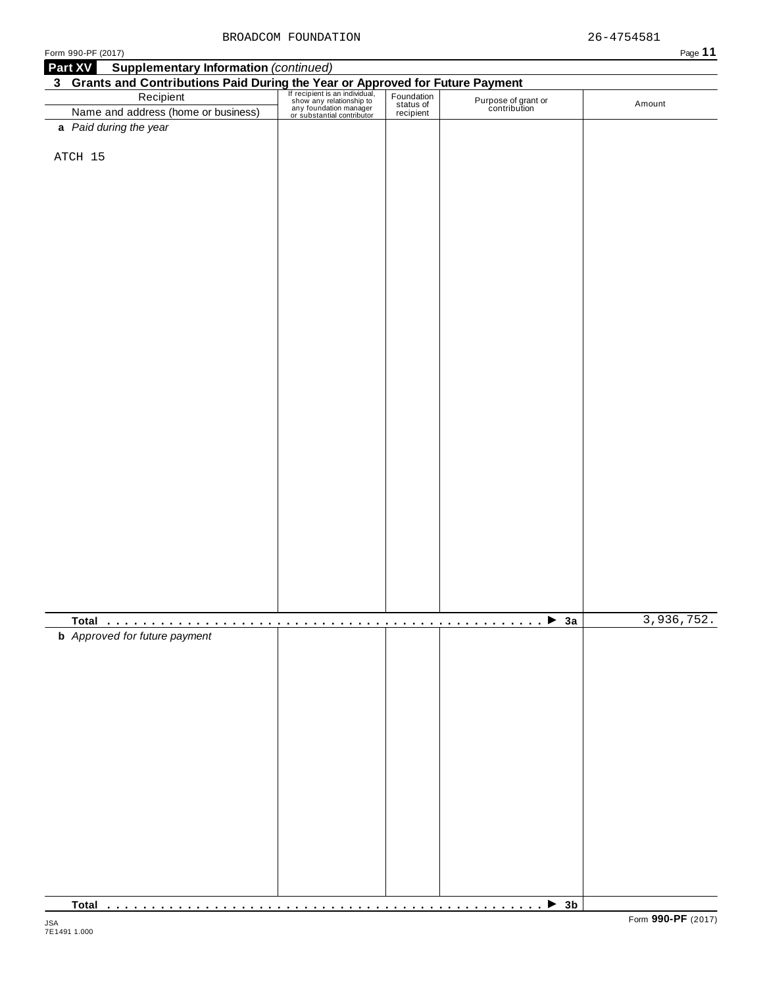| Form 990-PF (2017)                                                                                                                                                                                                                      |   |            |                                            | Page 11    |
|-----------------------------------------------------------------------------------------------------------------------------------------------------------------------------------------------------------------------------------------|---|------------|--------------------------------------------|------------|
| <b>Supplementary Information (continued)</b><br>Part XV                                                                                                                                                                                 |   |            |                                            |            |
| <b>3</b> Grants and Contributions Paid During the Year or Approved for Future Payment<br>Recipient San individual, Foundation and address (home or business) any feature of status of Purpose of gr<br>Name and address (home or busine |   |            |                                            |            |
|                                                                                                                                                                                                                                         |   |            |                                            |            |
|                                                                                                                                                                                                                                         |   |            | Purpose of grant or<br>contribution        | Amount     |
|                                                                                                                                                                                                                                         |   |            |                                            |            |
| a Paid during the year                                                                                                                                                                                                                  |   |            |                                            |            |
|                                                                                                                                                                                                                                         |   |            |                                            |            |
| ATCH 15                                                                                                                                                                                                                                 |   |            |                                            |            |
|                                                                                                                                                                                                                                         |   |            |                                            |            |
|                                                                                                                                                                                                                                         |   |            |                                            |            |
|                                                                                                                                                                                                                                         |   |            |                                            |            |
|                                                                                                                                                                                                                                         |   |            |                                            |            |
|                                                                                                                                                                                                                                         |   |            |                                            |            |
|                                                                                                                                                                                                                                         |   |            |                                            |            |
|                                                                                                                                                                                                                                         |   |            |                                            |            |
|                                                                                                                                                                                                                                         |   |            |                                            |            |
|                                                                                                                                                                                                                                         |   |            |                                            |            |
|                                                                                                                                                                                                                                         |   |            |                                            |            |
|                                                                                                                                                                                                                                         |   |            |                                            |            |
|                                                                                                                                                                                                                                         |   |            |                                            |            |
|                                                                                                                                                                                                                                         |   |            |                                            |            |
|                                                                                                                                                                                                                                         |   |            |                                            |            |
|                                                                                                                                                                                                                                         |   |            |                                            |            |
|                                                                                                                                                                                                                                         |   |            |                                            |            |
|                                                                                                                                                                                                                                         |   |            |                                            |            |
|                                                                                                                                                                                                                                         |   |            |                                            |            |
|                                                                                                                                                                                                                                         |   |            |                                            |            |
|                                                                                                                                                                                                                                         |   |            |                                            |            |
|                                                                                                                                                                                                                                         |   |            |                                            |            |
|                                                                                                                                                                                                                                         |   |            |                                            |            |
|                                                                                                                                                                                                                                         |   |            |                                            |            |
|                                                                                                                                                                                                                                         |   |            |                                            |            |
|                                                                                                                                                                                                                                         |   |            |                                            |            |
|                                                                                                                                                                                                                                         |   |            |                                            |            |
|                                                                                                                                                                                                                                         |   |            |                                            |            |
|                                                                                                                                                                                                                                         |   |            |                                            |            |
|                                                                                                                                                                                                                                         |   |            |                                            |            |
|                                                                                                                                                                                                                                         |   |            |                                            |            |
|                                                                                                                                                                                                                                         |   |            |                                            |            |
|                                                                                                                                                                                                                                         |   |            |                                            |            |
|                                                                                                                                                                                                                                         |   |            |                                            |            |
|                                                                                                                                                                                                                                         |   |            |                                            |            |
|                                                                                                                                                                                                                                         | . | . <b>.</b> | $\overline{\cdots}$ $\overline{\cdots}$ 3a | 3,936,752. |
| <b>b</b> Approved for future payment                                                                                                                                                                                                    |   |            |                                            |            |
|                                                                                                                                                                                                                                         |   |            |                                            |            |
|                                                                                                                                                                                                                                         |   |            |                                            |            |
|                                                                                                                                                                                                                                         |   |            |                                            |            |
|                                                                                                                                                                                                                                         |   |            |                                            |            |
|                                                                                                                                                                                                                                         |   |            |                                            |            |
|                                                                                                                                                                                                                                         |   |            |                                            |            |
|                                                                                                                                                                                                                                         |   |            |                                            |            |
|                                                                                                                                                                                                                                         |   |            |                                            |            |
|                                                                                                                                                                                                                                         |   |            |                                            |            |
|                                                                                                                                                                                                                                         |   |            |                                            |            |
|                                                                                                                                                                                                                                         |   |            |                                            |            |
|                                                                                                                                                                                                                                         |   |            |                                            |            |
|                                                                                                                                                                                                                                         |   |            |                                            |            |
|                                                                                                                                                                                                                                         |   |            |                                            |            |
|                                                                                                                                                                                                                                         |   |            |                                            |            |
|                                                                                                                                                                                                                                         |   |            |                                            |            |
|                                                                                                                                                                                                                                         |   |            |                                            |            |
|                                                                                                                                                                                                                                         |   |            |                                            |            |
|                                                                                                                                                                                                                                         |   |            |                                            |            |

**Total** m m m m m m m m m m m m m m m m m m m m m m m m m m m m m m m m m m m m m m m m m m m m m m m m m I **3b**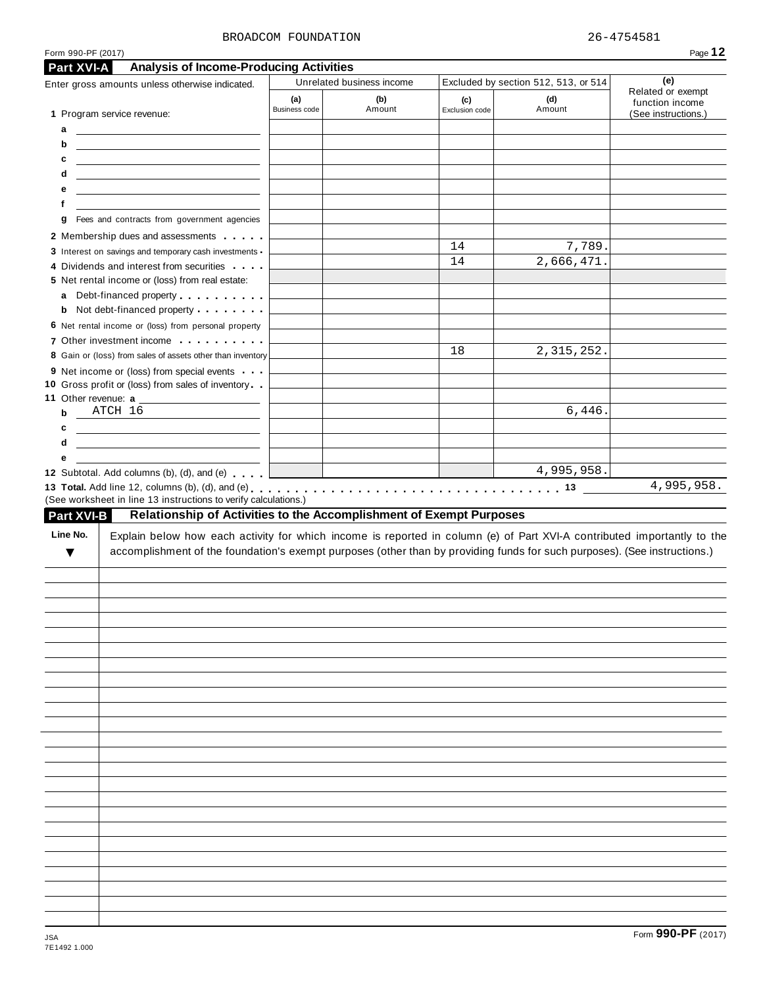#### BROADCOM FOUNDATION  $26-4754581$

| Part XVI-A        | <b>Analysis of Income-Producing Activities</b>                                                                                                                                                                                                                                            |                      |                           |                       |                                      |                                                             |
|-------------------|-------------------------------------------------------------------------------------------------------------------------------------------------------------------------------------------------------------------------------------------------------------------------------------------|----------------------|---------------------------|-----------------------|--------------------------------------|-------------------------------------------------------------|
|                   | Enter gross amounts unless otherwise indicated.                                                                                                                                                                                                                                           |                      | Unrelated business income |                       | Excluded by section 512, 513, or 514 | (e)                                                         |
|                   | 1 Program service revenue:                                                                                                                                                                                                                                                                | (a)<br>Business code | (b)<br>Amount             | (c)<br>Exclusion code | (d)<br>Amount                        | Related or exempt<br>function income<br>(See instructions.) |
| a                 | <u> 1990 - John Stein, Amerikaansk politiker (</u>                                                                                                                                                                                                                                        |                      |                           |                       |                                      |                                                             |
| b                 | <u> 1989 - Johann Barbara, martin amerikan basal dan berasal dan berasal dalam basal dalam basal dalam basal dala</u>                                                                                                                                                                     |                      |                           |                       |                                      |                                                             |
| c                 | <u> 1999 - Johann John Stone, markin fan it ferstjer fan de ferstjer fan it ferstjer fan it ferstjer fan it fers</u>                                                                                                                                                                      |                      |                           |                       |                                      |                                                             |
| d                 | <u> 2008 - An Dùbhlachd ann an Dùbhlachd ann an Dùbhlachd ann an Dùbhlachd ann an Dùbhlachd ann an Dùbhlachd ann an Dùbhlachd ann an Dùbhlachd ann an Dùbhlachd ann an Dùbhlachd ann an Dùbhlachd ann an Dùbhlachd ann an Dùbhla</u>                                                      |                      |                           |                       |                                      |                                                             |
| е                 | <u> 1989 - Johann Barbara, martin amerikan basar dan berasal dalam basa dalam basar dalam basar dalam basar dalam</u>                                                                                                                                                                     |                      |                           |                       |                                      |                                                             |
| f                 | the control of the control of the control of the control of the control of the control of                                                                                                                                                                                                 |                      |                           |                       |                                      |                                                             |
| g                 | Fees and contracts from government agencies                                                                                                                                                                                                                                               |                      |                           |                       |                                      |                                                             |
|                   | 2 Membership dues and assessments                                                                                                                                                                                                                                                         |                      |                           |                       |                                      |                                                             |
|                   | 3 Interest on savings and temporary cash investments                                                                                                                                                                                                                                      |                      |                           | 14                    | 7,789.                               |                                                             |
|                   | 4 Dividends and interest from securities                                                                                                                                                                                                                                                  |                      |                           | 14                    | 2,666,471.                           |                                                             |
|                   | 5 Net rental income or (loss) from real estate:                                                                                                                                                                                                                                           |                      |                           |                       |                                      |                                                             |
|                   | a Debt-financed property                                                                                                                                                                                                                                                                  |                      |                           |                       |                                      |                                                             |
|                   | <b>b</b> Not debt-financed property                                                                                                                                                                                                                                                       |                      |                           |                       |                                      |                                                             |
|                   | 6 Net rental income or (loss) from personal property                                                                                                                                                                                                                                      |                      |                           |                       |                                      |                                                             |
|                   | 7 Other investment income <b>container</b> and <b>reports</b> of the <b>reports</b> of the <b>reports</b> of the <b>reports</b> of the <b>reports</b> of the <b>reports</b> of the <b>reports</b> of the <b>reports</b> of the <b>reports</b> of the <b>reports</b> of the <b>reports</b> |                      |                           |                       |                                      |                                                             |
|                   | 8 Gain or (loss) from sales of assets other than inventory                                                                                                                                                                                                                                |                      |                           | 18                    | 2, 315, 252.                         |                                                             |
|                   | 9 Net income or (loss) from special events                                                                                                                                                                                                                                                |                      |                           |                       |                                      |                                                             |
|                   | 10 Gross profit or (loss) from sales of inventory                                                                                                                                                                                                                                         |                      |                           |                       |                                      |                                                             |
|                   |                                                                                                                                                                                                                                                                                           |                      |                           |                       |                                      |                                                             |
| b                 | ATCH 16                                                                                                                                                                                                                                                                                   |                      |                           |                       | 6,446.                               |                                                             |
| c                 |                                                                                                                                                                                                                                                                                           |                      |                           |                       |                                      |                                                             |
| d                 |                                                                                                                                                                                                                                                                                           |                      |                           |                       |                                      |                                                             |
| е                 |                                                                                                                                                                                                                                                                                           |                      |                           |                       |                                      |                                                             |
|                   | 12 Subtotal. Add columns (b), (d), and (e)                                                                                                                                                                                                                                                |                      |                           |                       | 4,995,958.                           | 4,995,958.                                                  |
| <b>Part XVI-B</b> | (See worksheet in line 13 instructions to verify calculations.)<br>Relationship of Activities to the Accomplishment of Exempt Purposes                                                                                                                                                    |                      |                           |                       |                                      |                                                             |
| ▼                 | Explain below how each activity for which income is reported in column (e) of Part XVI-A contributed importantly to the<br>accomplishment of the foundation's exempt purposes (other than by providing funds for such purposes). (See instructions.)                                      |                      |                           |                       |                                      |                                                             |
|                   |                                                                                                                                                                                                                                                                                           |                      |                           |                       |                                      |                                                             |
|                   |                                                                                                                                                                                                                                                                                           |                      |                           |                       |                                      |                                                             |
|                   |                                                                                                                                                                                                                                                                                           |                      |                           |                       |                                      |                                                             |
|                   |                                                                                                                                                                                                                                                                                           |                      |                           |                       |                                      |                                                             |
|                   |                                                                                                                                                                                                                                                                                           |                      |                           |                       |                                      |                                                             |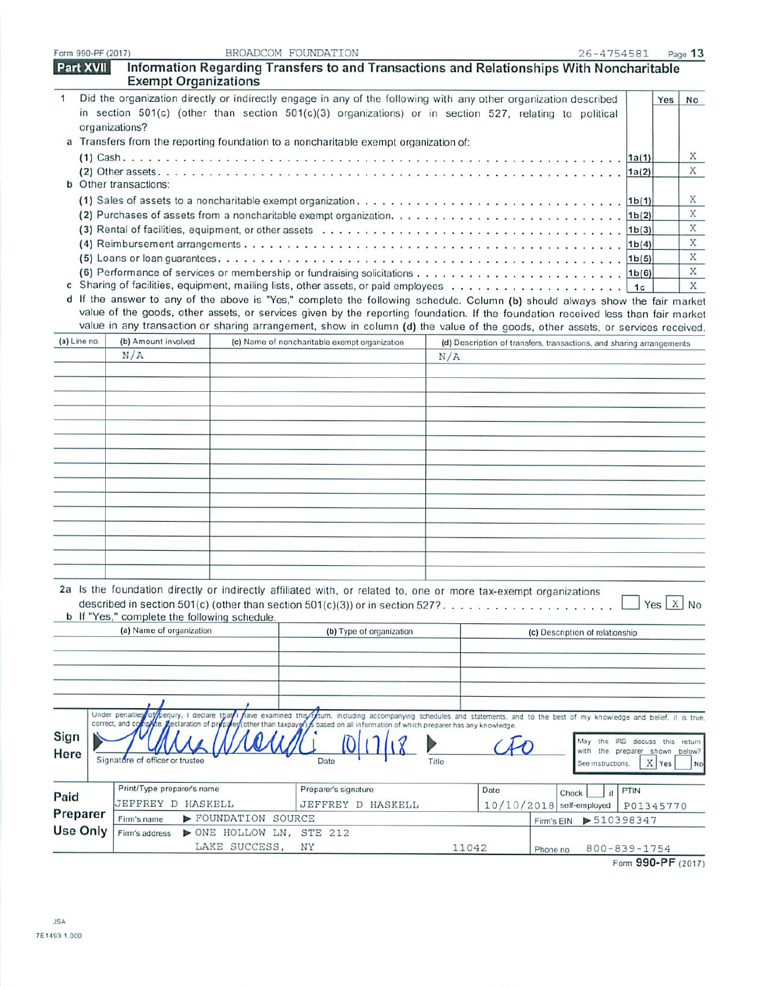| Form 990-PF (2017     |  |
|-----------------------|--|
| $R_{\text{out}}$ viii |  |

 $\overline{\phantom{a}}$ 

|                 | <b>Part XVII</b> | <b>Exempt Organizations</b>                                      |                         | information Regarding Transfers to and Transactions and Relationships With Noncharitable                                                                                                                                                                          |       |                                                                                                                 |                                   |                             |                      |           |
|-----------------|------------------|------------------------------------------------------------------|-------------------------|-------------------------------------------------------------------------------------------------------------------------------------------------------------------------------------------------------------------------------------------------------------------|-------|-----------------------------------------------------------------------------------------------------------------|-----------------------------------|-----------------------------|----------------------|-----------|
| $\mathbf{1}$    |                  |                                                                  |                         | Did the organization directly or indirectly engage in any of the following with any other organization described                                                                                                                                                  |       |                                                                                                                 |                                   |                             | Yes                  | <b>No</b> |
|                 |                  |                                                                  |                         | in section $501(c)$ (other than section $501(c)(3)$ organizations) or in section 527, relating to political                                                                                                                                                       |       |                                                                                                                 |                                   |                             |                      |           |
|                 |                  | organizations?                                                   |                         |                                                                                                                                                                                                                                                                   |       |                                                                                                                 |                                   |                             |                      |           |
|                 |                  |                                                                  |                         | a Transfers from the reporting foundation to a noncharitable exempt organization of:                                                                                                                                                                              |       |                                                                                                                 |                                   |                             |                      |           |
|                 |                  |                                                                  |                         |                                                                                                                                                                                                                                                                   |       |                                                                                                                 |                                   |                             |                      | X         |
|                 |                  |                                                                  |                         |                                                                                                                                                                                                                                                                   |       |                                                                                                                 |                                   | 1a(2)                       |                      | X         |
|                 |                  | <b>b</b> Other transactions:                                     |                         |                                                                                                                                                                                                                                                                   |       |                                                                                                                 |                                   |                             |                      |           |
|                 |                  |                                                                  |                         |                                                                                                                                                                                                                                                                   |       |                                                                                                                 |                                   |                             |                      | Х         |
|                 |                  |                                                                  |                         |                                                                                                                                                                                                                                                                   |       |                                                                                                                 |                                   | 1 <sub>b</sub> (2)          |                      | X         |
|                 |                  |                                                                  |                         |                                                                                                                                                                                                                                                                   |       |                                                                                                                 |                                   | 1b(3)                       |                      | X         |
|                 |                  |                                                                  |                         |                                                                                                                                                                                                                                                                   |       |                                                                                                                 |                                   | 1b(4)                       |                      | X         |
|                 |                  |                                                                  |                         |                                                                                                                                                                                                                                                                   |       |                                                                                                                 |                                   |                             |                      | X         |
|                 |                  |                                                                  |                         |                                                                                                                                                                                                                                                                   |       |                                                                                                                 |                                   |                             |                      | X         |
|                 |                  |                                                                  |                         |                                                                                                                                                                                                                                                                   |       |                                                                                                                 |                                   |                             |                      | X         |
|                 |                  |                                                                  |                         | d If the answer to any of the above is "Yes," complete the following schedule. Column (b) should always show the fair market<br>value of the goods, other assets, or services given by the reporting foundation. If the foundation received less than fair market |       |                                                                                                                 |                                   |                             |                      |           |
|                 |                  |                                                                  |                         | value in any transaction or sharing arrangement, show in column (d) the value of the goods, other assets, or services received.                                                                                                                                   |       |                                                                                                                 |                                   |                             |                      |           |
| (a) Line no.    |                  | (b) Amount involved                                              |                         | (c) Name of noncharitable exempt organization                                                                                                                                                                                                                     |       |                                                                                                                 |                                   |                             |                      |           |
|                 |                  | N/A                                                              |                         |                                                                                                                                                                                                                                                                   | N/A   | (d) Description of transfers, transactions, and sharing arrangements                                            |                                   |                             |                      |           |
|                 |                  |                                                                  |                         |                                                                                                                                                                                                                                                                   |       |                                                                                                                 |                                   |                             |                      |           |
|                 |                  |                                                                  |                         |                                                                                                                                                                                                                                                                   |       |                                                                                                                 |                                   |                             |                      |           |
|                 |                  |                                                                  |                         |                                                                                                                                                                                                                                                                   |       |                                                                                                                 |                                   |                             |                      |           |
|                 |                  |                                                                  |                         |                                                                                                                                                                                                                                                                   |       |                                                                                                                 |                                   |                             |                      |           |
|                 |                  |                                                                  |                         |                                                                                                                                                                                                                                                                   |       |                                                                                                                 |                                   |                             |                      |           |
|                 |                  |                                                                  |                         |                                                                                                                                                                                                                                                                   |       |                                                                                                                 |                                   |                             |                      |           |
|                 |                  |                                                                  |                         |                                                                                                                                                                                                                                                                   |       |                                                                                                                 |                                   |                             |                      |           |
|                 |                  |                                                                  |                         |                                                                                                                                                                                                                                                                   |       |                                                                                                                 |                                   |                             |                      |           |
|                 |                  |                                                                  |                         |                                                                                                                                                                                                                                                                   |       |                                                                                                                 |                                   |                             |                      |           |
|                 |                  |                                                                  |                         |                                                                                                                                                                                                                                                                   |       |                                                                                                                 |                                   |                             |                      |           |
|                 |                  |                                                                  |                         |                                                                                                                                                                                                                                                                   |       |                                                                                                                 |                                   |                             |                      |           |
|                 |                  |                                                                  |                         |                                                                                                                                                                                                                                                                   |       |                                                                                                                 |                                   |                             |                      |           |
|                 |                  |                                                                  |                         |                                                                                                                                                                                                                                                                   |       |                                                                                                                 |                                   |                             |                      |           |
|                 |                  |                                                                  |                         |                                                                                                                                                                                                                                                                   |       |                                                                                                                 |                                   |                             |                      |           |
|                 |                  |                                                                  |                         |                                                                                                                                                                                                                                                                   |       |                                                                                                                 |                                   |                             |                      |           |
|                 |                  |                                                                  |                         | 2a Is the foundation directly or indirectly affiliated with, or related to, one or more tax-exempt organizations                                                                                                                                                  |       |                                                                                                                 |                                   |                             |                      |           |
|                 |                  |                                                                  |                         | described in section 501(c) (other than section 501(c)(3)) or in section 527?                                                                                                                                                                                     |       |                                                                                                                 |                                   |                             | $Yes \mid X \mid No$ |           |
|                 |                  | b If "Yes," complete the following schedule.                     |                         |                                                                                                                                                                                                                                                                   |       |                                                                                                                 |                                   |                             |                      |           |
|                 |                  | (a) Name of organization                                         |                         | (b) Type of organization                                                                                                                                                                                                                                          |       |                                                                                                                 | (c) Description of relationship   |                             |                      |           |
|                 |                  |                                                                  |                         |                                                                                                                                                                                                                                                                   |       |                                                                                                                 |                                   |                             |                      |           |
|                 |                  |                                                                  |                         |                                                                                                                                                                                                                                                                   |       |                                                                                                                 |                                   |                             |                      |           |
|                 |                  |                                                                  |                         |                                                                                                                                                                                                                                                                   |       |                                                                                                                 |                                   |                             |                      |           |
|                 |                  |                                                                  |                         |                                                                                                                                                                                                                                                                   |       |                                                                                                                 |                                   |                             |                      |           |
|                 |                  |                                                                  |                         |                                                                                                                                                                                                                                                                   |       |                                                                                                                 |                                   |                             |                      |           |
|                 |                  | Under penalties<br>of perjury, I declare that<br>correct, and co | ave examined this       | he. Aeclaration of prepared (other than taxpayer) is based on all information of which preparer has any knowledge.                                                                                                                                                |       | feturn, including accompanying schedules and statements, and to the best of my knowledge and belief, it is true |                                   |                             |                      |           |
| Sign            |                  |                                                                  |                         |                                                                                                                                                                                                                                                                   |       |                                                                                                                 |                                   |                             |                      |           |
|                 |                  |                                                                  |                         |                                                                                                                                                                                                                                                                   |       |                                                                                                                 | the preparer shown below?<br>with | the IRS discuss this return |                      |           |
| Here            |                  | Signature of officer or trustee                                  |                         | Date                                                                                                                                                                                                                                                              | Title |                                                                                                                 | See instructions.                 |                             | X Yes                | No        |
|                 |                  |                                                                  |                         |                                                                                                                                                                                                                                                                   |       |                                                                                                                 |                                   |                             |                      |           |
| Paid            |                  | Print/Type preparer's name                                       |                         | Preparer's signature                                                                                                                                                                                                                                              |       | Date                                                                                                            | Check                             | PTIN                        |                      |           |
|                 |                  | JEFFREY D HASKELL                                                |                         | JEFFREY D HASKELL                                                                                                                                                                                                                                                 |       | $10/10/2018$ self-employed                                                                                      |                                   | P01345770                   |                      |           |
| Preparer        |                  | Firm's name                                                      | FOUNDATION SOURCE       |                                                                                                                                                                                                                                                                   |       | Firm's EIN                                                                                                      | 510398347                         |                             |                      |           |
| <b>Use Only</b> |                  | Firm's address                                                   | NONE HOLLOW LN, STE 212 |                                                                                                                                                                                                                                                                   |       |                                                                                                                 |                                   |                             |                      |           |
|                 |                  |                                                                  | LAKE SUCCESS, NY        |                                                                                                                                                                                                                                                                   | 11042 | Phone no                                                                                                        | $800 - 839 - 1754$                |                             |                      |           |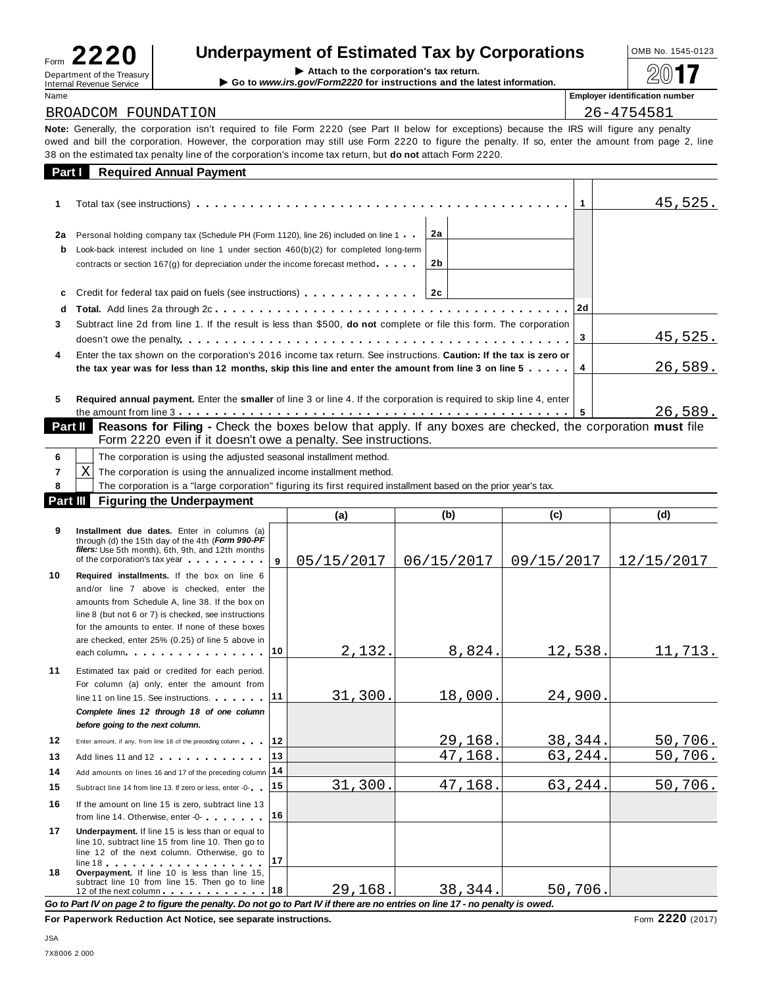| Form                                                          |  |
|---------------------------------------------------------------|--|
| Department of the Treasury<br><b>Internal Revenue Service</b> |  |
|                                                               |  |

# **Underpayment of Estimated Tax by Corporations**  $\frac{10MB NO. 1545-0123}{1545-0123}$

| Department of the Treasury<br>Internal Revenue Service                                                                                                                                                                                                                                           | Attach to the corporation's tax return.<br>$\triangleright$ Go to www.irs.gov/Form2220 for instructions and the latest information. |  | 2017                                  |  |  |  |  |
|--------------------------------------------------------------------------------------------------------------------------------------------------------------------------------------------------------------------------------------------------------------------------------------------------|-------------------------------------------------------------------------------------------------------------------------------------|--|---------------------------------------|--|--|--|--|
| Name                                                                                                                                                                                                                                                                                             |                                                                                                                                     |  | <b>Employer identification number</b> |  |  |  |  |
| BROADCOM FOUNDATION                                                                                                                                                                                                                                                                              | 26-4754581                                                                                                                          |  |                                       |  |  |  |  |
| Note: Generally, the corporation isn't required to file Form 2220 (see Part II below for exceptions) because the IRS will figure any penalty<br>owed and bill the corporation. However, the corporation may still use Form 2220 to figure the penalty. If so, enter the amount from page 2, line |                                                                                                                                     |  |                                       |  |  |  |  |
| 38 on the estimated tax penalty line of the corporation's income tax return, but <b>do not</b> attach Form 2220.                                                                                                                                                                                 |                                                                                                                                     |  |                                       |  |  |  |  |

| Part I  | <b>Required Annual Payment</b>                                                                                                                                                                                                                                   |          |      |         |
|---------|------------------------------------------------------------------------------------------------------------------------------------------------------------------------------------------------------------------------------------------------------------------|----------|------|---------|
|         |                                                                                                                                                                                                                                                                  |          |      | 45,525. |
| 2a<br>b | Personal holding company tax (Schedule PH (Form 1120), line 26) included on line 1<br>Look-back interest included on line 1 under section $460(b)(2)$ for completed long-term<br>contracts or section $167(g)$ for depreciation under the income forecast method | 2a<br>2b |      |         |
| c<br>d  | Credit for federal tax paid on fuels (see instructions) [10] [10] Credit for federal tax paid on fuels (see instructions)                                                                                                                                        | 2c       | l 2d |         |
| 3.      | Subtract line 2d from line 1. If the result is less than \$500, <b>do not</b> complete or file this form. The corporation                                                                                                                                        |          | 3    | 45,525. |
| 4       | Enter the tax shown on the corporation's 2016 income tax return. See instructions. Caution: If the tax is zero or<br>the tax year was for less than 12 months, skip this line and enter the amount from line 3 on line 5 $\dots$ .                               |          |      | 26,589. |
| 5       | Required annual payment. Enter the smaller of line 3 or line 4. If the corporation is required to skip line 4, enter<br>Deat III. Descende for Ellion. Objects the beside helper that would be writered and shedred the composition with the                     |          |      | 26,589. |

**Reasons for Filing -** Check the boxes below that apply. If any boxes are checked, the corporation **must** file Form 2220 even if it doesn't owe a penalty. See instructions.

|                                              | The corporation is using the adjusted seasonal installment method.                                              |  |  |  |  |  |  |  |
|----------------------------------------------|-----------------------------------------------------------------------------------------------------------------|--|--|--|--|--|--|--|
| Χ                                            | The corporation is using the annualized income installment method.                                              |  |  |  |  |  |  |  |
|                                              | The corporation is a "large corporation" figuring its first required installment based on the prior year's tax. |  |  |  |  |  |  |  |
| Part III<br><b>Figuring the Underpayment</b> |                                                                                                                 |  |  |  |  |  |  |  |
| (a)                                          |                                                                                                                 |  |  |  |  |  |  |  |

|    |                                                                                                                                                                                                                                                                                                                                             |    | $\ddot{\phantom{0}}$ | $\sim$     | $\mathbf{v}$ | $\sim$     |
|----|---------------------------------------------------------------------------------------------------------------------------------------------------------------------------------------------------------------------------------------------------------------------------------------------------------------------------------------------|----|----------------------|------------|--------------|------------|
| 9  | Installment due dates. Enter in columns (a)<br>through (d) the 15th day of the 4th (Form 990-PF<br>filers: Use 5th month), 6th, 9th, and 12th months<br>of the corporation's tax year                                                                                                                                                       | 9  | 05/15/2017           | 06/15/2017 | 09/15/2017   | 12/15/2017 |
| 10 | Required installments. If the box on line 6<br>and/or line 7 above is checked, enter the<br>amounts from Schedule A. line 38. If the box on<br>line 8 (but not 6 or 7) is checked, see instructions<br>for the amounts to enter. If none of these boxes<br>are checked, enter 25% (0.25) of line 5 above in                                 |    |                      |            |              |            |
|    | each column $\cdots$ $\cdots$ $\cdots$ $\cdots$                                                                                                                                                                                                                                                                                             | 10 | 2,132.               | 8,824.     | 12,538.      | 11,713.    |
| 11 | Estimated tax paid or credited for each period.<br>For column (a) only, enter the amount from                                                                                                                                                                                                                                               |    |                      |            |              |            |
|    | line 11 on line 15. See instructions.                                                                                                                                                                                                                                                                                                       | 11 | 31,300.              | 18,000.    | 24,900.      |            |
|    | Complete lines 12 through 18 of one column<br>before going to the next column.                                                                                                                                                                                                                                                              |    |                      |            |              |            |
| 12 | Enter amount, if any, from line 18 of the preceding column                                                                                                                                                                                                                                                                                  | 12 |                      | 29,168.    | 38,344.      | 50,706.    |
| 13 | Add lines 11 and 12 <b>and 12</b> and <b>12</b> and <b>12</b> and <b>12</b> and <b>12</b> and <b>12</b> and <b>12</b> and <b>12</b> and <b>12</b> and <b>12</b> and <b>12</b> and <b>12</b> and <b>12</b> and <b>12</b> and <b>12</b> and <b>12</b> and <b>12</b> and <b>12</b> and <b>12</b> and <b>12</b> and <b>12</b> and <b>12</b> and | 13 |                      | 47,168.    | 63,244.      | 50,706.    |
| 14 | Add amounts on lines 16 and 17 of the preceding column 14                                                                                                                                                                                                                                                                                   |    |                      |            |              |            |
| 15 | Subtract line 14 from line 13. If zero or less, enter -0-                                                                                                                                                                                                                                                                                   | 15 | 31,300.              | 47,168.    | 63, 244.     | 50,706.    |
| 16 | If the amount on line 15 is zero, subtract line 13<br>from line 14. Otherwise, enter -0-                                                                                                                                                                                                                                                    | 16 |                      |            |              |            |
| 17 | Underpayment. If line 15 is less than or equal to<br>line 10, subtract line 15 from line 10. Then go to<br>line 12 of the next column. Otherwise, go to<br>line $18$                                                                                                                                                                        | 17 |                      |            |              |            |
| 18 | Overpayment. If line 10 is less than line 15,<br>subtract line 10 from line 15. Then go to line<br>12 of the next column 12 of the next column                                                                                                                                                                                              |    | 29,168.              | 38,344.    | 50,706.      |            |

Go to Part IV on page 2 to figure the penalty. Do not go to Part IV if there are no entries on line 17 - no penalty is owed.

**For Paperwork Reduction Act Notice, see separate instructions.** The extended of the set of  $\frac{2220}{(2017)}$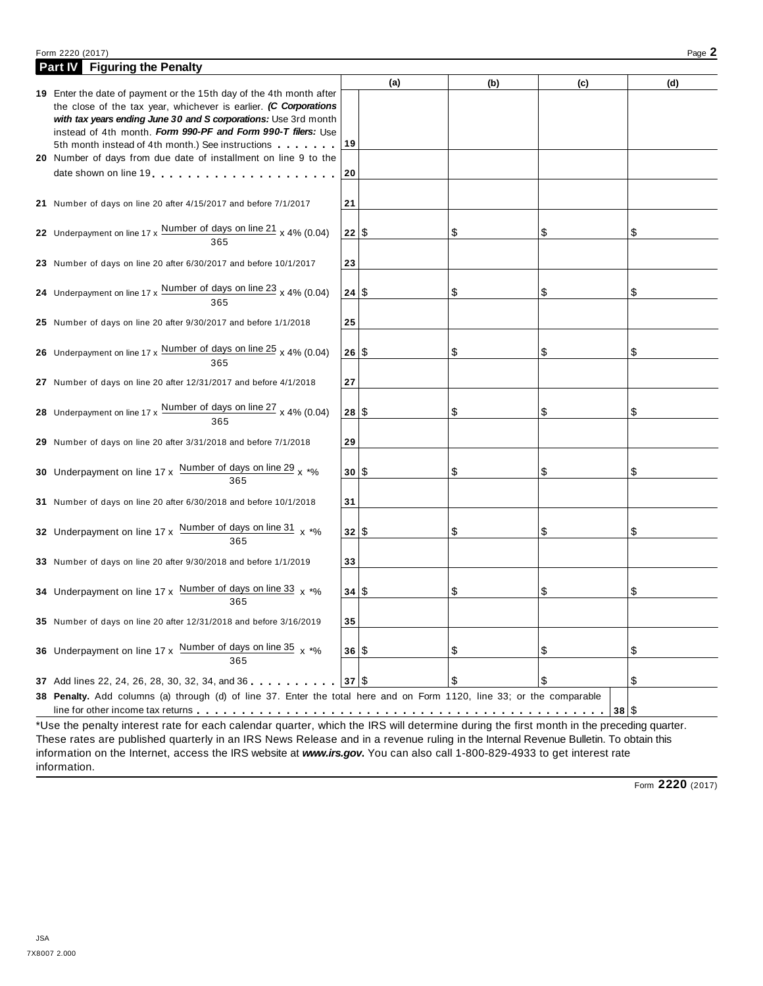#### Form <sup>2220</sup> (2017) Page **2**

| Part <b>W</b> Figuring the Penalty                                                                                                  |      |     |     |            |     |
|-------------------------------------------------------------------------------------------------------------------------------------|------|-----|-----|------------|-----|
|                                                                                                                                     |      | (a) | (b) | (c)        | (d) |
| 19 Enter the date of payment or the 15th day of the 4th month after                                                                 |      |     |     |            |     |
| the close of the tax year, whichever is earlier. (C Corporations<br>with tax years ending June 30 and S corporations: Use 3rd month |      |     |     |            |     |
| instead of 4th month, Form 990-PF and Form 990-T filers: Use                                                                        |      |     |     |            |     |
| 19<br>5th month instead of 4th month.) See instructions                                                                             |      |     |     |            |     |
| 20 Number of days from due date of installment on line 9 to the                                                                     |      |     |     |            |     |
| date shown on line 19. The state of the state of the state of the state of the state of the state of the state                      | 20   |     |     |            |     |
|                                                                                                                                     |      |     |     |            |     |
| 21 Number of days on line 20 after 4/15/2017 and before 7/1/2017                                                                    | 21   |     |     |            |     |
|                                                                                                                                     |      |     |     |            |     |
| 22 Underpayment on line 17 x $\frac{\text{Number of days on line 21}}{365}$ x 4% (0.04)                                             | 22 S |     | \$  | S          | \$  |
|                                                                                                                                     |      |     |     |            |     |
| 23 Number of days on line 20 after 6/30/2017 and before 10/1/2017                                                                   | 23   |     |     |            |     |
|                                                                                                                                     |      |     |     |            |     |
| 24 Underpayment on line 17 x $\frac{\text{Number of days on line 23}}{365}$ x 4% (0.04)                                             | 24 S |     | \$  | \$         | \$  |
|                                                                                                                                     |      |     |     |            |     |
| 25 Number of days on line 20 after 9/30/2017 and before 1/1/2018                                                                    | 25   |     |     |            |     |
|                                                                                                                                     |      |     |     |            |     |
| 26 Underpayment on line 17 x $\frac{\text{Number of days on line 25}}{365}$ x 4% (0.04)                                             | 26 S |     | \$  | \$         | \$  |
|                                                                                                                                     |      |     |     |            |     |
| 27 Number of days on line 20 after 12/31/2017 and before 4/1/2018                                                                   | 27   |     |     |            |     |
|                                                                                                                                     |      |     |     |            |     |
| 28 Underpayment on line 17 x $\frac{\text{Number of days on line }27}{365}$ x 4% (0.04)                                             | 28 S |     | \$  | \$         | \$  |
|                                                                                                                                     |      |     |     |            |     |
| 29 Number of days on line 20 after 3/31/2018 and before 7/1/2018                                                                    | 29   |     |     |            |     |
|                                                                                                                                     |      |     |     |            |     |
| 30 Underpayment on line 17 x $\frac{\text{Number of days on line 29}}{365}$ x *%                                                    | 301S |     | \$  | S          | \$  |
|                                                                                                                                     |      |     |     |            |     |
| 31 Number of days on line 20 after 6/30/2018 and before 10/1/2018                                                                   | 31   |     |     |            |     |
|                                                                                                                                     |      |     |     |            |     |
| 32 Underpayment on line $17 \times \frac{\text{Number of days on line 31}}{365} \times \frac{1}{20}$                                | 32 S |     | \$  | \$         | \$  |
|                                                                                                                                     |      |     |     |            |     |
| 33 Number of days on line 20 after 9/30/2018 and before 1/1/2019                                                                    | 33   |     |     |            |     |
|                                                                                                                                     |      |     |     |            |     |
| 34 Underpayment on line 17 x Number of days on line 33 x *%                                                                         | 34 S |     | \$  | \$         | \$  |
| 365                                                                                                                                 |      |     |     |            |     |
| 35 Number of days on line 20 after 12/31/2018 and before 3/16/2019                                                                  | 35   |     |     |            |     |
|                                                                                                                                     |      |     |     |            |     |
| 36 Underpayment on line 17 x $\frac{Number\ of\ days\ on\ line\ 35}{x \rightarrow 6}$                                               | 36 S |     | \$  | \$         | \$  |
| 365                                                                                                                                 |      |     |     |            |     |
| 37 Add lines 22, 24, 26, 28, 30, 32, 34, and 36                                                                                     | 37 S |     | \$  | $\sqrt{3}$ | \$  |
| 38 Penalty. Add columns (a) through (d) of line 37. Enter the total here and on Form 1120, line 33; or the comparable               |      |     |     |            |     |
|                                                                                                                                     |      |     |     | 38 S<br>.  |     |
|                                                                                                                                     |      |     |     |            |     |

\*Use the penalty interest rate for each calendar quarter, which the IRS will determine during the first month in the preceding quarter. These rates are published quarterly in an IRS News Release and in a revenue ruling in the Internal Revenue Bulletin. To obtain this information on the Internet, access the IRS website at *www.irs.gov***.** You can also call 1-800-829-4933 to get interest rate information.

Form **2220** (2017)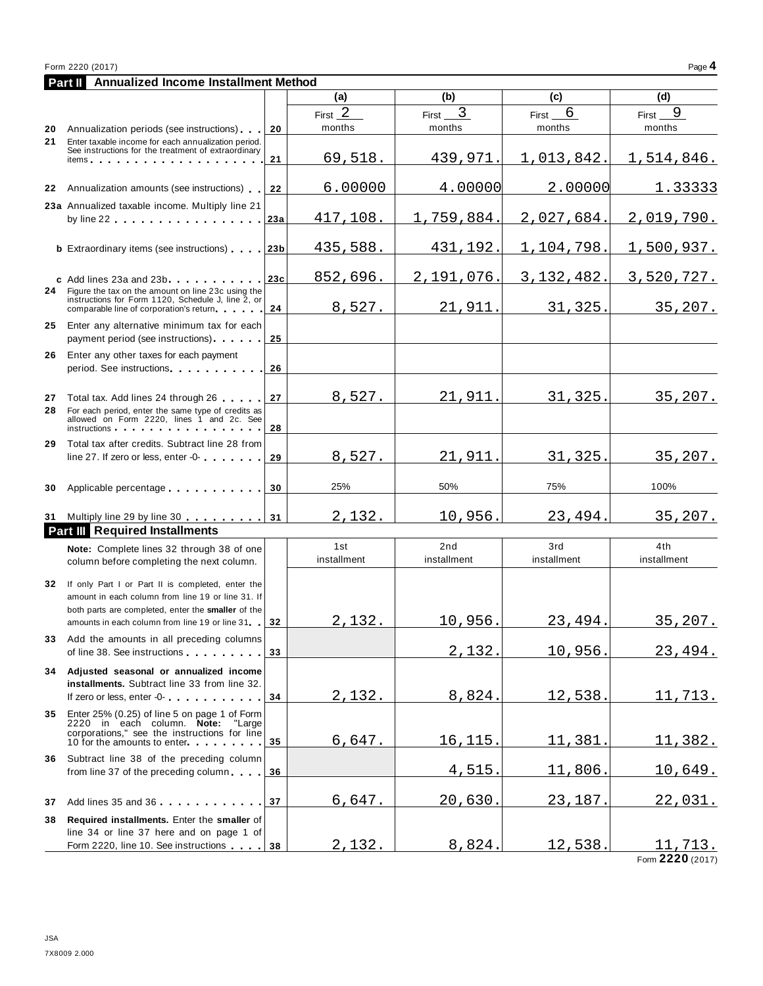| Form 2220 (2017) |                                      |  |  |              |  |  |
|------------------|--------------------------------------|--|--|--------------|--|--|
| <b>Part II</b>   | Annualized Income Installment Method |  |  |              |  |  |
|                  |                                      |  |  | $\mathbf{r}$ |  |  |

| (a)<br>(b)<br>(d)<br>(c)<br>First $2$<br>3<br>6<br>First<br>First<br>First<br>months<br>months<br>months<br>months<br>Annualization periods (see instructions)<br>20<br>20<br>21<br>Enter taxable income for each annualization period.<br>See instructions for the treatment of extraordinary<br>69,518.<br>1,013,842.<br>439,971.<br>1,514,846.<br>21<br>items. $\cdots$<br>6.00000<br>4.00000<br>2.00000<br>Annualization amounts (see instructions)<br>22<br>22<br>23a Annualized taxable income. Multiply line 21<br>1,759,884.<br>2,027,684.<br>417,108.<br>2,019,790.<br>23a<br>by line $22$ . $\ldots$ . $\ldots$ . $\ldots$ . $\ldots$ .<br>435,588.<br>431,192.<br>1,104,798.<br>1,500,937.<br><b>b</b> Extraordinary items (see instructions)<br>23 <sub>b</sub><br>3, 132, 482.<br>852,696.<br>2,191,076.<br>3,520,727.<br>23c<br>c Add lines 23a and 23b<br>24<br>Figure the tax on the amount on line 23c using the<br>instructions for Form 1120, Schedule J, line 2, or<br>8,527.<br>21,911.<br>31,325.<br>24<br>comparable line of corporation's return<br>25<br>Enter any alternative minimum tax for each<br>payment period (see instructions)<br>25<br>Enter any other taxes for each payment<br>26<br>period. See instructions experience and the set of the set of the set of the set of the set of the set of the set of the set of the set of the set of the set of the set of the set of the set of the set of the set of the se<br>26<br>31,325.<br>8,527.<br>21,911.<br>27<br>Total tax. Add lines 24 through 26<br>27<br>28<br>For each period, enter the same type of credits as<br>allowed on Form 2220, lines 1 and 2c. See<br>28<br>instructions and the state of the state of the state of the state of the state of the state of the state of the<br>29<br>Total tax after credits. Subtract line 28 from<br>8,527.<br>21,911<br>31,325<br>line 27. If zero or less, enter -0-<br>29<br>50%<br>100%<br>25%<br>75%<br>Applicable percentage<br>30<br>30<br>2,132.<br>10,956.<br>23,494.<br>31 Multiply line 29 by line 30<br>31<br><b>Part III</b> Required Installments<br>2nd<br>3rd<br>4th<br>1st<br>Note: Complete lines 32 through 38 of one<br>installment<br>installment<br>installment<br>installment<br>column before completing the next column.<br>32<br>If only Part I or Part II is completed, enter the<br>amount in each column from line 19 or line 31. If<br>both parts are completed, enter the smaller of the<br>10,956.<br>23,494.<br>2,132.<br>32<br>amounts in each column from line 19 or line 31<br>33 Add the amounts in all preceding columns<br>2,132<br>10,956<br>of line 38. See instructions<br>33<br>Adjusted seasonal or annualized income<br>34 | 9<br>1.33333    |
|-------------------------------------------------------------------------------------------------------------------------------------------------------------------------------------------------------------------------------------------------------------------------------------------------------------------------------------------------------------------------------------------------------------------------------------------------------------------------------------------------------------------------------------------------------------------------------------------------------------------------------------------------------------------------------------------------------------------------------------------------------------------------------------------------------------------------------------------------------------------------------------------------------------------------------------------------------------------------------------------------------------------------------------------------------------------------------------------------------------------------------------------------------------------------------------------------------------------------------------------------------------------------------------------------------------------------------------------------------------------------------------------------------------------------------------------------------------------------------------------------------------------------------------------------------------------------------------------------------------------------------------------------------------------------------------------------------------------------------------------------------------------------------------------------------------------------------------------------------------------------------------------------------------------------------------------------------------------------------------------------------------------------------------------------------------------------------------------------------------------------------------------------------------------------------------------------------------------------------------------------------------------------------------------------------------------------------------------------------------------------------------------------------------------------------------------------------------------------------------------------------------------------------------------------------------------------------------------------------------------------------------------------------------------------------------------------------------------|-----------------|
|                                                                                                                                                                                                                                                                                                                                                                                                                                                                                                                                                                                                                                                                                                                                                                                                                                                                                                                                                                                                                                                                                                                                                                                                                                                                                                                                                                                                                                                                                                                                                                                                                                                                                                                                                                                                                                                                                                                                                                                                                                                                                                                                                                                                                                                                                                                                                                                                                                                                                                                                                                                                                                                                                                                   |                 |
|                                                                                                                                                                                                                                                                                                                                                                                                                                                                                                                                                                                                                                                                                                                                                                                                                                                                                                                                                                                                                                                                                                                                                                                                                                                                                                                                                                                                                                                                                                                                                                                                                                                                                                                                                                                                                                                                                                                                                                                                                                                                                                                                                                                                                                                                                                                                                                                                                                                                                                                                                                                                                                                                                                                   |                 |
|                                                                                                                                                                                                                                                                                                                                                                                                                                                                                                                                                                                                                                                                                                                                                                                                                                                                                                                                                                                                                                                                                                                                                                                                                                                                                                                                                                                                                                                                                                                                                                                                                                                                                                                                                                                                                                                                                                                                                                                                                                                                                                                                                                                                                                                                                                                                                                                                                                                                                                                                                                                                                                                                                                                   |                 |
|                                                                                                                                                                                                                                                                                                                                                                                                                                                                                                                                                                                                                                                                                                                                                                                                                                                                                                                                                                                                                                                                                                                                                                                                                                                                                                                                                                                                                                                                                                                                                                                                                                                                                                                                                                                                                                                                                                                                                                                                                                                                                                                                                                                                                                                                                                                                                                                                                                                                                                                                                                                                                                                                                                                   |                 |
|                                                                                                                                                                                                                                                                                                                                                                                                                                                                                                                                                                                                                                                                                                                                                                                                                                                                                                                                                                                                                                                                                                                                                                                                                                                                                                                                                                                                                                                                                                                                                                                                                                                                                                                                                                                                                                                                                                                                                                                                                                                                                                                                                                                                                                                                                                                                                                                                                                                                                                                                                                                                                                                                                                                   |                 |
|                                                                                                                                                                                                                                                                                                                                                                                                                                                                                                                                                                                                                                                                                                                                                                                                                                                                                                                                                                                                                                                                                                                                                                                                                                                                                                                                                                                                                                                                                                                                                                                                                                                                                                                                                                                                                                                                                                                                                                                                                                                                                                                                                                                                                                                                                                                                                                                                                                                                                                                                                                                                                                                                                                                   |                 |
|                                                                                                                                                                                                                                                                                                                                                                                                                                                                                                                                                                                                                                                                                                                                                                                                                                                                                                                                                                                                                                                                                                                                                                                                                                                                                                                                                                                                                                                                                                                                                                                                                                                                                                                                                                                                                                                                                                                                                                                                                                                                                                                                                                                                                                                                                                                                                                                                                                                                                                                                                                                                                                                                                                                   |                 |
|                                                                                                                                                                                                                                                                                                                                                                                                                                                                                                                                                                                                                                                                                                                                                                                                                                                                                                                                                                                                                                                                                                                                                                                                                                                                                                                                                                                                                                                                                                                                                                                                                                                                                                                                                                                                                                                                                                                                                                                                                                                                                                                                                                                                                                                                                                                                                                                                                                                                                                                                                                                                                                                                                                                   |                 |
|                                                                                                                                                                                                                                                                                                                                                                                                                                                                                                                                                                                                                                                                                                                                                                                                                                                                                                                                                                                                                                                                                                                                                                                                                                                                                                                                                                                                                                                                                                                                                                                                                                                                                                                                                                                                                                                                                                                                                                                                                                                                                                                                                                                                                                                                                                                                                                                                                                                                                                                                                                                                                                                                                                                   | 35, 207.        |
|                                                                                                                                                                                                                                                                                                                                                                                                                                                                                                                                                                                                                                                                                                                                                                                                                                                                                                                                                                                                                                                                                                                                                                                                                                                                                                                                                                                                                                                                                                                                                                                                                                                                                                                                                                                                                                                                                                                                                                                                                                                                                                                                                                                                                                                                                                                                                                                                                                                                                                                                                                                                                                                                                                                   |                 |
|                                                                                                                                                                                                                                                                                                                                                                                                                                                                                                                                                                                                                                                                                                                                                                                                                                                                                                                                                                                                                                                                                                                                                                                                                                                                                                                                                                                                                                                                                                                                                                                                                                                                                                                                                                                                                                                                                                                                                                                                                                                                                                                                                                                                                                                                                                                                                                                                                                                                                                                                                                                                                                                                                                                   | 35, 207.        |
|                                                                                                                                                                                                                                                                                                                                                                                                                                                                                                                                                                                                                                                                                                                                                                                                                                                                                                                                                                                                                                                                                                                                                                                                                                                                                                                                                                                                                                                                                                                                                                                                                                                                                                                                                                                                                                                                                                                                                                                                                                                                                                                                                                                                                                                                                                                                                                                                                                                                                                                                                                                                                                                                                                                   |                 |
|                                                                                                                                                                                                                                                                                                                                                                                                                                                                                                                                                                                                                                                                                                                                                                                                                                                                                                                                                                                                                                                                                                                                                                                                                                                                                                                                                                                                                                                                                                                                                                                                                                                                                                                                                                                                                                                                                                                                                                                                                                                                                                                                                                                                                                                                                                                                                                                                                                                                                                                                                                                                                                                                                                                   | 35, 207.        |
|                                                                                                                                                                                                                                                                                                                                                                                                                                                                                                                                                                                                                                                                                                                                                                                                                                                                                                                                                                                                                                                                                                                                                                                                                                                                                                                                                                                                                                                                                                                                                                                                                                                                                                                                                                                                                                                                                                                                                                                                                                                                                                                                                                                                                                                                                                                                                                                                                                                                                                                                                                                                                                                                                                                   |                 |
|                                                                                                                                                                                                                                                                                                                                                                                                                                                                                                                                                                                                                                                                                                                                                                                                                                                                                                                                                                                                                                                                                                                                                                                                                                                                                                                                                                                                                                                                                                                                                                                                                                                                                                                                                                                                                                                                                                                                                                                                                                                                                                                                                                                                                                                                                                                                                                                                                                                                                                                                                                                                                                                                                                                   | 35,207.         |
|                                                                                                                                                                                                                                                                                                                                                                                                                                                                                                                                                                                                                                                                                                                                                                                                                                                                                                                                                                                                                                                                                                                                                                                                                                                                                                                                                                                                                                                                                                                                                                                                                                                                                                                                                                                                                                                                                                                                                                                                                                                                                                                                                                                                                                                                                                                                                                                                                                                                                                                                                                                                                                                                                                                   |                 |
|                                                                                                                                                                                                                                                                                                                                                                                                                                                                                                                                                                                                                                                                                                                                                                                                                                                                                                                                                                                                                                                                                                                                                                                                                                                                                                                                                                                                                                                                                                                                                                                                                                                                                                                                                                                                                                                                                                                                                                                                                                                                                                                                                                                                                                                                                                                                                                                                                                                                                                                                                                                                                                                                                                                   |                 |
|                                                                                                                                                                                                                                                                                                                                                                                                                                                                                                                                                                                                                                                                                                                                                                                                                                                                                                                                                                                                                                                                                                                                                                                                                                                                                                                                                                                                                                                                                                                                                                                                                                                                                                                                                                                                                                                                                                                                                                                                                                                                                                                                                                                                                                                                                                                                                                                                                                                                                                                                                                                                                                                                                                                   |                 |
|                                                                                                                                                                                                                                                                                                                                                                                                                                                                                                                                                                                                                                                                                                                                                                                                                                                                                                                                                                                                                                                                                                                                                                                                                                                                                                                                                                                                                                                                                                                                                                                                                                                                                                                                                                                                                                                                                                                                                                                                                                                                                                                                                                                                                                                                                                                                                                                                                                                                                                                                                                                                                                                                                                                   | 35, 207.        |
|                                                                                                                                                                                                                                                                                                                                                                                                                                                                                                                                                                                                                                                                                                                                                                                                                                                                                                                                                                                                                                                                                                                                                                                                                                                                                                                                                                                                                                                                                                                                                                                                                                                                                                                                                                                                                                                                                                                                                                                                                                                                                                                                                                                                                                                                                                                                                                                                                                                                                                                                                                                                                                                                                                                   | 23,494.         |
| installments. Subtract line 33 from line 32.<br>8,824.<br>2,132.<br>12,538.<br>If zero or less, enter -0-<br>34                                                                                                                                                                                                                                                                                                                                                                                                                                                                                                                                                                                                                                                                                                                                                                                                                                                                                                                                                                                                                                                                                                                                                                                                                                                                                                                                                                                                                                                                                                                                                                                                                                                                                                                                                                                                                                                                                                                                                                                                                                                                                                                                                                                                                                                                                                                                                                                                                                                                                                                                                                                                   | <u>11,713.</u>  |
| Enter 25% (0.25) of line 5 on page 1 of Form<br>35<br>2220 in each column. Note: "Large<br>corporations," see the instructions for line<br><u> 16,115</u><br>11,381<br>6,647.                                                                                                                                                                                                                                                                                                                                                                                                                                                                                                                                                                                                                                                                                                                                                                                                                                                                                                                                                                                                                                                                                                                                                                                                                                                                                                                                                                                                                                                                                                                                                                                                                                                                                                                                                                                                                                                                                                                                                                                                                                                                                                                                                                                                                                                                                                                                                                                                                                                                                                                                     | <u> 11,382.</u> |
| 35<br>10 for the amounts to enter<br>36 Subtract line 38 of the preceding column                                                                                                                                                                                                                                                                                                                                                                                                                                                                                                                                                                                                                                                                                                                                                                                                                                                                                                                                                                                                                                                                                                                                                                                                                                                                                                                                                                                                                                                                                                                                                                                                                                                                                                                                                                                                                                                                                                                                                                                                                                                                                                                                                                                                                                                                                                                                                                                                                                                                                                                                                                                                                                  |                 |
| 4,515<br><u>11,806.</u><br>from line 37 of the preceding column<br>36                                                                                                                                                                                                                                                                                                                                                                                                                                                                                                                                                                                                                                                                                                                                                                                                                                                                                                                                                                                                                                                                                                                                                                                                                                                                                                                                                                                                                                                                                                                                                                                                                                                                                                                                                                                                                                                                                                                                                                                                                                                                                                                                                                                                                                                                                                                                                                                                                                                                                                                                                                                                                                             | <u> 10,649.</u> |
| 20,630<br><u>6,647.</u><br><u>23,187</u><br>37<br>Add lines 35 and 36<br>37                                                                                                                                                                                                                                                                                                                                                                                                                                                                                                                                                                                                                                                                                                                                                                                                                                                                                                                                                                                                                                                                                                                                                                                                                                                                                                                                                                                                                                                                                                                                                                                                                                                                                                                                                                                                                                                                                                                                                                                                                                                                                                                                                                                                                                                                                                                                                                                                                                                                                                                                                                                                                                       | <u>22,031.</u>  |
| Required installments. Enter the smaller of<br>38<br>line 34 or line 37 here and on page 1 of<br>2,132.<br>8,824.<br><u>12,538.</u><br>Form 2220, line 10. See instructions<br>38                                                                                                                                                                                                                                                                                                                                                                                                                                                                                                                                                                                                                                                                                                                                                                                                                                                                                                                                                                                                                                                                                                                                                                                                                                                                                                                                                                                                                                                                                                                                                                                                                                                                                                                                                                                                                                                                                                                                                                                                                                                                                                                                                                                                                                                                                                                                                                                                                                                                                                                                 | <u>11,713.</u>  |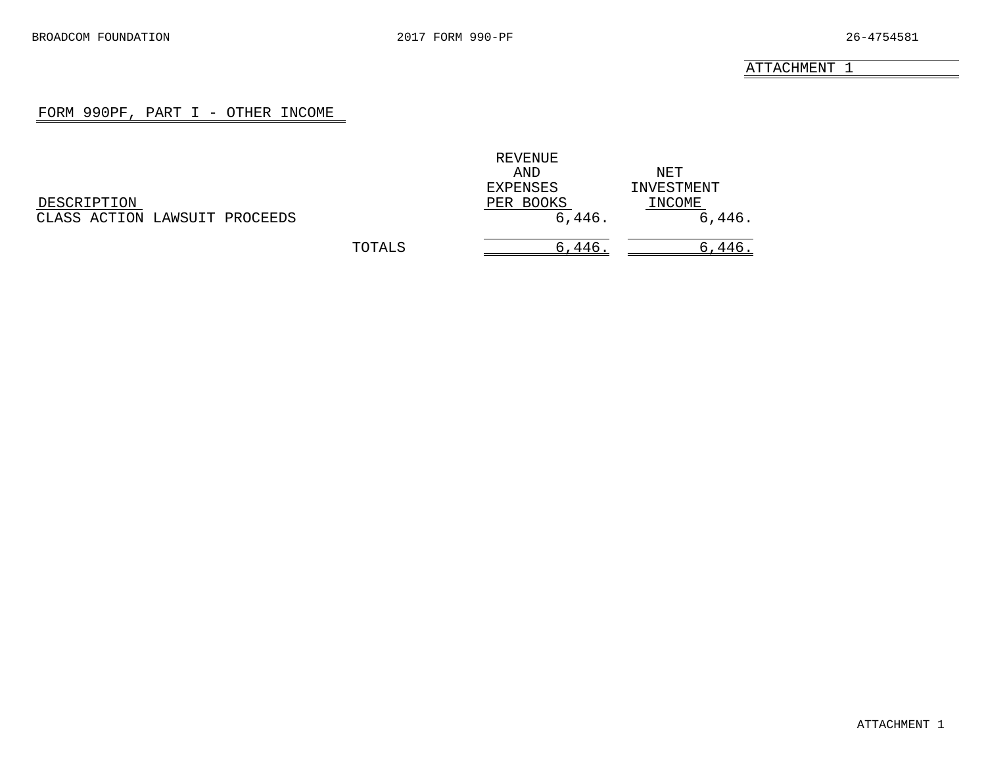#### FORM 990PF, PART I - OTHER INCOME

<span id="page-16-0"></span>

|                               |        | REVENUE   |            |
|-------------------------------|--------|-----------|------------|
|                               |        | AND       | NET        |
|                               |        | EXPENSES  | INVESTMENT |
| DESCRIPTION                   |        | PER BOOKS | INCOME     |
| CLASS ACTION LAWSUIT PROCEEDS |        | 6,446.    | 6,446.     |
|                               | TOTALS | 6,446     | 6,446      |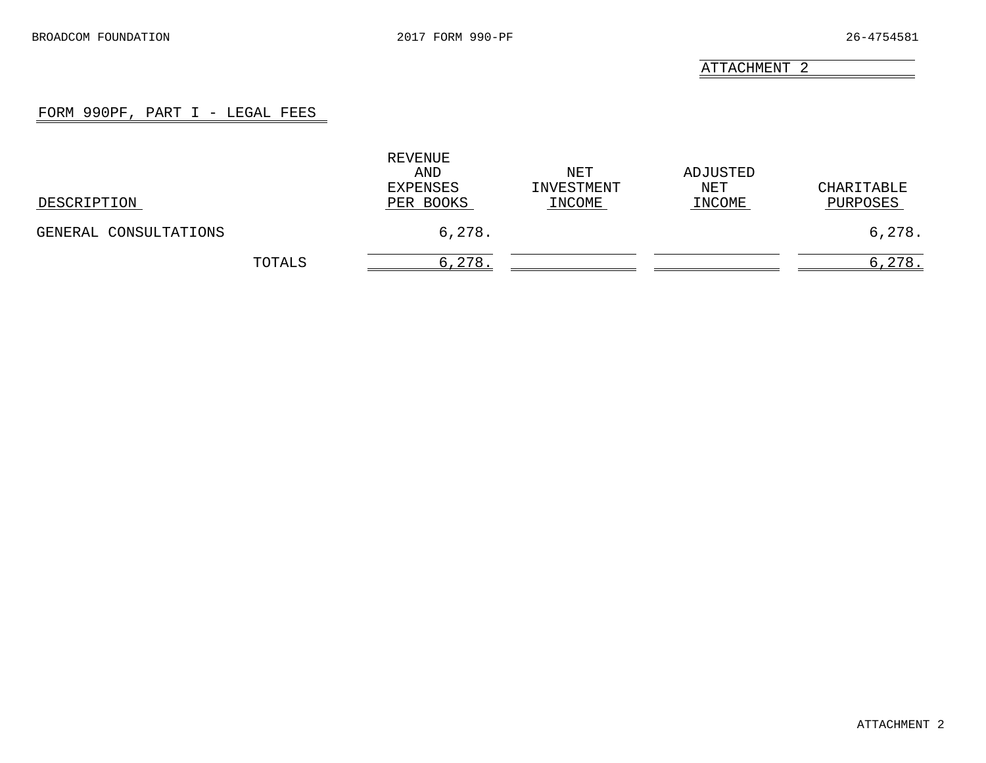## FORM 990PF, PART I - LEGAL FEES

<span id="page-17-0"></span>

| DESCRIPTION           |        | REVENUE<br>AND<br>EXPENSES<br>PER BOOKS | NET<br>INVESTMENT<br>INCOME | ADJUSTED<br>NET<br>INCOME | CHARITABLE<br>PURPOSES |
|-----------------------|--------|-----------------------------------------|-----------------------------|---------------------------|------------------------|
| GENERAL CONSULTATIONS |        | 6,278.                                  |                             |                           | 6,278.                 |
|                       | TOTALS | 6,278.                                  |                             |                           | 6,278.                 |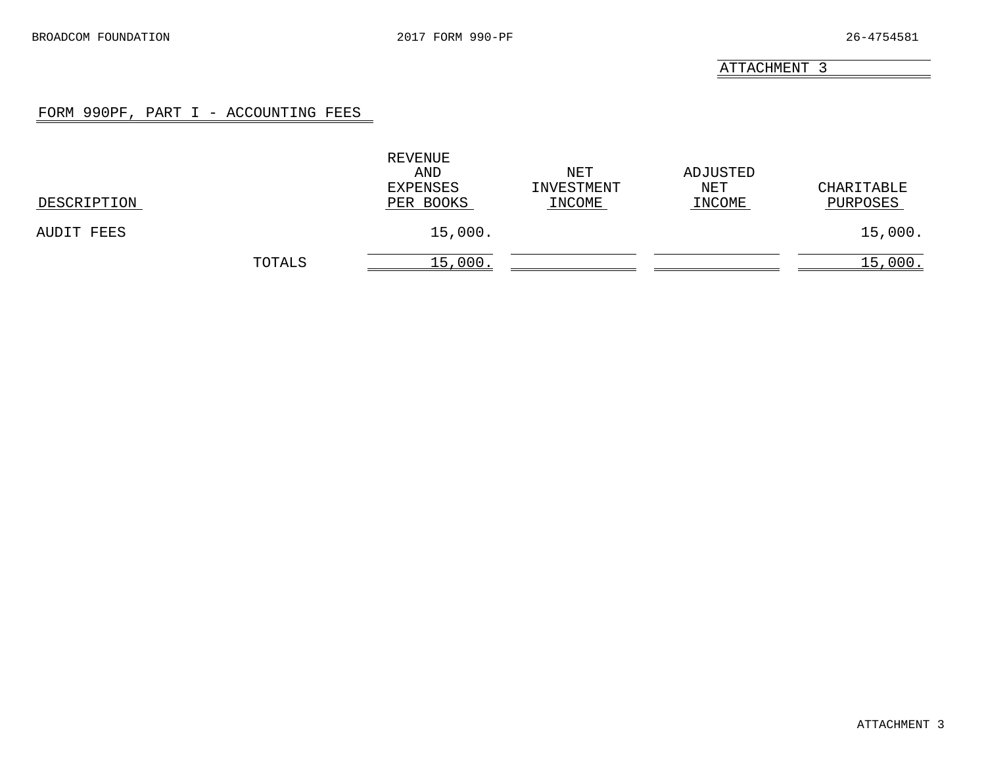#### FORM 990PF, PART I - ACCOUNTING FEES

<span id="page-18-0"></span>

| DESCRIPTION |        | REVENUE<br>AND<br>EXPENSES<br>PER BOOKS | NET<br>INVESTMENT<br>INCOME | ADJUSTED<br>NET<br>INCOME | CHARITABLE<br>PURPOSES |
|-------------|--------|-----------------------------------------|-----------------------------|---------------------------|------------------------|
| AUDIT FEES  |        | 15,000.                                 |                             |                           | 15,000.                |
|             | TOTALS | 15,000.                                 |                             |                           | 15,000.                |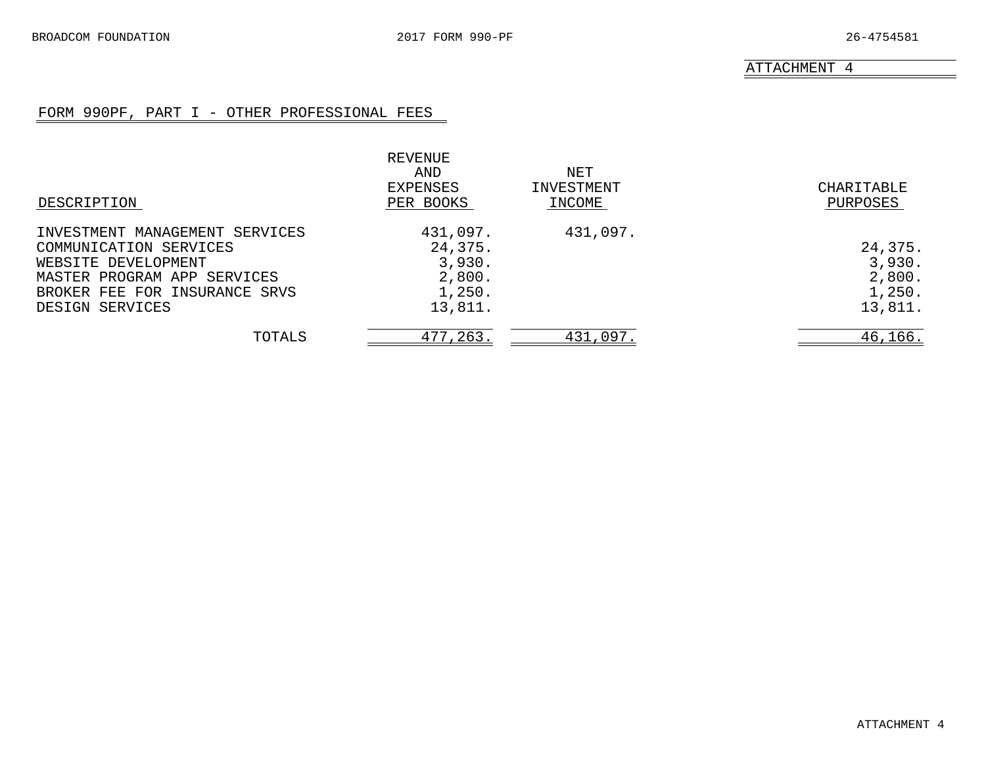## FORM 990PF, PART I - OTHER PROFESSIONAL FEES

<span id="page-19-0"></span>

| DESCRIPTION                    | REVENUE<br>AND<br>EXPENSES<br>PER BOOKS | NET<br>INVESTMENT<br>INCOME | CHARITABLE<br>PURPOSES |
|--------------------------------|-----------------------------------------|-----------------------------|------------------------|
| INVESTMENT MANAGEMENT SERVICES | 431,097.                                | 431,097.                    |                        |
| COMMUNICATION SERVICES         | 24,375.                                 |                             | 24,375.                |
| WEBSITE DEVELOPMENT            | 3,930.                                  |                             | 3,930.                 |
| MASTER PROGRAM APP SERVICES    | 2,800.                                  |                             | 2,800.                 |
| BROKER FEE FOR INSURANCE SRVS  | 1,250.                                  |                             | 1,250.                 |
| DESIGN SERVICES                | 13,811.                                 |                             | 13,811.                |
| TOTALS                         | 477,263                                 | 431,097                     | <u>46,166.</u>         |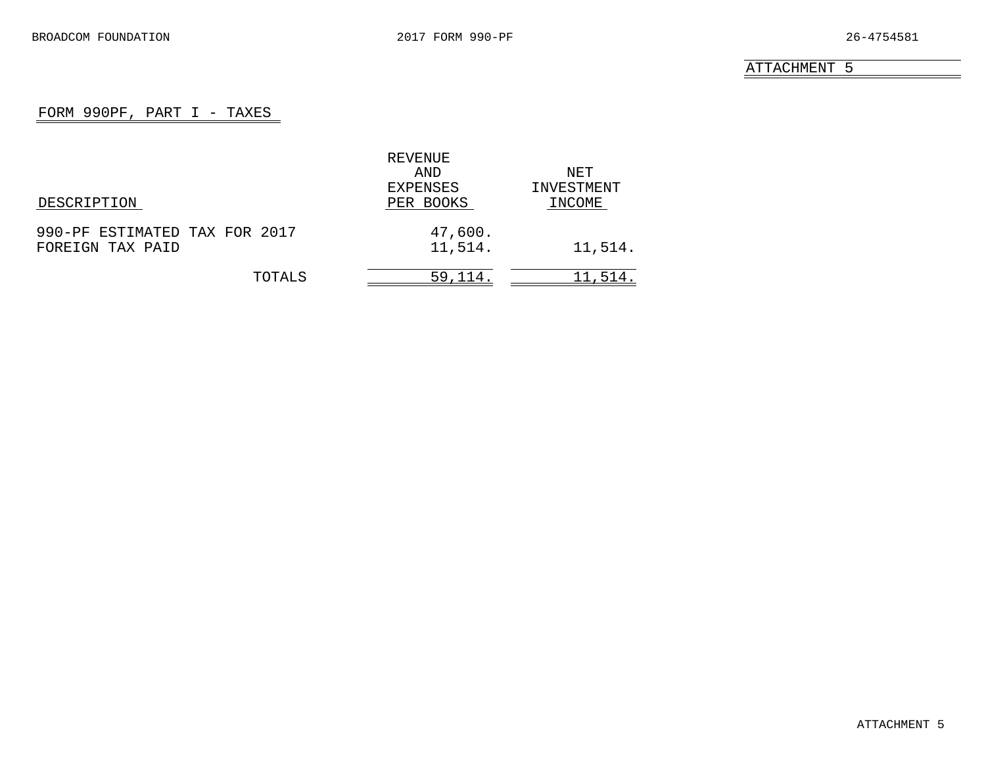## FORM 990PF, PART I - TAXES

<span id="page-20-0"></span>

|                               | REVENUE   |            |
|-------------------------------|-----------|------------|
|                               | AND       | NET.       |
|                               | EXPENSES  | INVESTMENT |
| DESCRIPTION                   | PER BOOKS | INCOME     |
| 990-PF ESTIMATED TAX FOR 2017 | 47,600.   |            |
| FOREIGN TAX PAID              | 11,514.   | 11,514.    |
| TOTALS                        | 59,114    | 11,514.    |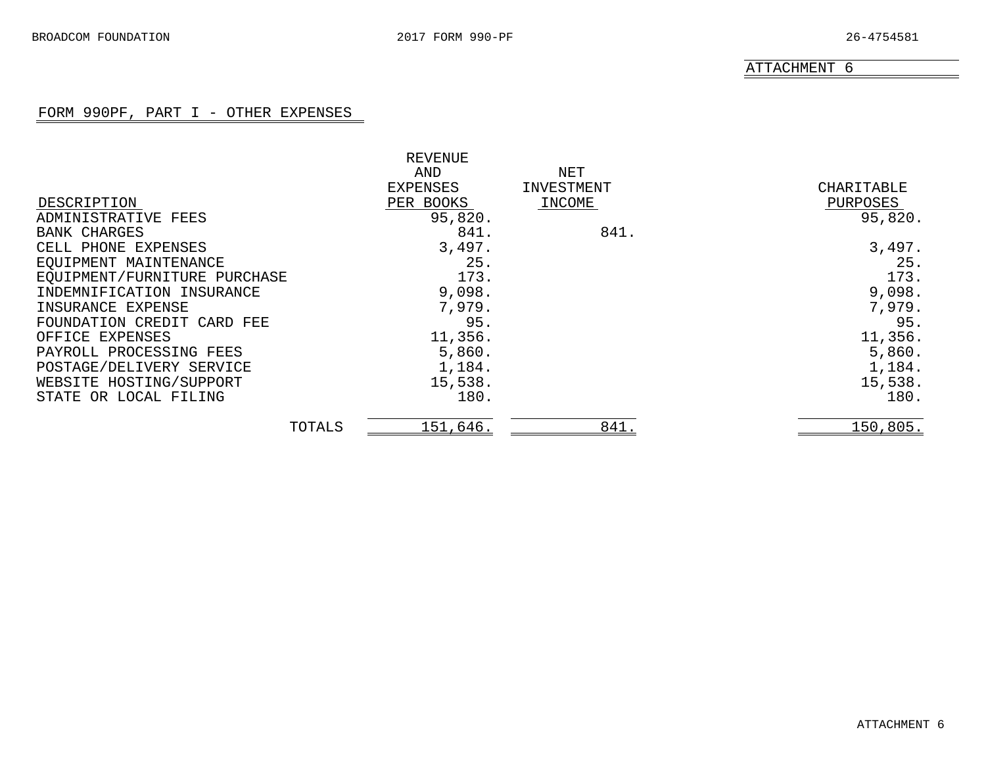#### FORM 990PF, PART I - OTHER EXPENSES

<span id="page-21-0"></span>

|                              | <b>REVENUE</b> |            |            |
|------------------------------|----------------|------------|------------|
|                              | AND            | NET        |            |
|                              | EXPENSES       | INVESTMENT | CHARITABLE |
| DESCRIPTION                  | PER BOOKS      | INCOME     | PURPOSES   |
| ADMINISTRATIVE<br>FEES       | 95,820.        |            | 95,820.    |
| <b>BANK CHARGES</b>          | 841.           | 841.       |            |
| CELL PHONE EXPENSES          | 3,497.         |            | 3,497.     |
| EQUIPMENT MAINTENANCE        | 25.            |            | 25.        |
| EQUIPMENT/FURNITURE PURCHASE | 173.           |            | 173.       |
| INDEMNIFICATION INSURANCE    | 9,098.         |            | 9,098.     |
| INSURANCE EXPENSE            | 7,979.         |            | 7,979.     |
| FOUNDATION CREDIT CARD FEE   | 95.            |            | 95.        |
| OFFICE EXPENSES              | 11,356.        |            | 11,356.    |
| PAYROLL PROCESSING FEES      | 5,860.         |            | 5,860.     |
| POSTAGE/DELIVERY SERVICE     | 1,184.         |            | 1,184.     |
| WEBSITE HOSTING/SUPPORT      | 15,538.        |            | 15,538.    |
| STATE OR LOCAL FILING        | 180.           |            | 180.       |
| TOTALS                       | 151,646.       | 841.       | 150,805.   |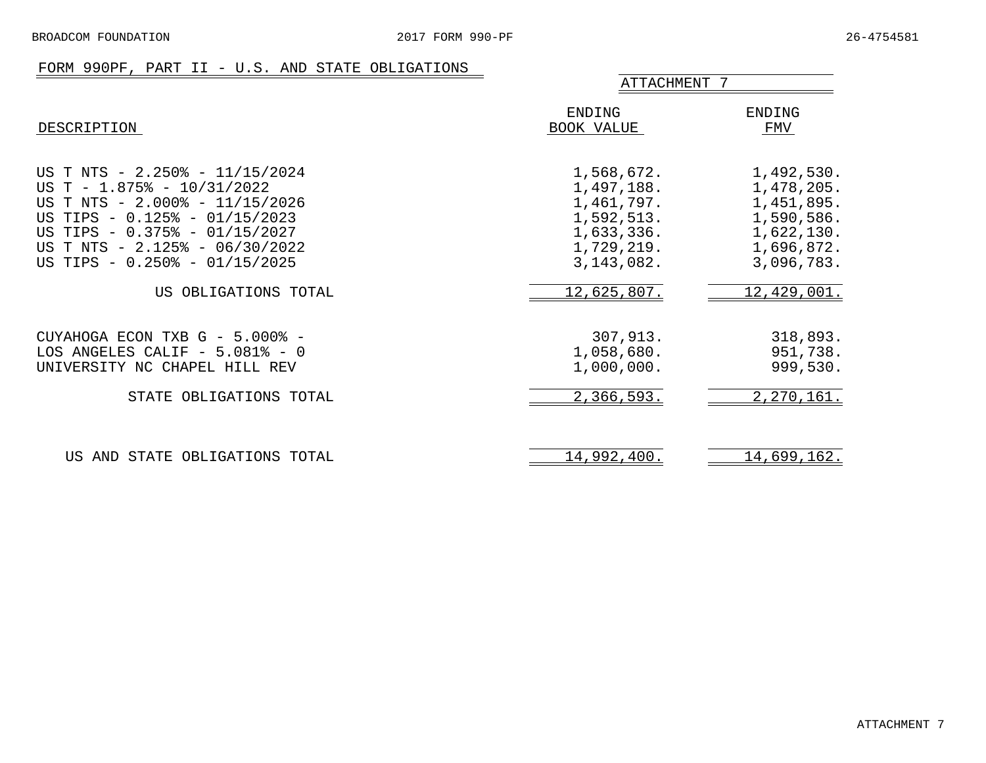## FORM 990PF, PART II - U.S. AND STATE OBLIGATIONS

<span id="page-22-0"></span>

|                                                                                                                                                                                                                                        | ATTACHMENT 7                                                                                     |                                                                                                |  |
|----------------------------------------------------------------------------------------------------------------------------------------------------------------------------------------------------------------------------------------|--------------------------------------------------------------------------------------------------|------------------------------------------------------------------------------------------------|--|
| DESCRIPTION                                                                                                                                                                                                                            | ENDING<br>BOOK VALUE                                                                             | ENDING<br>FMV                                                                                  |  |
| US T NTS - 2.250% - 11/15/2024<br>US T - $1.875$ - $10/31/2022$<br>US T NTS - 2.000% - 11/15/2026<br>US TIPS - 0.125% - 01/15/2023<br>US TIPS - 0.375% - 01/15/2027<br>US T NTS - 2.125% - 06/30/2022<br>US TIPS - 0.250% - 01/15/2025 | 1,568,672.<br>1,497,188.<br>1,461,797.<br>1,592,513.<br>1,633,336.<br>1,729,219.<br>3, 143, 082. | 1,492,530.<br>1,478,205.<br>1,451,895.<br>1,590,586.<br>1,622,130.<br>1,696,872.<br>3,096,783. |  |
| US OBLIGATIONS TOTAL                                                                                                                                                                                                                   | 12,625,807.                                                                                      | 12,429,001.                                                                                    |  |
| CUYAHOGA ECON TXB G - 5.000% -<br>LOS ANGELES CALIF $-5.081\% - 0$<br>UNIVERSITY NC CHAPEL HILL REV                                                                                                                                    | 307,913.<br>1,058,680.<br>1,000,000.                                                             | 318,893.<br>951,738.<br>999,530.                                                               |  |
| STATE OBLIGATIONS TOTAL                                                                                                                                                                                                                | 2,366,593.                                                                                       | 2,270,161.                                                                                     |  |
| US AND STATE OBLIGATIONS TOTAL                                                                                                                                                                                                         | 14,992,400.                                                                                      | 14,699,162.                                                                                    |  |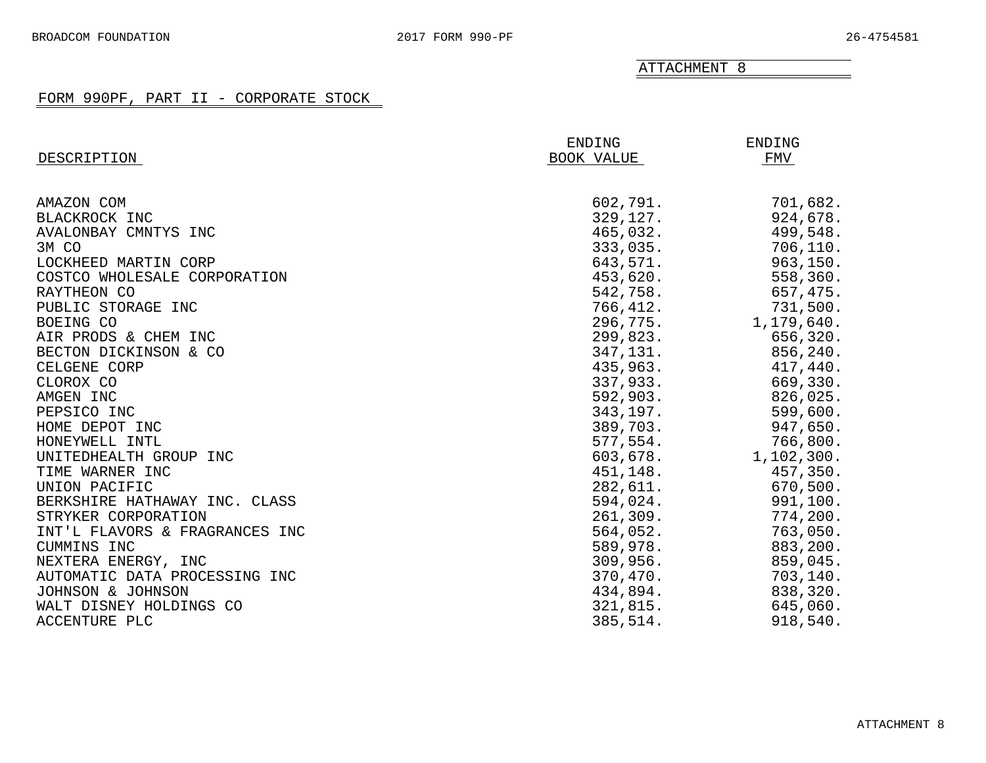### FORM 990PF, PART II - CORPORATE STOCK

<span id="page-23-0"></span>

|                                | <b>ENDING</b> | <b>ENDING</b> |
|--------------------------------|---------------|---------------|
| DESCRIPTION                    | BOOK VALUE    | FMV           |
|                                |               |               |
| AMAZON COM                     | 602,791.      | 701,682.      |
| BLACKROCK INC                  | 329,127.      | 924,678.      |
| AVALONBAY CMNTYS INC           | 465,032.      | 499,548.      |
| 3M CO                          | 333,035.      | 706,110.      |
| LOCKHEED MARTIN CORP           | 643,571.      | 963, 150.     |
| COSTCO WHOLESALE CORPORATION   | 453,620.      | 558,360.      |
| RAYTHEON CO                    | 542,758.      | 657,475.      |
| PUBLIC STORAGE INC             | 766,412.      | 731,500.      |
| BOEING CO                      | 296,775.      | 1,179,640.    |
| AIR PRODS & CHEM INC           | 299,823.      | 656,320.      |
| BECTON DICKINSON & CO          | 347,131.      | 856,240.      |
| CELGENE CORP                   | 435,963.      | 417,440.      |
| CLOROX CO                      | 337,933.      | 669,330.      |
| AMGEN INC                      | 592,903.      | 826,025.      |
| PEPSICO INC                    | 343,197.      | 599,600.      |
| HOME DEPOT INC                 | 389,703.      | 947,650.      |
| HONEYWELL INTL                 | 577,554.      | 766,800.      |
| UNITEDHEALTH GROUP INC         | 603,678.      | 1,102,300.    |
| TIME WARNER INC                | 451,148.      | 457,350.      |
| UNION PACIFIC                  | 282,611.      | 670,500.      |
| BERKSHIRE HATHAWAY INC. CLASS  | 594,024.      | 991,100.      |
| STRYKER CORPORATION            | 261, 309.     | 774,200.      |
| INT'L FLAVORS & FRAGRANCES INC | 564,052.      | 763,050.      |
| CUMMINS INC                    | 589,978.      | 883,200.      |
| NEXTERA ENERGY, INC            | 309,956.      | 859,045.      |
| AUTOMATIC DATA PROCESSING INC  | 370,470.      | 703,140.      |
| JOHNSON & JOHNSON              | 434,894.      | 838,320.      |
| WALT DISNEY HOLDINGS CO        | 321,815.      | 645,060.      |
| ACCENTURE PLC                  | 385,514.      | 918,540.      |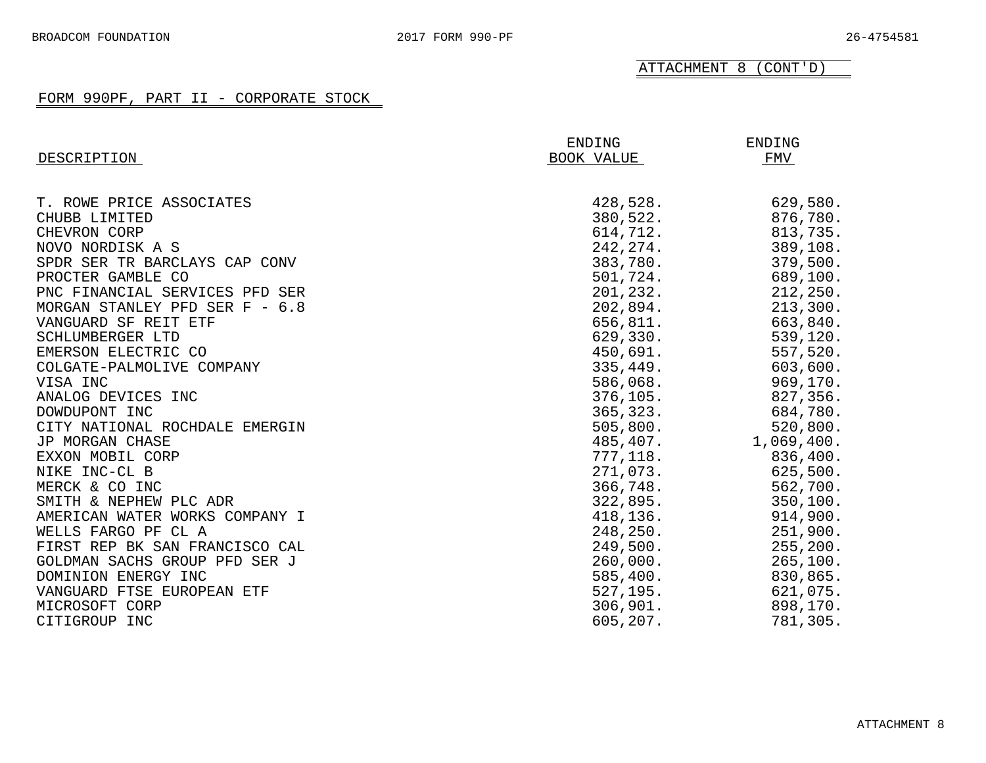ATTACHMENT 8 (CONT'D)

### FORM 990PF, PART II - CORPORATE STOCK

|                                | ENDING     | ENDING     |
|--------------------------------|------------|------------|
| DESCRIPTION                    | BOOK VALUE | FMV        |
|                                |            |            |
| T. ROWE PRICE ASSOCIATES       | 428,528.   | 629,580.   |
| CHUBB LIMITED                  | 380,522.   | 876,780.   |
| CHEVRON CORP                   | 614,712.   | 813,735.   |
| NOVO NORDISK A S               | 242, 274.  | 389,108.   |
| SPDR SER TR BARCLAYS CAP CONV  | 383,780.   | 379,500.   |
| PROCTER GAMBLE CO              | 501,724.   | 689,100.   |
| PNC FINANCIAL SERVICES PFD SER | 201,232.   | 212, 250.  |
| MORGAN STANLEY PFD SER F - 6.8 | 202,894.   | 213,300.   |
| VANGUARD SF REIT ETF           | 656,811.   | 663,840.   |
| SCHLUMBERGER LTD               | 629,330.   | 539,120.   |
| EMERSON ELECTRIC CO            | 450,691.   | 557,520.   |
| COLGATE-PALMOLIVE COMPANY      | 335,449.   | 603,600.   |
| VISA INC                       | 586,068.   | 969,170.   |
| ANALOG DEVICES INC             | 376, 105.  | 827,356.   |
| DOWDUPONT INC                  | 365, 323.  | 684,780.   |
| CITY NATIONAL ROCHDALE EMERGIN | 505,800.   | 520,800.   |
| JP MORGAN CHASE                | 485,407.   | 1,069,400. |
| EXXON MOBIL CORP               | 777,118.   | 836,400.   |
| NIKE INC-CL B                  | 271,073.   | 625,500.   |
| MERCK & CO INC                 | 366,748.   | 562,700.   |
| SMITH & NEPHEW PLC ADR         | 322,895.   | 350, 100.  |
| AMERICAN WATER WORKS COMPANY I | 418,136.   | 914,900.   |
| WELLS FARGO PF CL A            | 248,250.   | 251,900.   |
| FIRST REP BK SAN FRANCISCO CAL | 249,500.   | 255, 200.  |
| GOLDMAN SACHS GROUP PFD SER J  | 260,000.   | 265, 100.  |
| DOMINION ENERGY INC            | 585,400.   | 830,865.   |
| VANGUARD FTSE EUROPEAN ETF     | 527, 195.  | 621,075.   |
| MICROSOFT CORP                 | 306,901.   | 898,170.   |
| CITIGROUP INC                  | 605,207.   | 781,305.   |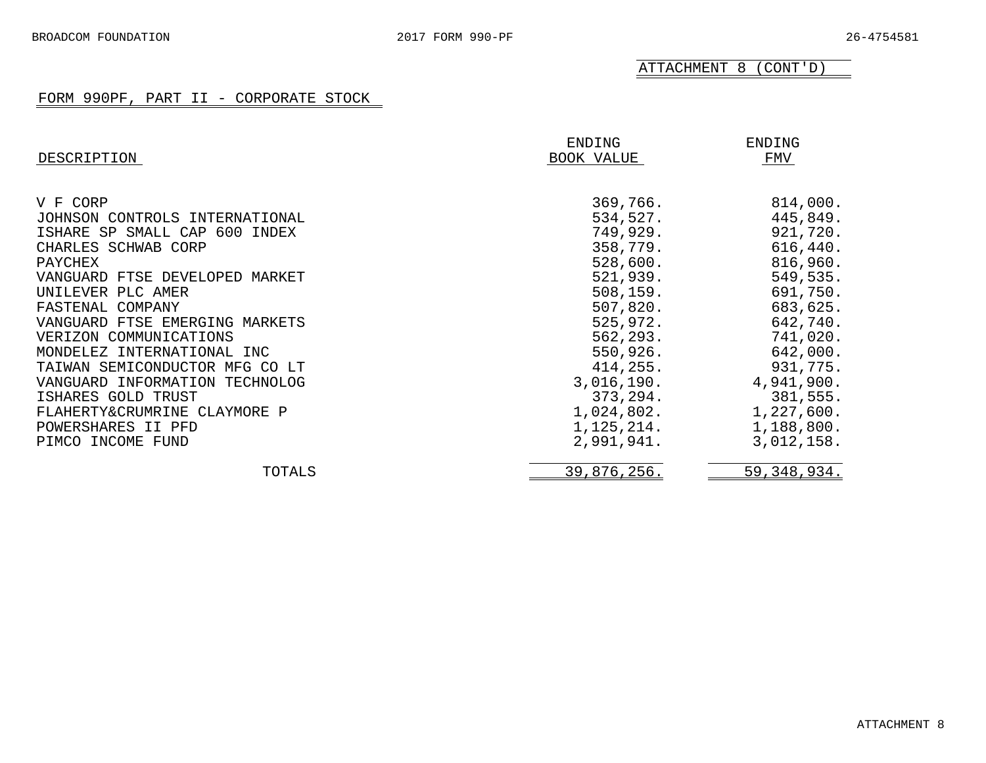ATTACHMENT 8 (CONT'D)

### FORM 990PF, PART II - CORPORATE STOCK

| DESCRIPTION                    | ENDING<br>BOOK VALUE | ENDING<br>FMV |
|--------------------------------|----------------------|---------------|
| V F CORP                       | 369,766.             | 814,000.      |
| JOHNSON CONTROLS INTERNATIONAL | 534,527.             | 445,849.      |
| ISHARE SP SMALL CAP 600 INDEX  | 749,929.             | 921,720.      |
| CHARLES SCHWAB CORP            | 358,779.             | 616,440.      |
| PAYCHEX                        | 528,600.             | 816,960.      |
| VANGUARD FTSE DEVELOPED MARKET | 521,939.             | 549,535.      |
| UNILEVER PLC AMER              | 508, 159.            | 691,750.      |
| FASTENAL COMPANY               | 507,820.             | 683,625.      |
| VANGUARD FTSE EMERGING MARKETS | 525,972.             | 642,740.      |
| VERIZON COMMUNICATIONS         | 562, 293.            | 741,020.      |
| MONDELEZ INTERNATIONAL INC     | 550,926.             | 642,000.      |
| TAIWAN SEMICONDUCTOR MFG CO LT | 414,255.             | 931,775.      |
| VANGUARD INFORMATION TECHNOLOG | 3,016,190.           | 4,941,900.    |
| ISHARES GOLD TRUST             | 373,294.             | 381,555.      |
| FLAHERTY&CRUMRINE CLAYMORE P   | 1,024,802.           | 1,227,600.    |
| POWERSHARES II PFD             | 1,125,214.           | 1,188,800.    |
| PIMCO INCOME FUND              | 2,991,941.           | 3,012,158.    |
| TOTALS                         | 39,876,256.          | 59, 348, 934. |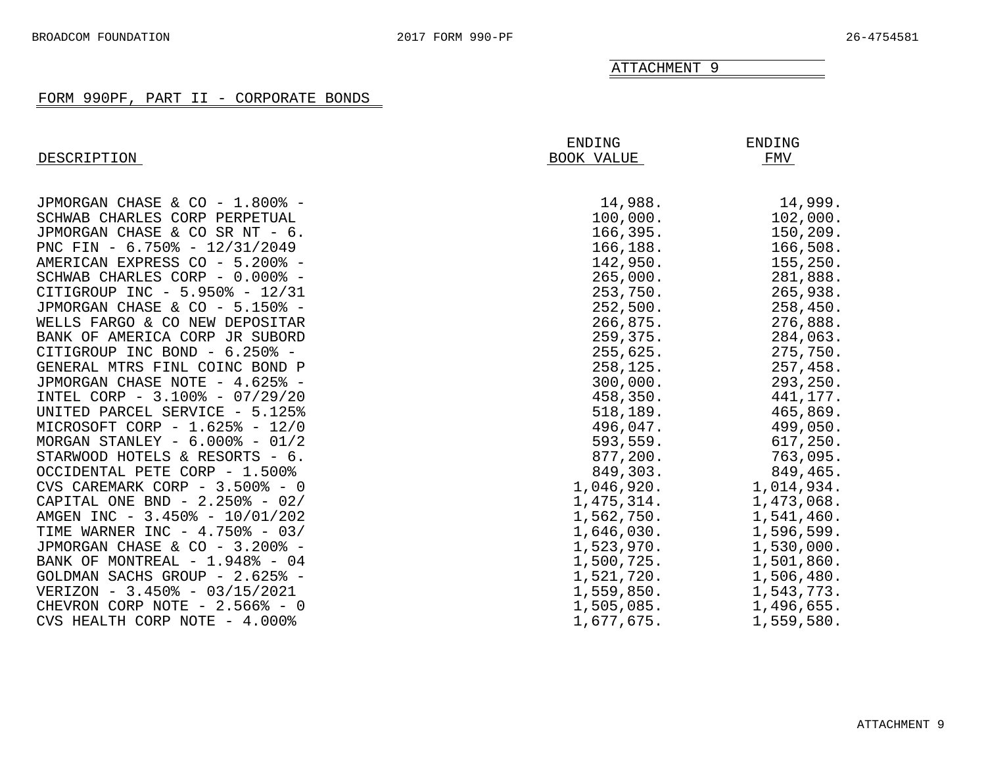#### FORM 990PF, PART II - CORPORATE BONDS

<span id="page-26-0"></span>

| DESCRIPTION                       | ENDING<br>BOOK VALUE | ENDING<br>FMV |
|-----------------------------------|----------------------|---------------|
|                                   |                      |               |
| JPMORGAN CHASE & CO - 1.800% -    | 14,988.              | 14,999.       |
| SCHWAB CHARLES CORP PERPETUAL     | 100,000.             | 102,000.      |
| JPMORGAN CHASE & CO SR NT - 6.    | 166, 395.            | 150,209.      |
| PNC FIN - 6.750% - 12/31/2049     | 166,188.             | 166,508.      |
| AMERICAN EXPRESS CO - 5.200% -    | 142,950.             | 155, 250.     |
| SCHWAB CHARLES CORP - 0.000% -    | 265,000.             | 281,888.      |
| CITIGROUP INC - 5.950% - 12/31    | 253,750.             | 265,938.      |
| JPMORGAN CHASE & CO - 5.150% -    | 252,500.             | 258,450.      |
| WELLS FARGO & CO NEW DEPOSITAR    | 266,875.             | 276,888.      |
| BANK OF AMERICA CORP JR SUBORD    | 259,375.             | 284,063.      |
| CITIGROUP INC BOND - 6.250% -     | 255,625.             | 275,750.      |
| GENERAL MTRS FINL COINC BOND P    | 258,125.             | 257,458.      |
| JPMORGAN CHASE NOTE - 4.625% -    | 300,000.             | 293,250.      |
| INTEL CORP - 3.100% - 07/29/20    | 458,350.             | 441,177.      |
| UNITED PARCEL SERVICE - 5.125%    | 518,189.             | 465,869.      |
| MICROSOFT CORP - 1.625% - 12/0    | 496,047.             | 499,050.      |
| MORGAN STANLEY - $6.000\%$ - 01/2 | 593,559.             | 617,250.      |
| STARWOOD HOTELS & RESORTS - 6.    | 877,200.             | 763,095.      |
| OCCIDENTAL PETE CORP - 1.500%     | 849,303.             | 849,465.      |
| CVS CAREMARK CORP - 3.500% - 0    | 1,046,920.           | 1,014,934.    |
| CAPITAL ONE BND - $2.250\%$ - 02/ | 1,475,314.           | 1,473,068.    |
| AMGEN INC - 3.450% - 10/01/202    | 1,562,750.           | 1,541,460.    |
| TIME WARNER INC - 4.750% - 03/    | 1,646,030.           | 1,596,599.    |
| JPMORGAN CHASE & CO - 3.200% -    | 1,523,970.           | 1,530,000.    |
| BANK OF MONTREAL - 1.948% - 04    | 1,500,725.           | 1,501,860.    |
| GOLDMAN SACHS GROUP - 2.625% -    | 1,521,720.           | 1,506,480.    |
| VERIZON - 3.450% - 03/15/2021     | 1,559,850.           | 1,543,773.    |
| CHEVRON CORP NOTE $-2.566$ - 0    | 1,505,085.           | 1,496,655.    |
| CVS HEALTH CORP NOTE - 4.000%     | 1,677,675.           | 1,559,580.    |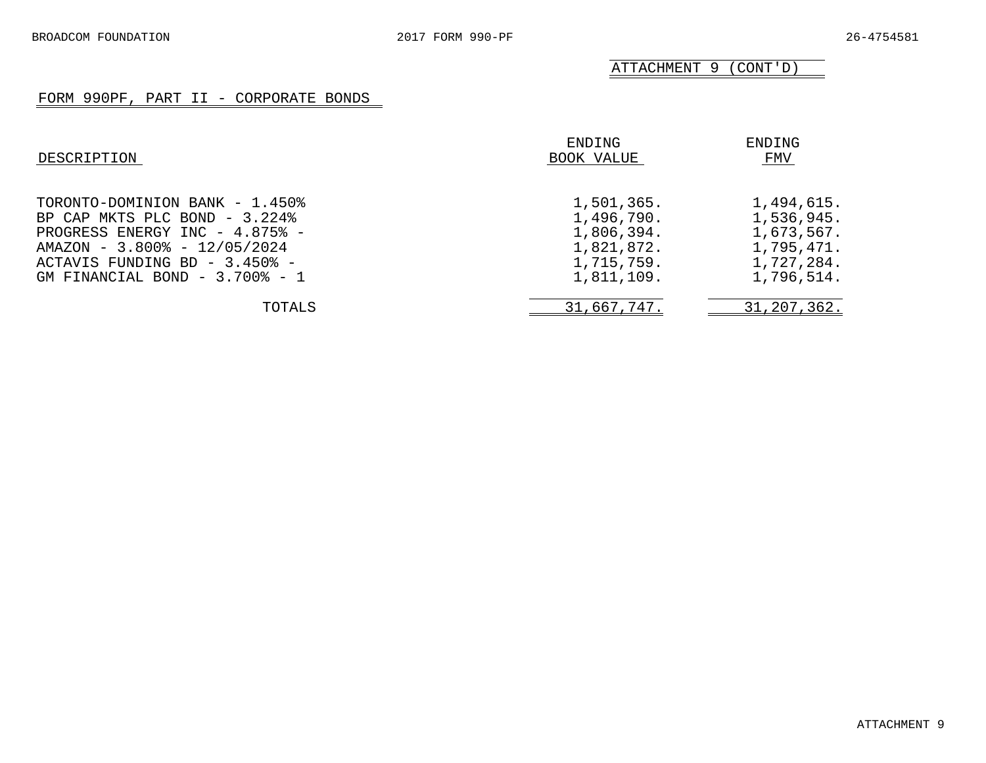ATTACHMENT 9 (CONT'D)

## FORM 990PF, PART II - CORPORATE BONDS

| DESCRIPTION                                                                                                                                                                                                   | ENDING<br>BOOK VALUE                                                             | ENDING<br>FMV                                                                    |
|---------------------------------------------------------------------------------------------------------------------------------------------------------------------------------------------------------------|----------------------------------------------------------------------------------|----------------------------------------------------------------------------------|
| TORONTO-DOMINION BANK - 1.450%<br>BP CAP MKTS PLC BOND - 3.224%<br>PROGRESS ENERGY INC - 4.875% -<br>AMAZON - 3.800% - 12/05/2024<br>ACTAVIS FUNDING BD - 3.450% -<br>GM FINANCIAL BOND - $3.700\text{*}$ - 1 | 1,501,365.<br>1,496,790.<br>1,806,394.<br>1,821,872.<br>1,715,759.<br>1,811,109. | 1,494,615.<br>1,536,945.<br>1,673,567.<br>1,795,471.<br>1,727,284.<br>1,796,514. |
| TOTALS                                                                                                                                                                                                        | 31,667,747.                                                                      | 31, 207, 362.                                                                    |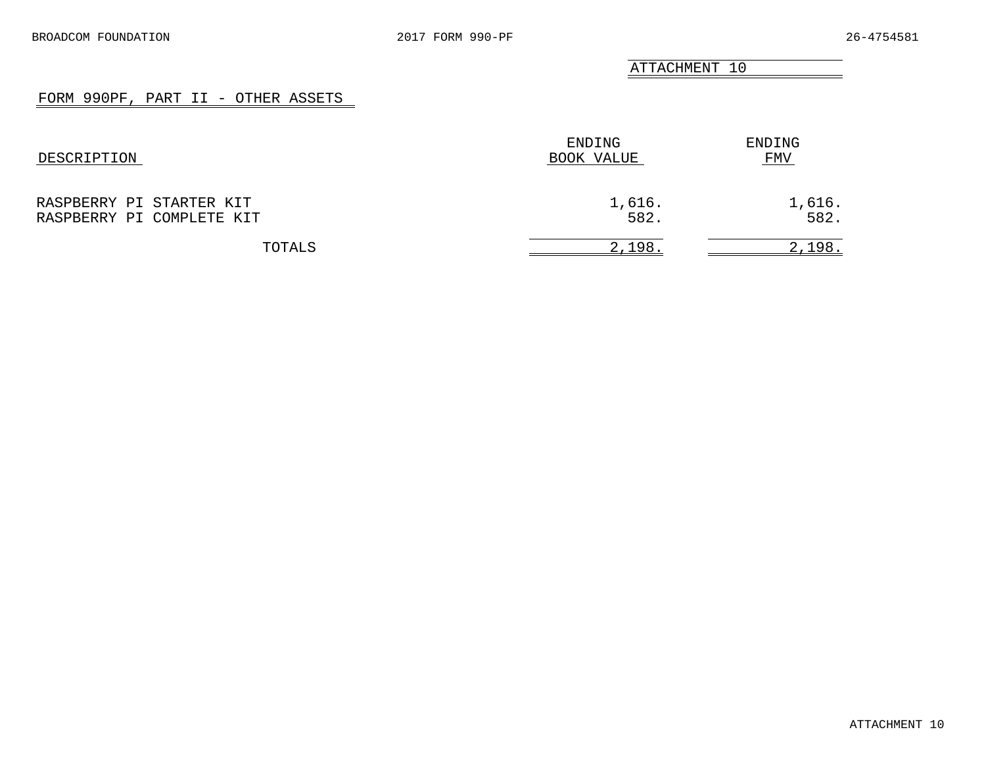## FORM 990PF, PART II - OTHER ASSETS

<span id="page-28-0"></span>

| DESCRIPTION                                           | ENDING<br>BOOK VALUE | ENDING<br>FMV  |
|-------------------------------------------------------|----------------------|----------------|
| RASPBERRY PI STARTER KIT<br>RASPBERRY PI COMPLETE KIT | 1,616.<br>582.       | 1,616.<br>582. |
| TOTALS                                                | 2,198.               | 2,198.         |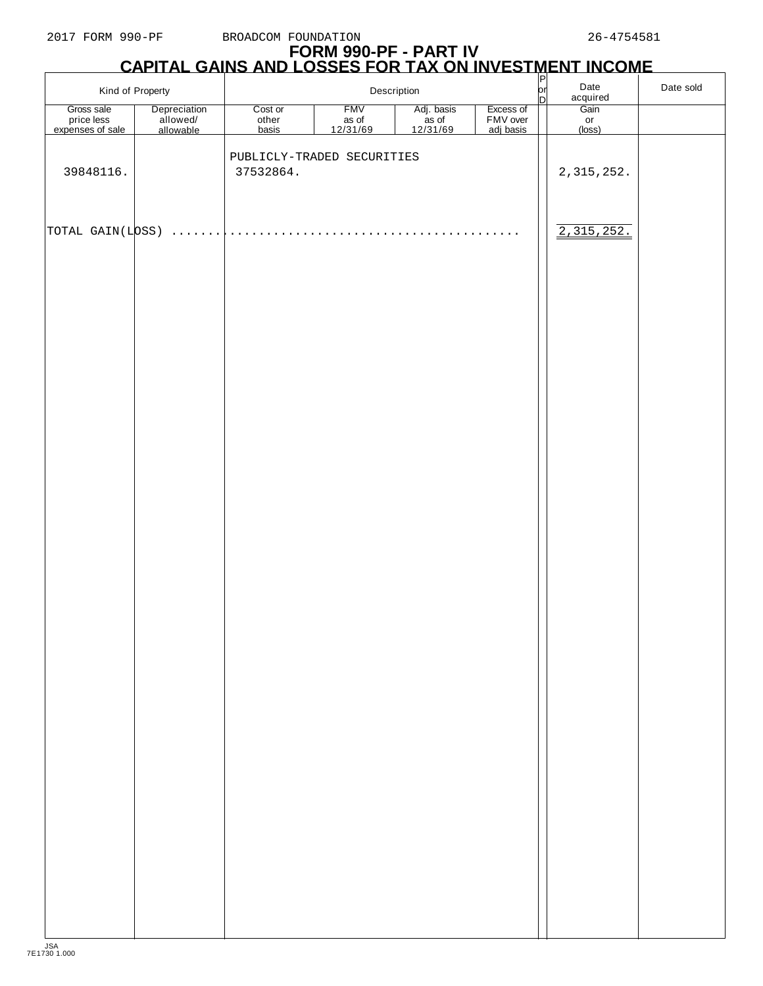F

# **FORM 990-PF - PART IV CAPITAL GAINS AND LOSSES FOR TAX ON INVESTMENT INCOME** P

| Kind of Property                             |                                       |                                         | Description                                 |                                 |                                    | $\frac{P}{P}$ | Date<br>acquired                        | Date sold |
|----------------------------------------------|---------------------------------------|-----------------------------------------|---------------------------------------------|---------------------------------|------------------------------------|---------------|-----------------------------------------|-----------|
| Gross sale<br>price less<br>expenses of sale | Depreciation<br>allowed/<br>allowable | Cost or<br>other<br><b>basis</b>        | <b>FMV</b><br>as of<br>$\frac{12/31/69}{2}$ | Adj. basis<br>as of<br>12/31/69 | Excess of<br>FMV over<br>adj basis |               | $\frac{1}{\text{Gain}}$<br>or<br>(loss) |           |
| 39848116.                                    |                                       | PUBLICLY-TRADED SECURITIES<br>37532864. |                                             |                                 |                                    |               | 2, 315, 252.                            |           |
| TOTAL GAIN(LOSS)                             | .                                     |                                         |                                             |                                 |                                    |               | 2,315,252.                              |           |
|                                              |                                       |                                         |                                             |                                 |                                    |               |                                         |           |
|                                              |                                       |                                         |                                             |                                 |                                    |               |                                         |           |
|                                              |                                       |                                         |                                             |                                 |                                    |               |                                         |           |
|                                              |                                       |                                         |                                             |                                 |                                    |               |                                         |           |
|                                              |                                       |                                         |                                             |                                 |                                    |               |                                         |           |
|                                              |                                       |                                         |                                             |                                 |                                    |               |                                         |           |
|                                              |                                       |                                         |                                             |                                 |                                    |               |                                         |           |
|                                              |                                       |                                         |                                             |                                 |                                    |               |                                         |           |
|                                              |                                       |                                         |                                             |                                 |                                    |               |                                         |           |
|                                              |                                       |                                         |                                             |                                 |                                    |               |                                         |           |
|                                              |                                       |                                         |                                             |                                 |                                    |               |                                         |           |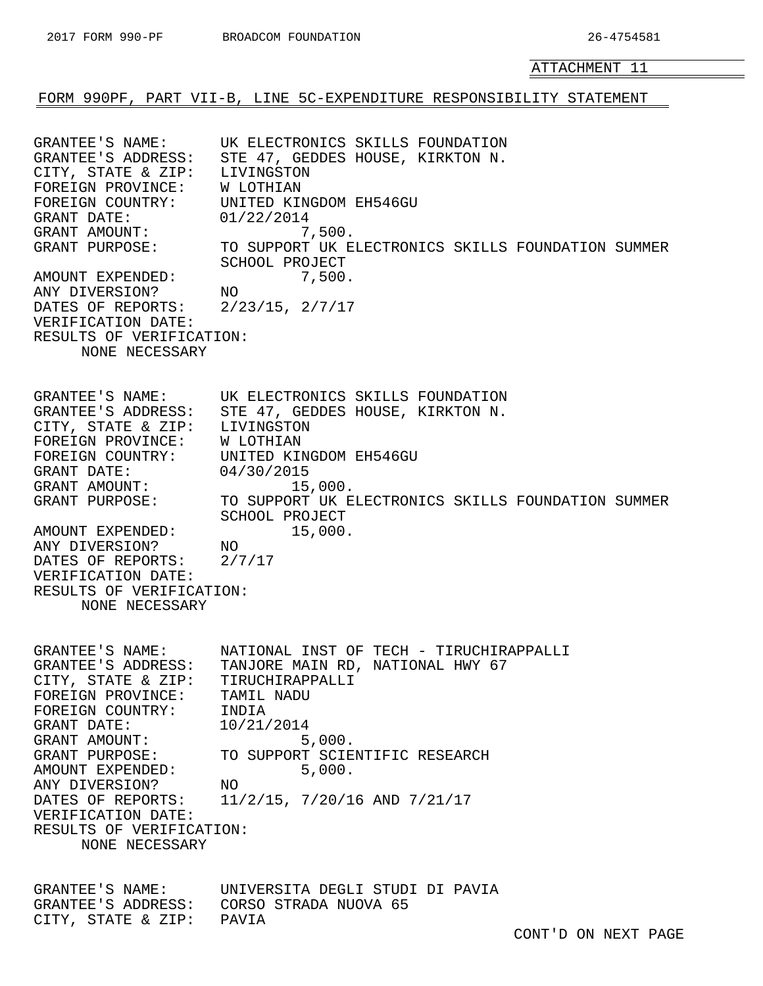<span id="page-30-0"></span>FORM 990PF, PART VII-B, LINE 5C-EXPENDITURE RESPONSIBILITY STATEMENT

GRANTEE'S NAME: UK ELECTRONICS SKILLS FOUNDATION GRANTEE'S ADDRESS: STE 47, GEDDES HOUSE, KIRKTON N. CITY, STATE & ZIP: LIVINGSTON FOREIGN PROVINCE: W LOTHIAN FOREIGN COUNTRY: UNITED KINGDOM EH546GU GRANT DATE:  $01/22/2014$ <br>GRANT AMOUNT: 7 GRANT AMOUNT:  $7,500$ . GRANT PURPOSE: TO SUPPORT UK ELECTRONICS SKILLS FOUNDATION SUMMER SCHOOL PROJECT AMOUNT EXPENDED: 7,500. ANY DIVERSION? NO DATES OF REPORTS: 2/23/15, 2/7/17 VERIFICATION DATE: RESULTS OF VERIFICATION: NONE NECESSARY GRANTEE'S NAME: UK ELECTRONICS SKILLS FOUNDATION GRANTEE'S ADDRESS: STE 47, GEDDES HOUSE, KIRKTON N. CITY, STATE & ZIP: LIVINGSTON FOREIGN PROVINCE: W LOTHIAN FOREIGN COUNTRY: UNITED KINGDOM EH546GU GRANT DATE: 04/30/2015 GRANT AMOUNT: 15,000. GRANT PURPOSE: TO SUPPORT UK ELECTRONICS SKILLS FOUNDATION SUMMER SCHOOL PROJECT AMOUNT EXPENDED: 15,000. ANY DIVERSION? NO DATES OF REPORTS: 2/7/17 VERIFICATION DATE: RESULTS OF VERIFICATION: NONE NECESSARY GRANTEE'S NAME: NATIONAL INST OF TECH - TIRUCHIRAPPALLI GRANTEE'S ADDRESS: TANJORE MAIN RD, NATIONAL HWY 67 CITY, STATE & ZIP: TIRUCHIRAPPALLI FOREIGN PROVINCE: TAMIL NADU FOREIGN COUNTRY: INDIA GRANT DATE: 10/21/2014 GRANT AMOUNT: 5,000. GRANT PURPOSE: TO SUPPORT SCIENTIFIC RESEARCH AMOUNT EXPENDED: 5,000. ANY DIVERSION? NO DATES OF REPORTS: 11/2/15, 7/20/16 AND 7/21/17 VERIFICATION DATE: RESULTS OF VERIFICATION: NONE NECESSARY GRANTEE'S NAME: UNIVERSITA DEGLI STUDI DI PAVIA

GRANTEE'S ADDRESS: CORSO STRADA NUOVA 65 CITY, STATE & ZIP: PAVIA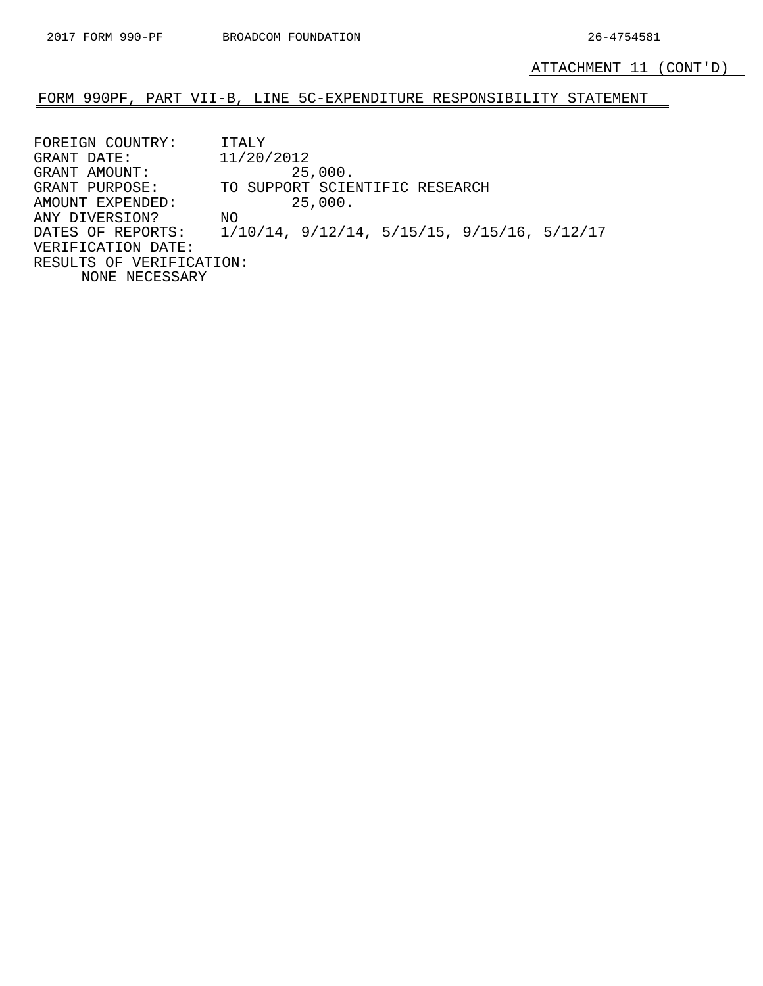ATTACHMENT 11 (CONT'D)

#### FORM 990PF, PART VII-B, LINE 5C-EXPENDITURE RESPONSIBILITY STATEMENT

FOREIGN COUNTRY: ITALY GRANT DATE: 11/20/2012 GRANT AMOUNT: 25,000. GRANT PURPOSE: TO SUPPORT SCIENTIFIC RESEARCH AMOUNT EXPENDED: 25,000. ANY DIVERSION? NO DATES OF REPORTS: 1/10/14, 9/12/14, 5/15/15, 9/15/16, 5/12/17 VERIFICATION DATE: RESULTS OF VERIFICATION: NONE NECESSARY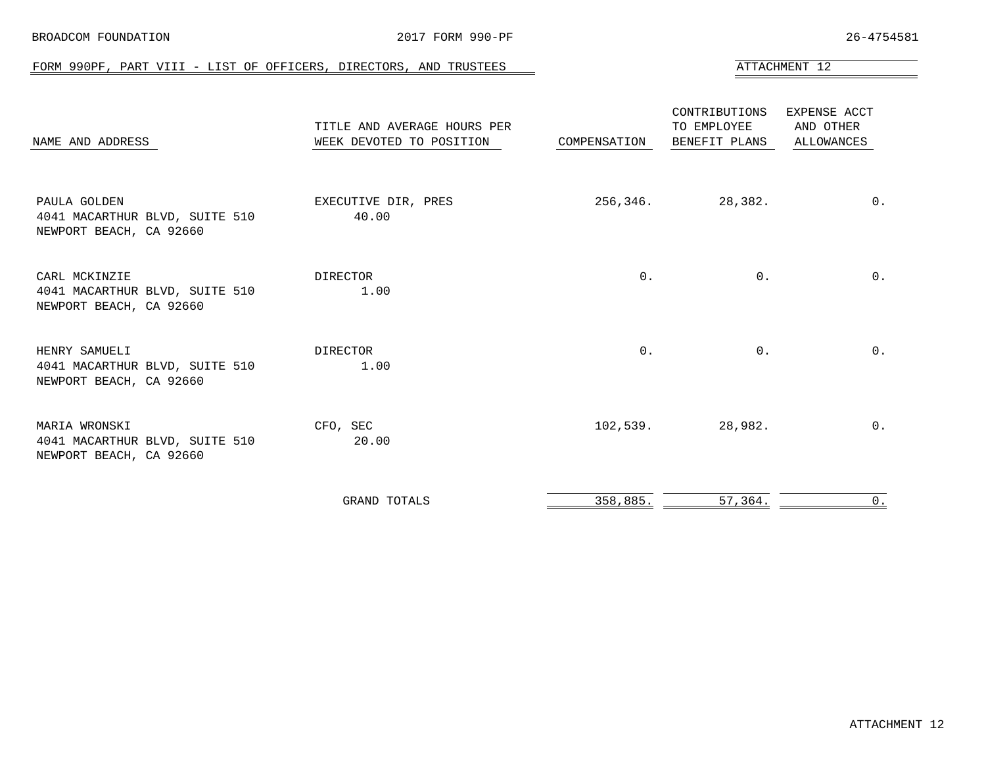<span id="page-32-0"></span>

| FORM 990PF, PART VIII - LIST OF OFFICERS, DIRECTORS, AND TRUSTEES          |                                                         |              |                                               | ATTACHMENT 12                                  |
|----------------------------------------------------------------------------|---------------------------------------------------------|--------------|-----------------------------------------------|------------------------------------------------|
| NAME AND ADDRESS                                                           | TITLE AND AVERAGE HOURS PER<br>WEEK DEVOTED TO POSITION | COMPENSATION | CONTRIBUTIONS<br>TO EMPLOYEE<br>BENEFIT PLANS | EXPENSE ACCT<br>AND OTHER<br><b>ALLOWANCES</b> |
| PAULA GOLDEN<br>4041 MACARTHUR BLVD, SUITE 510<br>NEWPORT BEACH, CA 92660  | EXECUTIVE DIR, PRES<br>40.00                            | 256,346.     | 28,382.                                       | $0$ .                                          |
| CARL MCKINZIE<br>4041 MACARTHUR BLVD, SUITE 510<br>NEWPORT BEACH, CA 92660 | DIRECTOR<br>1.00                                        | $0$ .        | 0.                                            | $0$ .                                          |
| HENRY SAMUELI<br>4041 MACARTHUR BLVD, SUITE 510<br>NEWPORT BEACH, CA 92660 | DIRECTOR<br>1.00                                        | $0$ .        | 0.                                            | $0$ .                                          |
| MARIA WRONSKI<br>4041 MACARTHUR BLVD, SUITE 510<br>NEWPORT BEACH, CA 92660 | CFO, SEC<br>20.00                                       | 102,539.     | 28,982.                                       | $0$ .                                          |
|                                                                            | <b>GRAND TOTALS</b>                                     | 358,885.     | 57, 364.                                      | 0.                                             |

BROADCOM FOUNDATION 2017 FORM 990-PF 26-4754581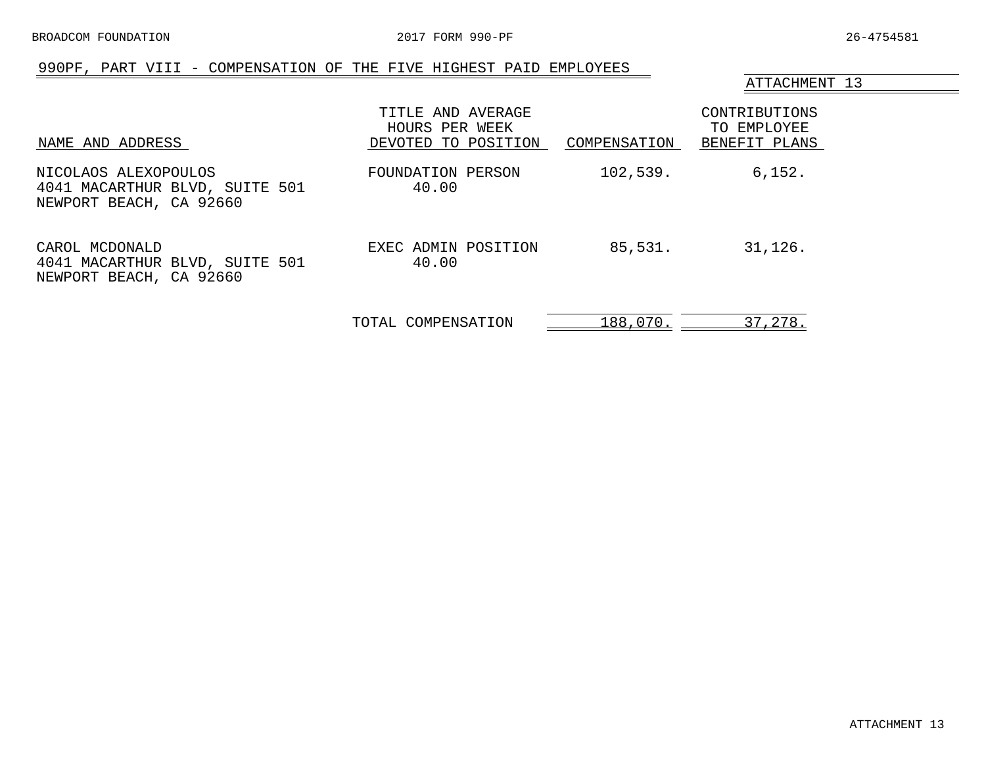## 990PF, PART VIII - COMPENSATION OF THE FIVE HIGHEST PAID EMPLOYEES

#### ATTACHMENT 13

<span id="page-33-0"></span>

| NAME AND ADDRESS                                                                  | TITLE AND AVERAGE<br>HOURS PER WEEK<br>DEVOTED TO POSITION | COMPENSATION | CONTRIBUTIONS<br>TO EMPLOYEE<br>BENEFIT PLANS |
|-----------------------------------------------------------------------------------|------------------------------------------------------------|--------------|-----------------------------------------------|
| NICOLAOS ALEXOPOULOS<br>4041 MACARTHUR BLVD, SUITE 501<br>NEWPORT BEACH, CA 92660 | FOUNDATION PERSON<br>40.00                                 | 102,539.     | 6,152.                                        |
| CAROL MCDONALD<br>4041 MACARTHUR BLVD, SUITE 501<br>NEWPORT BEACH, CA 92660       | EXEC ADMIN POSITION<br>40.00                               | 85,531.      | 31,126.                                       |
|                                                                                   | TOTAL COMPENSATION                                         | 188,070.     | 37,278.                                       |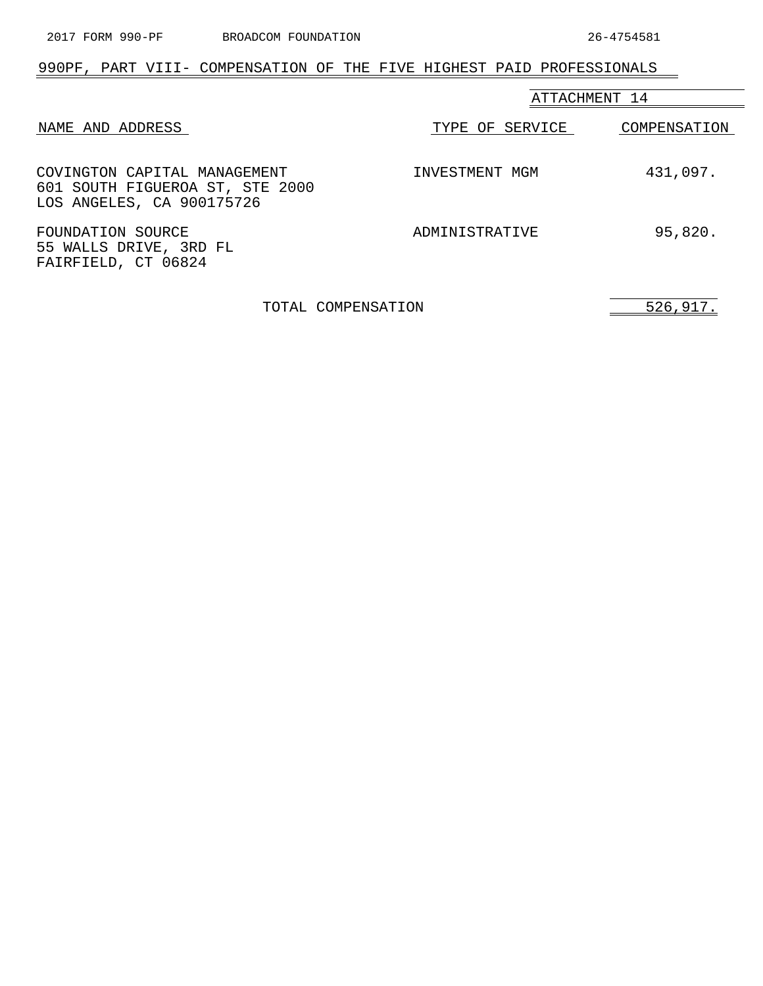## <span id="page-34-0"></span>990PF, PART VIII- COMPENSATION OF THE FIVE HIGHEST PAID PROFESSIONALS

|                                                                                              | ATTACHMENT 14   |              |  |
|----------------------------------------------------------------------------------------------|-----------------|--------------|--|
| NAME AND ADDRESS                                                                             | TYPE OF SERVICE | COMPENSATION |  |
| COVINGTON CAPITAL MANAGEMENT<br>601 SOUTH FIGUEROA ST, STE 2000<br>LOS ANGELES, CA 900175726 | INVESTMENT MGM  | 431,097.     |  |
| FOUNDATION SOURCE<br>55 WALLS DRIVE, 3RD FL<br>FAIRFIELD, CT 06824                           | ADMINISTRATIVE  | 95,820.      |  |

TOTAL COMPENSATION 526,917.

 $\overline{\phantom{0}}$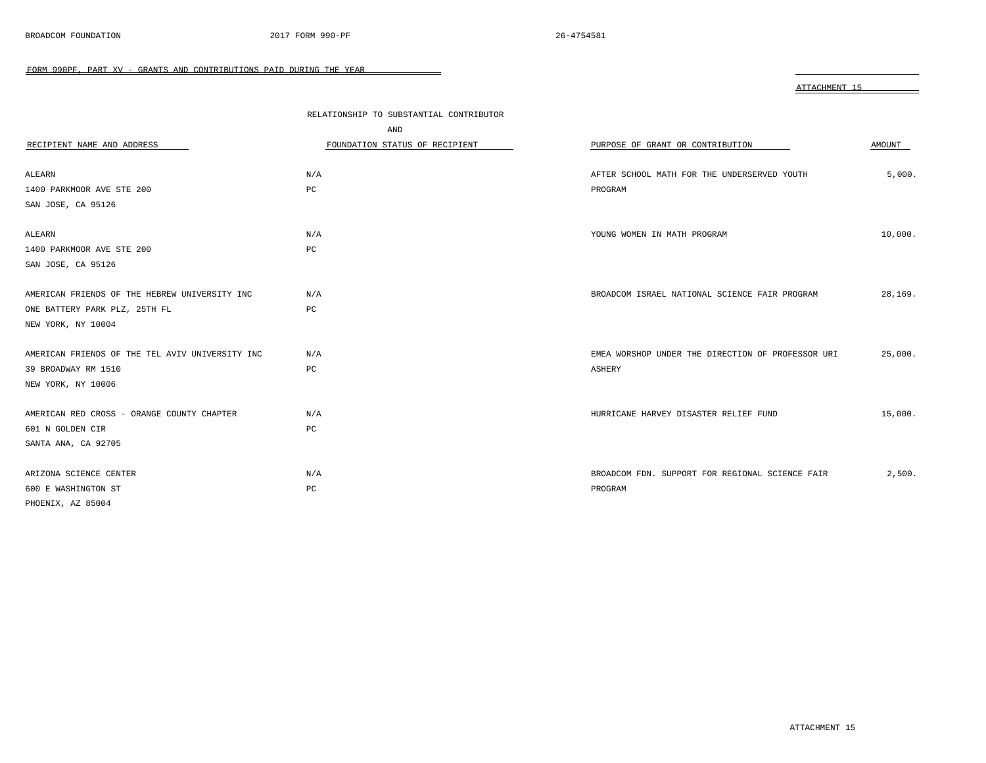<span id="page-35-0"></span>

|                                                 | RELATIONSHIP TO SUBSTANTIAL CONTRIBUTOR<br>AND |                                                   |         |
|-------------------------------------------------|------------------------------------------------|---------------------------------------------------|---------|
| RECIPIENT NAME AND ADDRESS                      | FOUNDATION STATUS OF RECIPIENT                 | PURPOSE OF GRANT OR CONTRIBUTION                  | AMOUNT  |
| ALEARN                                          | N/A                                            | AFTER SCHOOL MATH FOR THE UNDERSERVED YOUTH       | 5,000.  |
| 1400 PARKMOOR AVE STE 200                       | PC                                             | PROGRAM                                           |         |
| SAN JOSE, CA 95126                              |                                                |                                                   |         |
| ALEARN                                          | N/A                                            | YOUNG WOMEN IN MATH PROGRAM                       | 10,000. |
| 1400 PARKMOOR AVE STE 200                       | PC                                             |                                                   |         |
| SAN JOSE, CA 95126                              |                                                |                                                   |         |
| AMERICAN FRIENDS OF THE HEBREW UNIVERSITY INC   | N/A                                            | BROADCOM ISRAEL NATIONAL SCIENCE FAIR PROGRAM     | 28,169. |
| ONE BATTERY PARK PLZ, 25TH FL                   | PC                                             |                                                   |         |
| NEW YORK, NY 10004                              |                                                |                                                   |         |
| AMERICAN FRIENDS OF THE TEL AVIV UNIVERSITY INC | N/A                                            | EMEA WORSHOP UNDER THE DIRECTION OF PROFESSOR URI | 25,000. |
| 39 BROADWAY RM 1510                             | PC                                             | ASHERY                                            |         |
| NEW YORK, NY 10006                              |                                                |                                                   |         |
| AMERICAN RED CROSS - ORANGE COUNTY CHAPTER      | N/A                                            | HURRICANE HARVEY DISASTER RELIEF FUND             | 15,000. |
| 601 N GOLDEN CIR                                | $_{\rm PC}$                                    |                                                   |         |
| SANTA ANA, CA 92705                             |                                                |                                                   |         |
| ARIZONA SCIENCE CENTER                          | N/A                                            | BROADCOM FDN. SUPPORT FOR REGIONAL SCIENCE FAIR   | 2,500.  |
| 600 E WASHINGTON ST                             | PC                                             | PROGRAM                                           |         |
| PHOENIX, AZ 85004                               |                                                |                                                   |         |

 $\overline{\phantom{0}}$ 

ATTACHMENT 15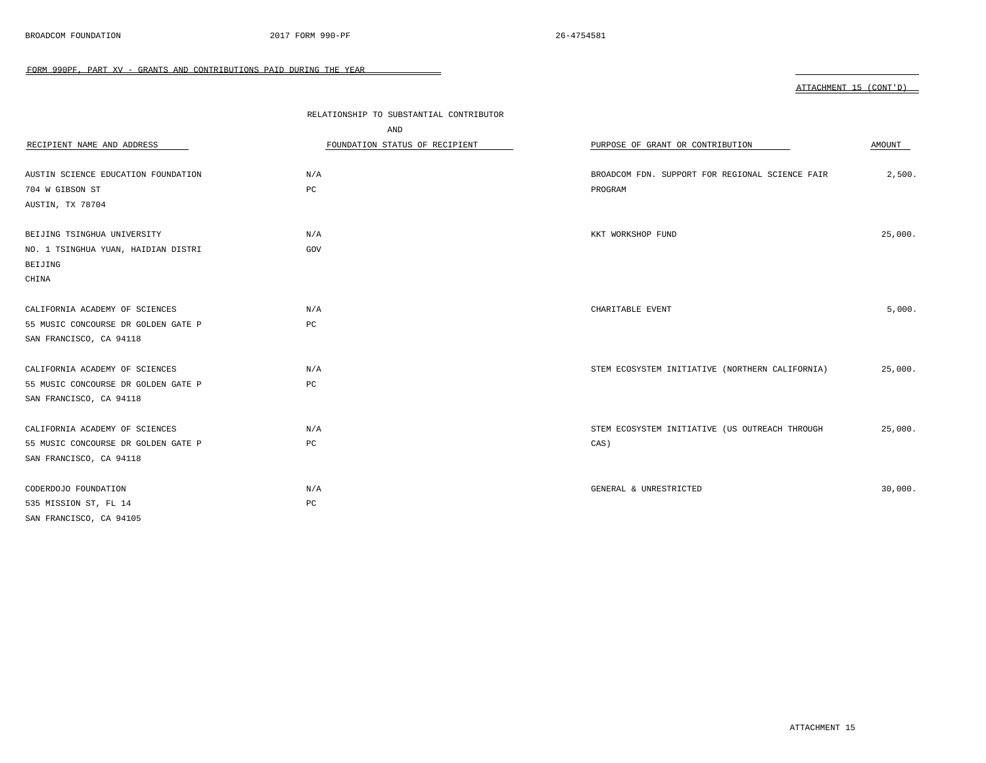|                                     | RELATIONSHIP TO SUBSTANTIAL CONTRIBUTOR |                                                 |         |
|-------------------------------------|-----------------------------------------|-------------------------------------------------|---------|
|                                     | AND                                     |                                                 |         |
| RECIPIENT NAME AND ADDRESS          | FOUNDATION STATUS OF RECIPIENT          | PURPOSE OF GRANT OR CONTRIBUTION                | AMOUNT  |
|                                     |                                         |                                                 |         |
| AUSTIN SCIENCE EDUCATION FOUNDATION | N/A                                     | BROADCOM FDN. SUPPORT FOR REGIONAL SCIENCE FAIR | 2,500.  |
| 704 W GIBSON ST                     | $_{\rm PC}$                             | PROGRAM                                         |         |
| AUSTIN, TX 78704                    |                                         |                                                 |         |
|                                     |                                         |                                                 |         |
| BEIJING TSINGHUA UNIVERSITY         | N/A                                     | KKT WORKSHOP FUND                               | 25,000. |
| NO. 1 TSINGHUA YUAN, HAIDIAN DISTRI | GOV                                     |                                                 |         |
| BEIJING                             |                                         |                                                 |         |
| CHINA                               |                                         |                                                 |         |
|                                     |                                         |                                                 |         |
| CALIFORNIA ACADEMY OF SCIENCES      | N/A                                     | CHARITABLE EVENT                                | 5,000.  |
| 55 MUSIC CONCOURSE DR GOLDEN GATE P | PC                                      |                                                 |         |
| SAN FRANCISCO, CA 94118             |                                         |                                                 |         |
|                                     |                                         |                                                 |         |
| CALIFORNIA ACADEMY OF SCIENCES      | N/A                                     | STEM ECOSYSTEM INITIATIVE (NORTHERN CALIFORNIA) | 25,000. |
| 55 MUSIC CONCOURSE DR GOLDEN GATE P | PC                                      |                                                 |         |
| SAN FRANCISCO, CA 94118             |                                         |                                                 |         |
|                                     |                                         |                                                 |         |
| CALIFORNIA ACADEMY OF SCIENCES      | N/A                                     | STEM ECOSYSTEM INITIATIVE (US OUTREACH THROUGH  | 25,000. |
| 55 MUSIC CONCOURSE DR GOLDEN GATE P | PC                                      | CAS)                                            |         |
| SAN FRANCISCO, CA 94118             |                                         |                                                 |         |
|                                     |                                         |                                                 |         |
| CODERDOJO FOUNDATION                | N/A                                     | GENERAL & UNRESTRICTED                          | 30,000. |
| 535 MISSION ST, FL 14               | PC                                      |                                                 |         |
| SAN FRANCISCO, CA 94105             |                                         |                                                 |         |

 $\overline{\phantom{0}}$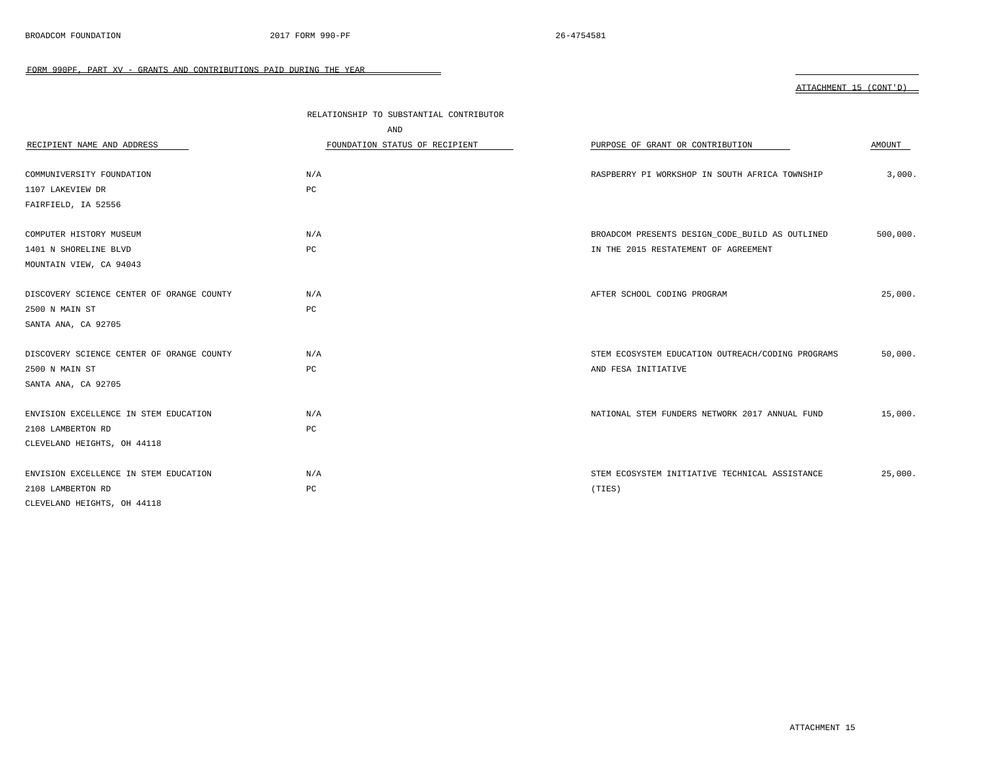|                                           | RELATIONSHIP TO SUBSTANTIAL CONTRIBUTOR |                                                   |          |
|-------------------------------------------|-----------------------------------------|---------------------------------------------------|----------|
|                                           | AND                                     |                                                   |          |
| RECIPIENT NAME AND ADDRESS                | FOUNDATION STATUS OF RECIPIENT          | PURPOSE OF GRANT OR CONTRIBUTION                  | AMOUNT   |
|                                           |                                         |                                                   |          |
| COMMUNIVERSITY FOUNDATION                 | N/A                                     | RASPBERRY PI WORKSHOP IN SOUTH AFRICA TOWNSHIP    | 3,000.   |
| 1107 LAKEVIEW DR                          | $_{\rm PC}$                             |                                                   |          |
| FAIRFIELD, IA 52556                       |                                         |                                                   |          |
| COMPUTER HISTORY MUSEUM                   | N/A                                     | BROADCOM PRESENTS DESIGN_CODE_BUILD AS OUTLINED   | 500,000. |
| 1401 N SHORELINE BLVD                     | PC                                      | IN THE 2015 RESTATEMENT OF AGREEMENT              |          |
| MOUNTAIN VIEW, CA 94043                   |                                         |                                                   |          |
| DISCOVERY SCIENCE CENTER OF ORANGE COUNTY | N/A                                     | AFTER SCHOOL CODING PROGRAM                       | 25,000.  |
| 2500 N MAIN ST                            | $_{\rm PC}$                             |                                                   |          |
| SANTA ANA, CA 92705                       |                                         |                                                   |          |
|                                           |                                         |                                                   |          |
| DISCOVERY SCIENCE CENTER OF ORANGE COUNTY | N/A                                     | STEM ECOSYSTEM EDUCATION OUTREACH/CODING PROGRAMS | 50,000.  |
| 2500 N MAIN ST                            | PC                                      | AND FESA INITIATIVE                               |          |
| SANTA ANA, CA 92705                       |                                         |                                                   |          |
| ENVISION EXCELLENCE IN STEM EDUCATION     | N/A                                     | NATIONAL STEM FUNDERS NETWORK 2017 ANNUAL FUND    | 15,000.  |
| 2108 LAMBERTON RD                         | PC                                      |                                                   |          |
| CLEVELAND HEIGHTS, OH 44118               |                                         |                                                   |          |
| ENVISION EXCELLENCE IN STEM EDUCATION     | N/A                                     | STEM ECOSYSTEM INITIATIVE TECHNICAL ASSISTANCE    | 25,000.  |
| 2108 LAMBERTON RD                         | PC                                      | (TIES)                                            |          |
| CLEVELAND HEIGHTS, OH 44118               |                                         |                                                   |          |

 $\sim$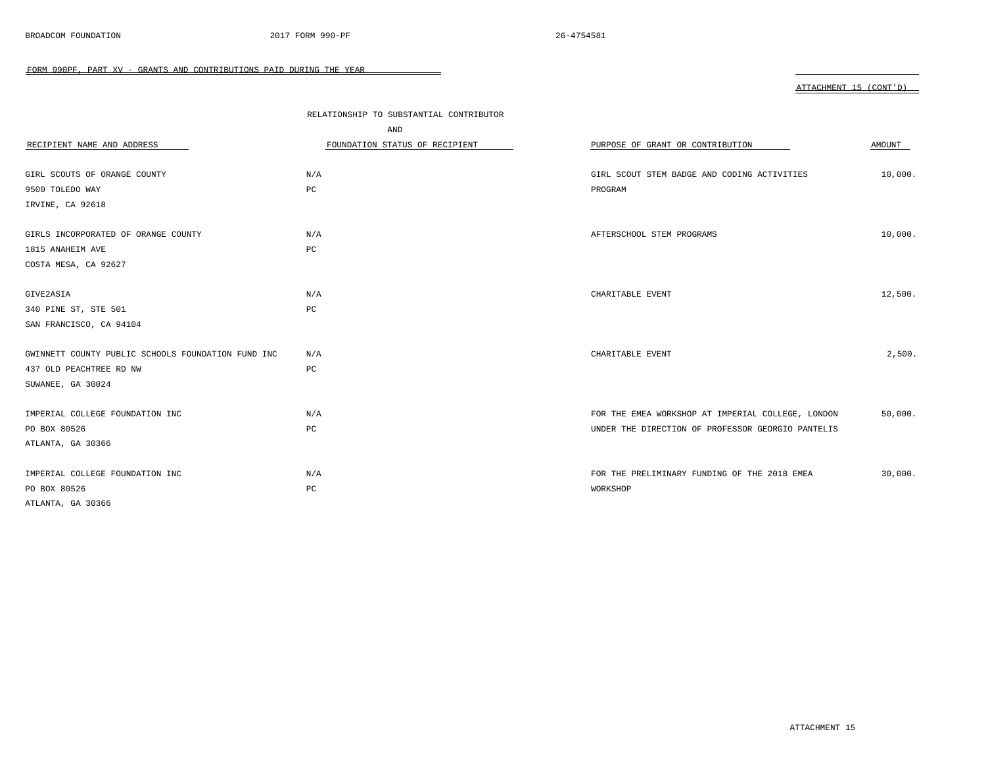|                                                    | RELATIONSHIP TO SUBSTANTIAL CONTRIBUTOR |                                                   |         |
|----------------------------------------------------|-----------------------------------------|---------------------------------------------------|---------|
|                                                    | AND                                     |                                                   |         |
| RECIPIENT NAME AND ADDRESS                         | FOUNDATION STATUS OF RECIPIENT          | PURPOSE OF GRANT OR CONTRIBUTION                  | AMOUNT  |
|                                                    |                                         |                                                   |         |
| GIRL SCOUTS OF ORANGE COUNTY                       | N/A                                     | GIRL SCOUT STEM BADGE AND CODING ACTIVITIES       | 10,000. |
| 9500 TOLEDO WAY                                    | PC                                      | PROGRAM                                           |         |
| IRVINE, CA 92618                                   |                                         |                                                   |         |
| GIRLS INCORPORATED OF ORANGE COUNTY                | N/A                                     | AFTERSCHOOL STEM PROGRAMS                         | 10,000. |
| 1815 ANAHEIM AVE                                   | PC                                      |                                                   |         |
| COSTA MESA, CA 92627                               |                                         |                                                   |         |
| GIVE2ASIA                                          | N/A                                     | CHARITABLE EVENT                                  | 12,500. |
| 340 PINE ST, STE 501                               | PC                                      |                                                   |         |
| SAN FRANCISCO, CA 94104                            |                                         |                                                   |         |
| GWINNETT COUNTY PUBLIC SCHOOLS FOUNDATION FUND INC | N/A                                     | CHARITABLE EVENT                                  | 2,500.  |
| 437 OLD PEACHTREE RD NW                            | PC                                      |                                                   |         |
| SUWANEE, GA 30024                                  |                                         |                                                   |         |
| IMPERIAL COLLEGE FOUNDATION INC                    | N/A                                     | FOR THE EMEA WORKSHOP AT IMPERIAL COLLEGE, LONDON | 50,000. |
| PO BOX 80526                                       | PC                                      | UNDER THE DIRECTION OF PROFESSOR GEORGIO PANTELIS |         |
| ATLANTA, GA 30366                                  |                                         |                                                   |         |
| IMPERIAL COLLEGE FOUNDATION INC                    | N/A                                     | FOR THE PRELIMINARY FUNDING OF THE 2018 EMEA      | 30,000. |
| PO BOX 80526                                       | PC                                      | WORKSHOP                                          |         |
| ATLANTA, GA 30366                                  |                                         |                                                   |         |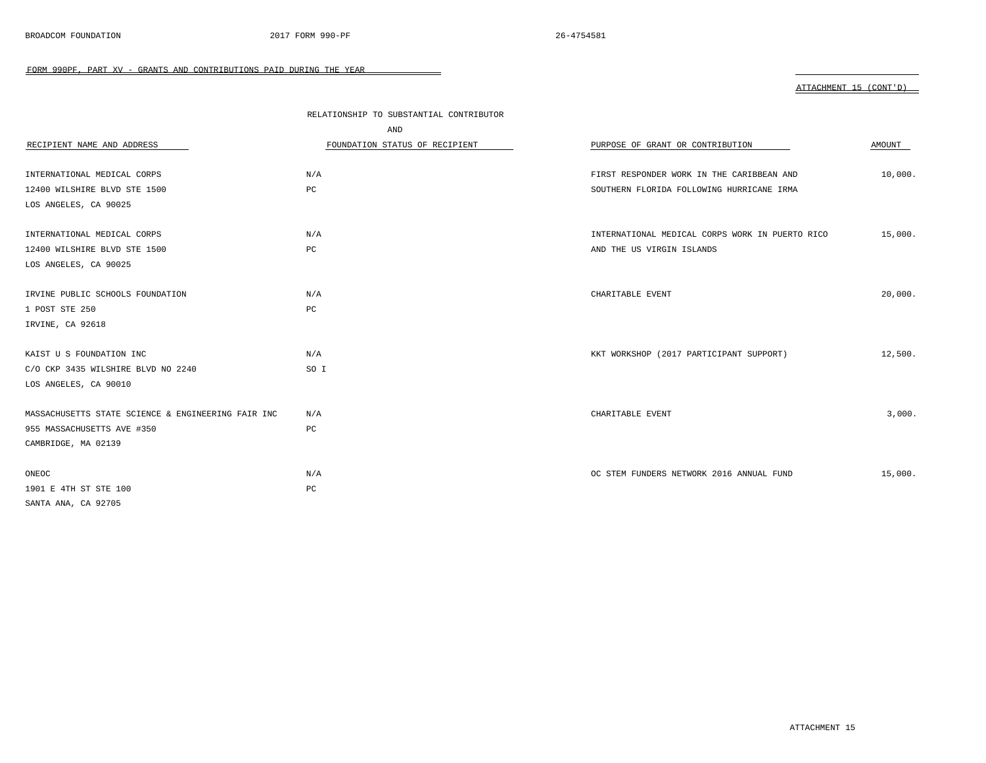|                                                    | RELATIONSHIP TO SUBSTANTIAL CONTRIBUTOR |                                                 |         |
|----------------------------------------------------|-----------------------------------------|-------------------------------------------------|---------|
|                                                    | AND                                     |                                                 |         |
| RECIPIENT NAME AND ADDRESS                         | FOUNDATION STATUS OF RECIPIENT          | PURPOSE OF GRANT OR CONTRIBUTION                | AMOUNT  |
|                                                    |                                         |                                                 |         |
| INTERNATIONAL MEDICAL CORPS                        | N/A                                     | FIRST RESPONDER WORK IN THE CARIBBEAN AND       | 10,000. |
| 12400 WILSHIRE BLVD STE 1500                       | PC                                      | SOUTHERN FLORIDA FOLLOWING HURRICANE IRMA       |         |
| LOS ANGELES, CA 90025                              |                                         |                                                 |         |
| INTERNATIONAL MEDICAL CORPS                        | N/A                                     | INTERNATIONAL MEDICAL CORPS WORK IN PUERTO RICO | 15,000. |
| 12400 WILSHIRE BLVD STE 1500                       | $_{\rm PC}$                             | AND THE US VIRGIN ISLANDS                       |         |
| LOS ANGELES, CA 90025                              |                                         |                                                 |         |
|                                                    |                                         |                                                 |         |
| IRVINE PUBLIC SCHOOLS FOUNDATION                   | N/A                                     | CHARITABLE EVENT                                | 20,000. |
| 1 POST STE 250                                     | PC                                      |                                                 |         |
| IRVINE, CA 92618                                   |                                         |                                                 |         |
| KAIST U S FOUNDATION INC                           | N/A                                     | KKT WORKSHOP (2017 PARTICIPANT SUPPORT)         | 12,500. |
| C/O CKP 3435 WILSHIRE BLVD NO 2240                 | SO I                                    |                                                 |         |
| LOS ANGELES, CA 90010                              |                                         |                                                 |         |
| MASSACHUSETTS STATE SCIENCE & ENGINEERING FAIR INC | N/A                                     | CHARITABLE EVENT                                | 3,000.  |
| 955 MASSACHUSETTS AVE #350                         | PC                                      |                                                 |         |
| CAMBRIDGE, MA 02139                                |                                         |                                                 |         |
| ONEOC                                              | N/A                                     | OC STEM FUNDERS NETWORK 2016 ANNUAL FUND        | 15,000. |
| 1901 E 4TH ST STE 100                              | $_{\rm PC}$                             |                                                 |         |
| SANTA ANA, CA 92705                                |                                         |                                                 |         |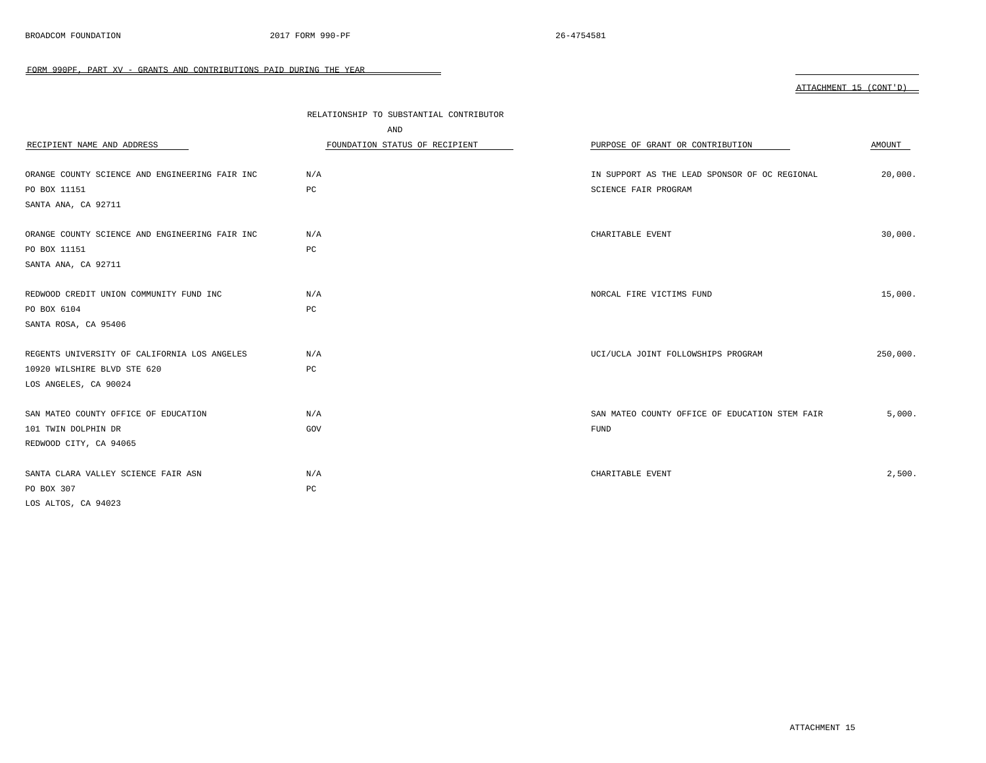|                                                | RELATIONSHIP TO SUBSTANTIAL CONTRIBUTOR |                                                |          |
|------------------------------------------------|-----------------------------------------|------------------------------------------------|----------|
|                                                | AND                                     |                                                |          |
| RECIPIENT NAME AND ADDRESS                     | FOUNDATION STATUS OF RECIPIENT          | PURPOSE OF GRANT OR CONTRIBUTION               | AMOUNT   |
| ORANGE COUNTY SCIENCE AND ENGINEERING FAIR INC | N/A                                     | IN SUPPORT AS THE LEAD SPONSOR OF OC REGIONAL  | 20,000.  |
| PO BOX 11151                                   | PC                                      | SCIENCE FAIR PROGRAM                           |          |
| SANTA ANA, CA 92711                            |                                         |                                                |          |
| ORANGE COUNTY SCIENCE AND ENGINEERING FAIR INC | N/A                                     | CHARITABLE EVENT                               | 30,000.  |
| PO BOX 11151                                   | PC                                      |                                                |          |
| SANTA ANA, CA 92711                            |                                         |                                                |          |
| REDWOOD CREDIT UNION COMMUNITY FUND INC        | N/A                                     | NORCAL FIRE VICTIMS FUND                       | 15,000.  |
| PO BOX 6104                                    | PC                                      |                                                |          |
| SANTA ROSA, CA 95406                           |                                         |                                                |          |
| REGENTS UNIVERSITY OF CALIFORNIA LOS ANGELES   | N/A                                     | UCI/UCLA JOINT FOLLOWSHIPS PROGRAM             | 250,000. |
| 10920 WILSHIRE BLVD STE 620                    | PC                                      |                                                |          |
| LOS ANGELES, CA 90024                          |                                         |                                                |          |
| SAN MATEO COUNTY OFFICE OF EDUCATION           | N/A                                     | SAN MATEO COUNTY OFFICE OF EDUCATION STEM FAIR | 5,000.   |
| 101 TWIN DOLPHIN DR                            | GOV                                     | FUND                                           |          |
| REDWOOD CITY, CA 94065                         |                                         |                                                |          |
| SANTA CLARA VALLEY SCIENCE FAIR ASN            | N/A                                     | CHARITABLE EVENT                               | 2,500.   |
| PO BOX 307                                     | PC                                      |                                                |          |
| LOS ALTOS, CA 94023                            |                                         |                                                |          |

 $\overline{\phantom{0}}$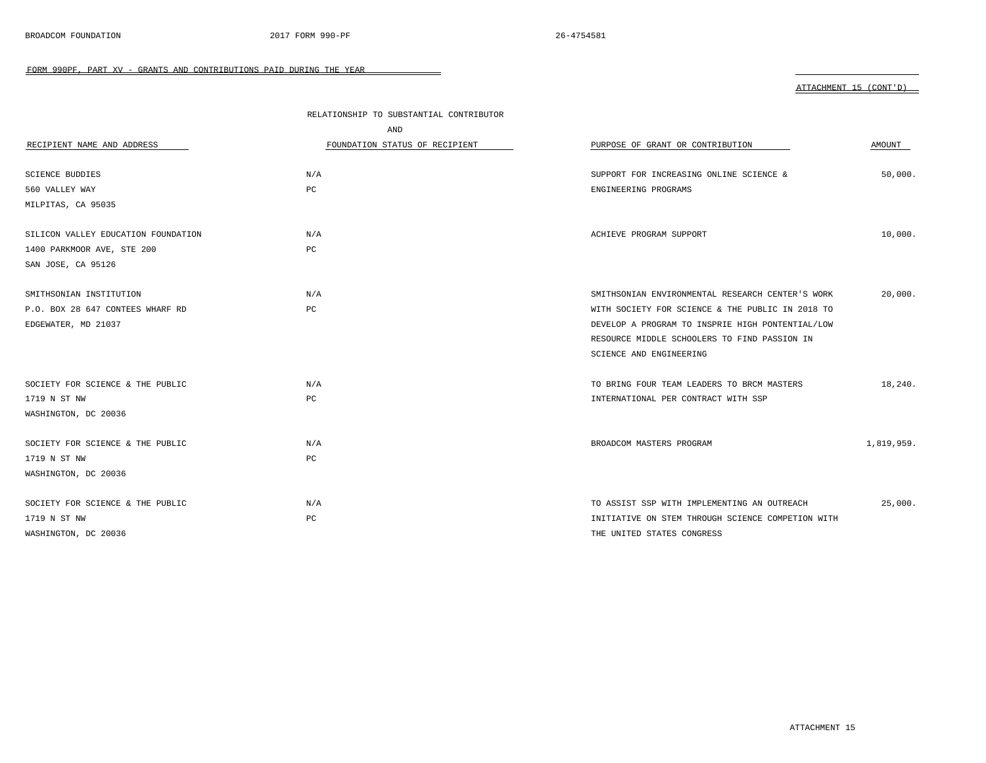|                                     | RELATIONSHIP TO SUBSTANTIAL CONTRIBUTOR |                                                   |            |
|-------------------------------------|-----------------------------------------|---------------------------------------------------|------------|
|                                     | AND                                     |                                                   |            |
| RECIPIENT NAME AND ADDRESS          | FOUNDATION STATUS OF RECIPIENT          | PURPOSE OF GRANT OR CONTRIBUTION                  | AMOUNT     |
|                                     |                                         |                                                   |            |
| <b>SCIENCE BUDDIES</b>              | N/A                                     | SUPPORT FOR INCREASING ONLINE SCIENCE &           | 50,000.    |
| 560 VALLEY WAY                      | PC                                      | ENGINEERING PROGRAMS                              |            |
| MILPITAS, CA 95035                  |                                         |                                                   |            |
|                                     |                                         |                                                   |            |
| SILICON VALLEY EDUCATION FOUNDATION | N/A                                     | ACHIEVE PROGRAM SUPPORT                           | 10,000.    |
| 1400 PARKMOOR AVE, STE 200          | PC                                      |                                                   |            |
| SAN JOSE, CA 95126                  |                                         |                                                   |            |
|                                     |                                         |                                                   |            |
| SMITHSONIAN INSTITUTION             | N/A                                     | SMITHSONIAN ENVIRONMENTAL RESEARCH CENTER'S WORK  | 20,000.    |
| P.O. BOX 28 647 CONTEES WHARF RD    | PC                                      | WITH SOCIETY FOR SCIENCE & THE PUBLIC IN 2018 TO  |            |
| EDGEWATER, MD 21037                 |                                         | DEVELOP A PROGRAM TO INSPRIE HIGH PONTENTIAL/LOW  |            |
|                                     |                                         | RESOURCE MIDDLE SCHOOLERS TO FIND PASSION IN      |            |
|                                     |                                         | SCIENCE AND ENGINEERING                           |            |
| SOCIETY FOR SCIENCE & THE PUBLIC    | N/A                                     | TO BRING FOUR TEAM LEADERS TO BRCM MASTERS        | 18,240.    |
| 1719 N ST NW                        | PC                                      | INTERNATIONAL PER CONTRACT WITH SSP               |            |
| WASHINGTON, DC 20036                |                                         |                                                   |            |
|                                     |                                         |                                                   |            |
| SOCIETY FOR SCIENCE & THE PUBLIC    | N/A                                     | BROADCOM MASTERS PROGRAM                          | 1,819,959. |
| 1719 N ST NW                        | PC                                      |                                                   |            |
| WASHINGTON, DC 20036                |                                         |                                                   |            |
|                                     |                                         |                                                   |            |
| SOCIETY FOR SCIENCE & THE PUBLIC    | N/A                                     | TO ASSIST SSP WITH IMPLEMENTING AN OUTREACH       | 25,000.    |
| 1719 N ST NW                        | PC                                      | INITIATIVE ON STEM THROUGH SCIENCE COMPETION WITH |            |
| WASHINGTON, DC 20036                |                                         | THE UNITED STATES CONGRESS                        |            |

 $\equiv$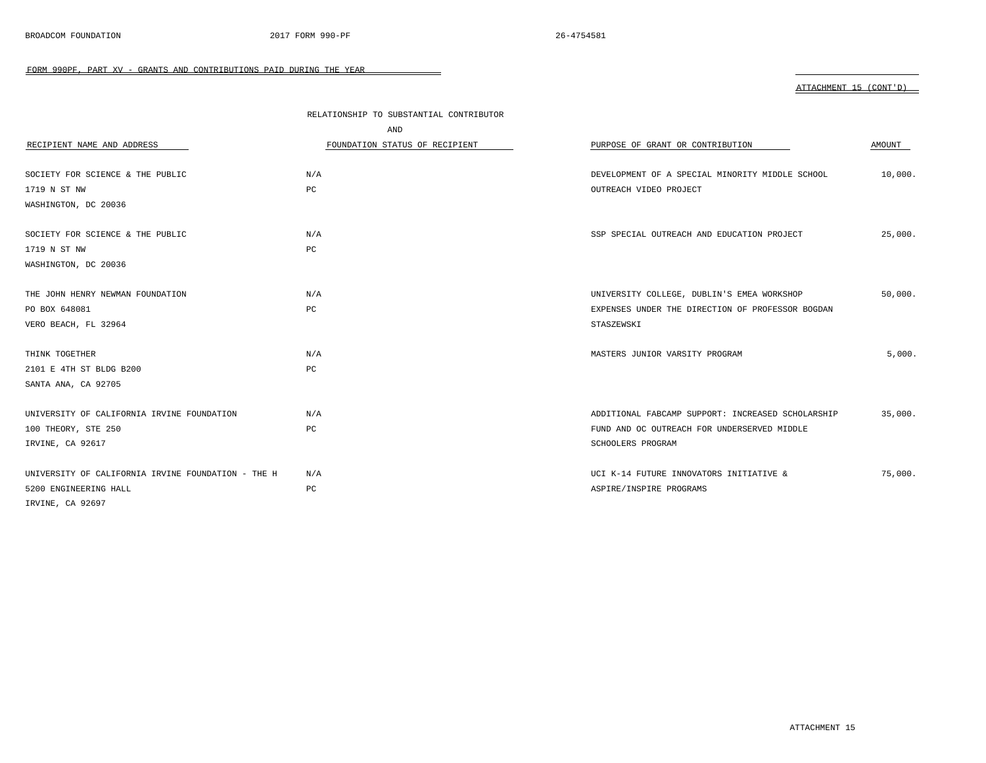|                                                    | RELATIONSHIP TO SUBSTANTIAL CONTRIBUTOR |                                                   |         |
|----------------------------------------------------|-----------------------------------------|---------------------------------------------------|---------|
|                                                    | AND                                     |                                                   |         |
| RECIPIENT NAME AND ADDRESS                         | FOUNDATION STATUS OF RECIPIENT          | PURPOSE OF GRANT OR CONTRIBUTION                  | AMOUNT  |
|                                                    |                                         |                                                   |         |
| SOCIETY FOR SCIENCE & THE PUBLIC                   | N/A                                     | DEVELOPMENT OF A SPECIAL MINORITY MIDDLE SCHOOL   | 10,000. |
| 1719 N ST NW                                       | PC                                      | OUTREACH VIDEO PROJECT                            |         |
| WASHINGTON, DC 20036                               |                                         |                                                   |         |
| SOCIETY FOR SCIENCE & THE PUBLIC                   | N/A                                     | SSP SPECIAL OUTREACH AND EDUCATION PROJECT        | 25,000. |
| 1719 N ST NW                                       | $_{\rm PC}$                             |                                                   |         |
| WASHINGTON, DC 20036                               |                                         |                                                   |         |
|                                                    |                                         |                                                   |         |
| THE JOHN HENRY NEWMAN FOUNDATION                   | N/A                                     | UNIVERSITY COLLEGE, DUBLIN'S EMEA WORKSHOP        | 50,000. |
| PO BOX 648081                                      | PC                                      | EXPENSES UNDER THE DIRECTION OF PROFESSOR BOGDAN  |         |
| VERO BEACH, FL 32964                               |                                         | STASZEWSKI                                        |         |
| THINK TOGETHER                                     | N/A                                     | MASTERS JUNIOR VARSITY PROGRAM                    | 5,000.  |
| 2101 E 4TH ST BLDG B200                            | $_{\rm PC}$                             |                                                   |         |
| SANTA ANA, CA 92705                                |                                         |                                                   |         |
| UNIVERSITY OF CALIFORNIA IRVINE FOUNDATION         | N/A                                     | ADDITIONAL FABCAMP SUPPORT: INCREASED SCHOLARSHIP | 35,000. |
| 100 THEORY, STE 250                                | $_{\rm PC}$                             | FUND AND OC OUTREACH FOR UNDERSERVED MIDDLE       |         |
| IRVINE, CA 92617                                   |                                         | SCHOOLERS PROGRAM                                 |         |
| UNIVERSITY OF CALIFORNIA IRVINE FOUNDATION - THE H | N/A                                     | UCI K-14 FUTURE INNOVATORS INITIATIVE &           | 75,000. |
| 5200 ENGINEERING HALL                              | $_{\rm PC}$                             | ASPIRE/INSPIRE PROGRAMS                           |         |
| IRVINE, CA 92697                                   |                                         |                                                   |         |

 $\sim$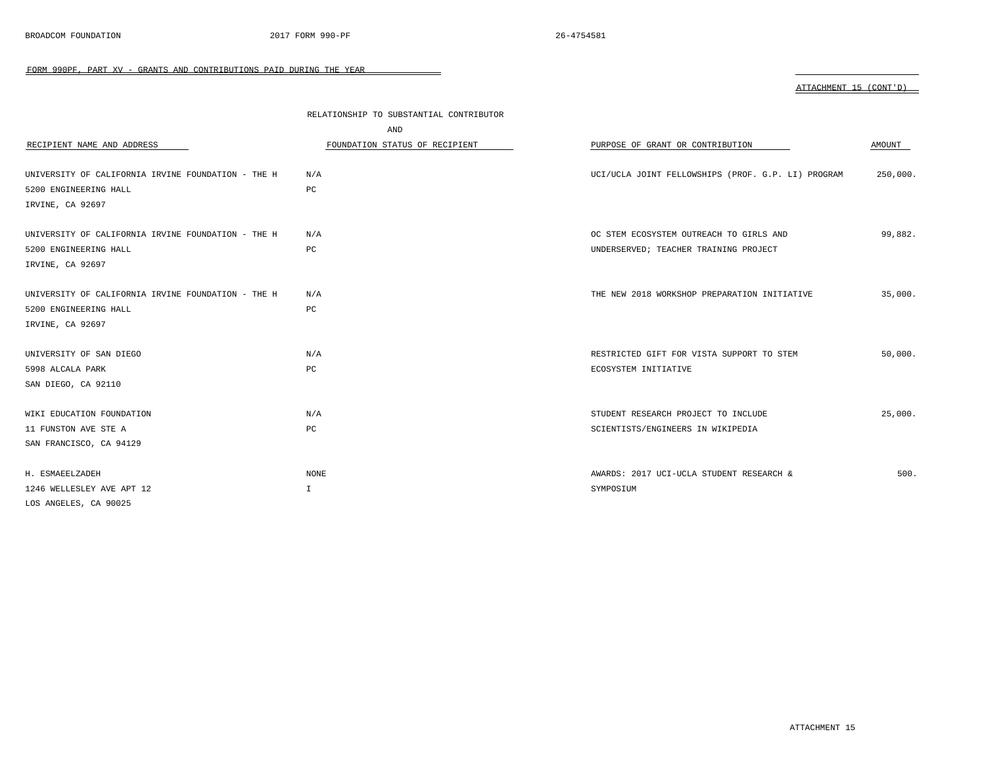|                                                    | RELATIONSHIP TO SUBSTANTIAL CONTRIBUTOR |                                                    |          |
|----------------------------------------------------|-----------------------------------------|----------------------------------------------------|----------|
| RECIPIENT NAME AND ADDRESS                         | AND<br>FOUNDATION STATUS OF RECIPIENT   | PURPOSE OF GRANT OR CONTRIBUTION                   | AMOUNT   |
| UNIVERSITY OF CALIFORNIA IRVINE FOUNDATION - THE H | N/A                                     | UCI/UCLA JOINT FELLOWSHIPS (PROF. G.P. LI) PROGRAM | 250,000. |
| 5200 ENGINEERING HALL                              | PC                                      |                                                    |          |
| IRVINE, CA 92697                                   |                                         |                                                    |          |
| UNIVERSITY OF CALIFORNIA IRVINE FOUNDATION - THE H | N/A                                     | OC STEM ECOSYSTEM OUTREACH TO GIRLS AND            | 99,882.  |
| 5200 ENGINEERING HALL                              | PC                                      | UNDERSERVED; TEACHER TRAINING PROJECT              |          |
| IRVINE, CA 92697                                   |                                         |                                                    |          |
| UNIVERSITY OF CALIFORNIA IRVINE FOUNDATION - THE H | N/A                                     | THE NEW 2018 WORKSHOP PREPARATION INITIATIVE       | 35,000.  |
| 5200 ENGINEERING HALL                              | PC                                      |                                                    |          |
| IRVINE, CA 92697                                   |                                         |                                                    |          |
| UNIVERSITY OF SAN DIEGO                            | N/A                                     | RESTRICTED GIFT FOR VISTA SUPPORT TO STEM          | 50,000.  |
| 5998 ALCALA PARK                                   | PC                                      | ECOSYSTEM INITIATIVE                               |          |
| SAN DIEGO, CA 92110                                |                                         |                                                    |          |
| WIKI EDUCATION FOUNDATION                          | N/A                                     | STUDENT RESEARCH PROJECT TO INCLUDE                | 25,000.  |
| 11 FUNSTON AVE STE A                               | PC                                      | SCIENTISTS/ENGINEERS IN WIKIPEDIA                  |          |
| SAN FRANCISCO, CA 94129                            |                                         |                                                    |          |
| H. ESMAEELZADEH                                    | NONE                                    | AWARDS: 2017 UCI-UCLA STUDENT RESEARCH &           | 500.     |
| 1246 WELLESLEY AVE APT 12                          | $\mathbb{I}$                            | SYMPOSIUM                                          |          |

 $\overline{\phantom{0}}$ 

LOS ANGELES, CA 90025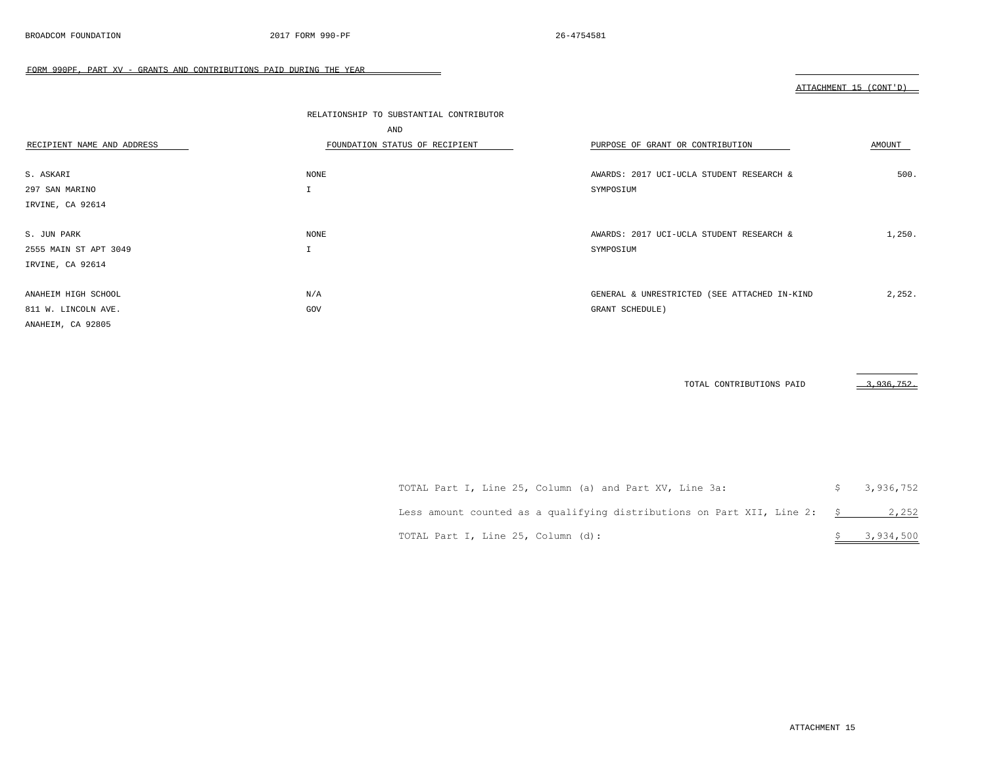#### ATTACHMENT 15 (CONT'D)

|                            | RELATIONSHIP TO SUBSTANTIAL CONTRIBUTOR |                                              |        |
|----------------------------|-----------------------------------------|----------------------------------------------|--------|
|                            | AND                                     |                                              |        |
| RECIPIENT NAME AND ADDRESS | FOUNDATION STATUS OF RECIPIENT          | PURPOSE OF GRANT OR CONTRIBUTION             | AMOUNT |
|                            |                                         |                                              |        |
| S. ASKARI                  | NONE                                    | AWARDS: 2017 UCI-UCLA STUDENT RESEARCH &     | 500.   |
| 297 SAN MARINO             | $\mathbf I$                             | SYMPOSIUM                                    |        |
| IRVINE, CA 92614           |                                         |                                              |        |
|                            |                                         |                                              |        |
| S. JUN PARK                | NONE                                    | AWARDS: 2017 UCI-UCLA STUDENT RESEARCH &     | 1,250. |
| 2555 MAIN ST APT 3049      | $\mathbf{r}$                            | SYMPOSIUM                                    |        |
| IRVINE, CA 92614           |                                         |                                              |        |
|                            |                                         |                                              |        |
| ANAHEIM HIGH SCHOOL        | N/A                                     | GENERAL & UNRESTRICTED (SEE ATTACHED IN-KIND | 2,252. |
| 811 W. LINCOLN AVE.        | GOV                                     | GRANT SCHEDULE)                              |        |
| ANAHEIM, CA 92805          |                                         |                                              |        |

 $\overline{\phantom{0}}$ 

TOTAL CONTRIBUTIONS PAID 3,936,752.

| TOTAL Part I, Line 25, Column (a) and Part XV, Line 3a:                        | \$3,936,752 |
|--------------------------------------------------------------------------------|-------------|
| Less amount counted as a qualifying distributions on Part XII, Line 2: $\,$ \$ | 2,252       |
| TOTAL Part I, Line 25, Column (d):                                             | \$3,934,500 |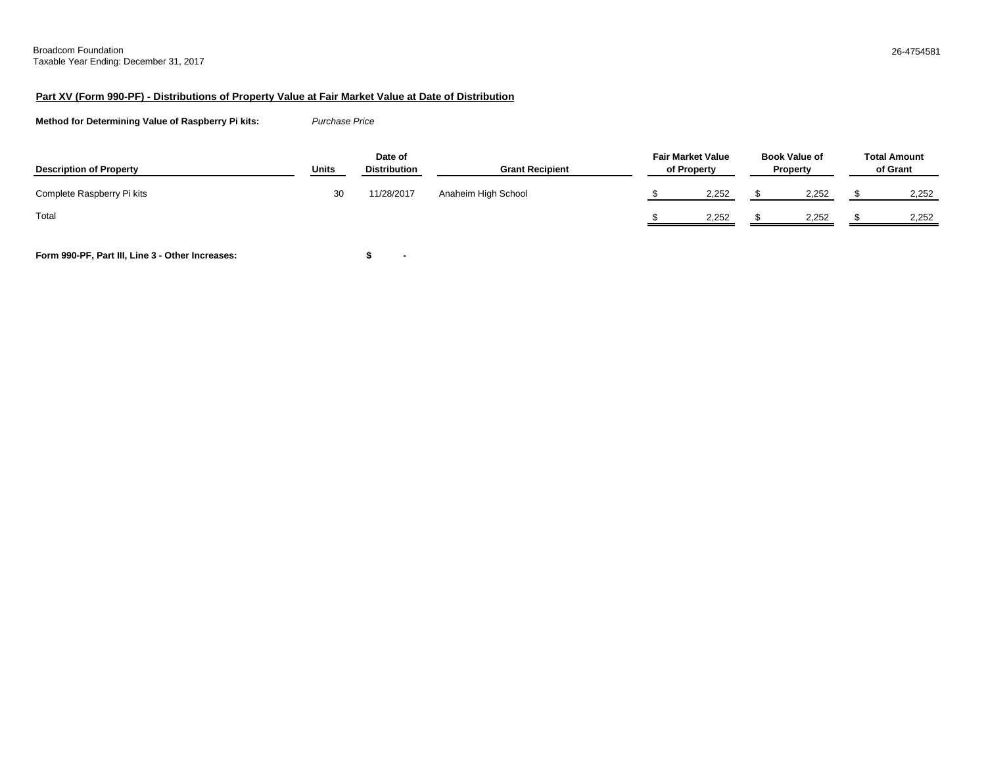#### **Part XV (Form 990-PF) - Distributions of Property Value at Fair Market Value at Date of Distribution**

**Method for Determining Value of Raspberry Pi kits:** *Purchase Price*

| <b>Description of Property</b> | Units | Date of<br><b>Distribution</b> | <b>Grant Recipient</b> | <b>Fair Market Value</b><br>of Property | <b>Book Value of</b><br><b>Property</b> | <b>Total Amount</b><br>of Grant |
|--------------------------------|-------|--------------------------------|------------------------|-----------------------------------------|-----------------------------------------|---------------------------------|
| Complete Raspberry Pi kits     | 30    | 11/28/2017                     | Anaheim High School    | 2,252                                   | 2,252                                   | 2,252                           |
| Total                          |       |                                |                        | 2,252                                   | 2.252                                   | 2,252                           |

**Form 990-PF, Part III, Line 3 - Other Increases: \$ -**